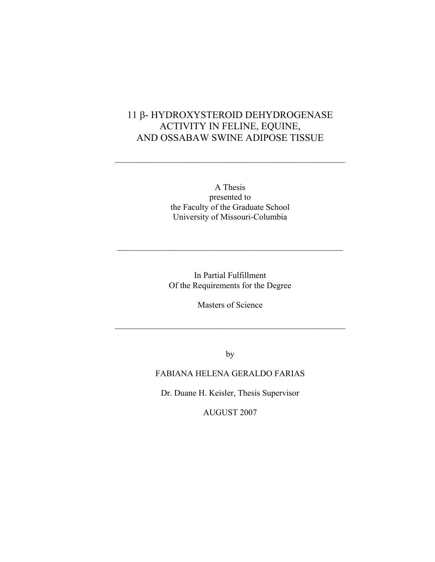## 11 β- HYDROXYSTEROID DEHYDROGENASE ACTIVITY IN FELINE, EQUINE, AND OSSABAW SWINE ADIPOSE TISSUE

 $\mathcal{L}_\text{max}$  , and the contract of the contract of the contract of the contract of the contract of the contract of the contract of the contract of the contract of the contract of the contract of the contract of the contr

A Thesis presented to the Faculty of the Graduate School University of Missouri-Columbia

In Partial Fulfillment Of the Requirements for the Degree

 $\mathcal{L}_\text{max}$  and the contract of the contract of the contract of the contract of the contract of the contract of the contract of the contract of the contract of the contract of the contract of the contract of the contrac

Masters of Science

 $\mathcal{L}_\text{max}$  , and the contract of the contract of the contract of the contract of the contract of the contract of the contract of the contract of the contract of the contract of the contract of the contract of the contr

by

## FABIANA HELENA GERALDO FARIAS

Dr. Duane H. Keisler, Thesis Supervisor

AUGUST 2007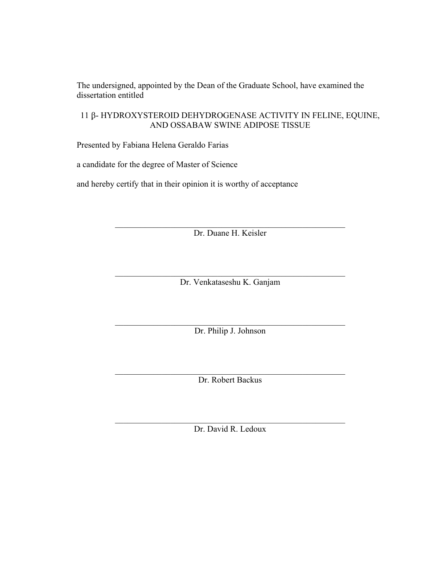The undersigned, appointed by the Dean of the Graduate School, have examined the dissertation entitled

11 β- HYDROXYSTEROID DEHYDROGENASE ACTIVITY IN FELINE, EQUINE, AND OSSABAW SWINE ADIPOSE TISSUE

Presented by Fabiana Helena Geraldo Farias

a candidate for the degree of Master of Science

and hereby certify that in their opinion it is worthy of acceptance

 $\mathcal{L}_\text{max}$  , and the contract of the contract of the contract of the contract of the contract of the contract of the contract of the contract of the contract of the contract of the contract of the contract of the contr Dr. Duane H. Keisler

 $\mathcal{L}_\text{max}$  , and the contract of the contract of the contract of the contract of the contract of the contract of the contract of the contract of the contract of the contract of the contract of the contract of the contr Dr. Venkataseshu K. Ganjam

 $\mathcal{L}_\text{max}$  , and the contract of the contract of the contract of the contract of the contract of the contract of the contract of the contract of the contract of the contract of the contract of the contract of the contr Dr. Philip J. Johnson

 $\mathcal{L}_\text{max}$  , and the contract of the contract of the contract of the contract of the contract of the contract of the contract of the contract of the contract of the contract of the contract of the contract of the contr Dr. Robert Backus

 $\mathcal{L}_\text{max}$  , and the contract of the contract of the contract of the contract of the contract of the contract of the contract of the contract of the contract of the contract of the contract of the contract of the contr Dr. David R. Ledoux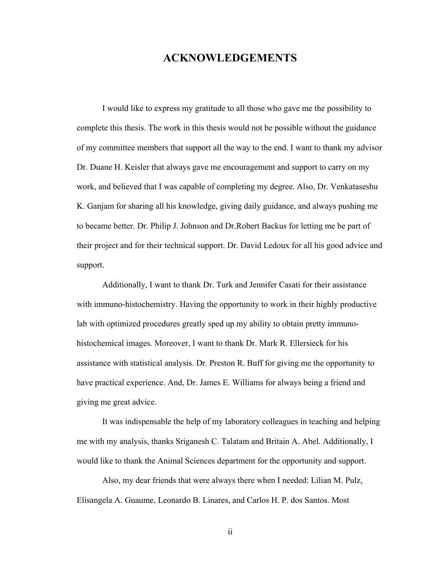## **ACKNOWLEDGEMENTS**

I would like to express my gratitude to all those who gave me the possibility to complete this thesis. The work in this thesis would not be possible without the guidance of my committee members that support all the way to the end. I want to thank my advisor Dr. Duane H. Keisler that always gave me encouragement and support to carry on my work, and believed that I was capable of completing my degree. Also, Dr. Venkataseshu K. Ganjam for sharing all his knowledge, giving daily guidance, and always pushing me to became better. Dr. Philip J. Johnson and Dr.Robert Backus for letting me be part of their project and for their technical support. Dr. David Ledoux for all his good advice and support.

Additionally, I want to thank Dr. Turk and Jennifer Casati for their assistance with immuno-histochemistry. Having the opportunity to work in their highly productive lab with optimized procedures greatly sped up my ability to obtain pretty immunohistochemical images. Moreover, I want to thank Dr. Mark R. Ellersieck for his assistance with statistical analysis. Dr. Preston R. Buff for giving me the opportunity to have practical experience. And, Dr. James E. Williams for always being a friend and giving me great advice.

It was indispensable the help of my laboratory colleagues in teaching and helping me with my analysis, thanks Sriganesh C. Talatam and Britain A. Abel. Additionally, I would like to thank the Animal Sciences department for the opportunity and support.

Also, my dear friends that were always there when I needed: Lilian M. Pulz, Elisangela A. Guaume, Leonardo B. Linares, and Carlos H. P. dos Santos. Most

ii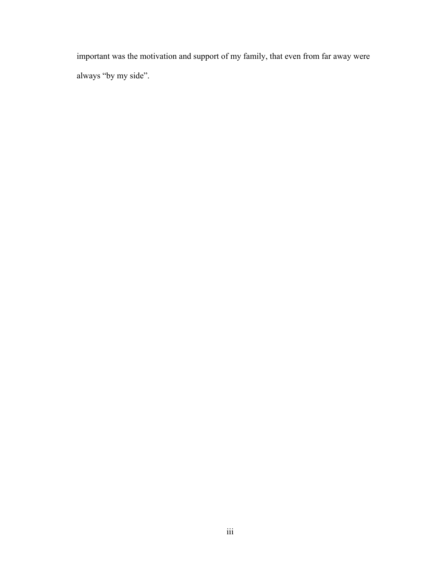important was the motivation and support of my family, that even from far away were always "by my side".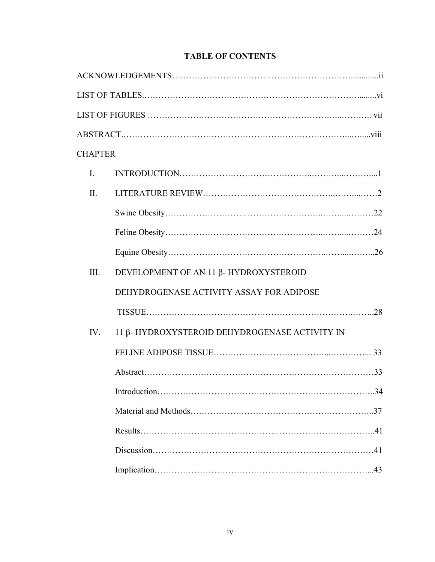| <b>CHAPTER</b> |                                               |  |  |  |
|----------------|-----------------------------------------------|--|--|--|
| $\mathbf{I}$ . |                                               |  |  |  |
| II.            |                                               |  |  |  |
|                |                                               |  |  |  |
|                |                                               |  |  |  |
|                |                                               |  |  |  |
| Ш.             | DEVELOPMENT OF AN 11 β- HYDROXYSTEROID        |  |  |  |
|                | DEHYDROGENASE ACTIVITY ASSAY FOR ADIPOSE      |  |  |  |
|                |                                               |  |  |  |
| IV.            | 11 β-HYDROXYSTEROID DEHYDROGENASE ACTIVITY IN |  |  |  |
|                |                                               |  |  |  |
|                |                                               |  |  |  |
|                |                                               |  |  |  |
|                |                                               |  |  |  |
|                |                                               |  |  |  |
|                |                                               |  |  |  |
|                |                                               |  |  |  |

## **TABLE OF CONTENTS**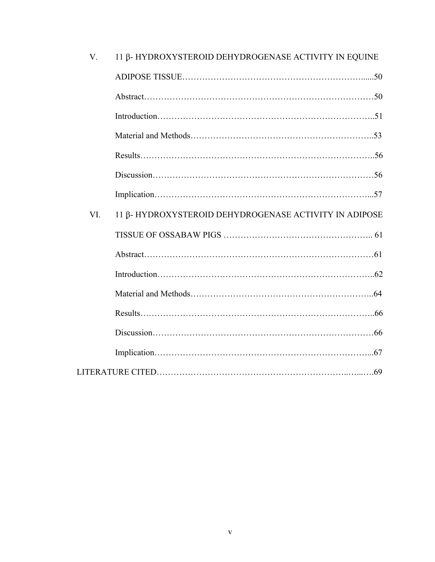| $V_{r}$   | 11 β-HYDROXYSTEROID DEHYDROGENASE ACTIVITY IN EQUINE   |  |
|-----------|--------------------------------------------------------|--|
|           |                                                        |  |
|           |                                                        |  |
|           |                                                        |  |
|           |                                                        |  |
|           |                                                        |  |
|           |                                                        |  |
|           |                                                        |  |
| <b>VI</b> | 11 β- HYDROXYSTEROID DEHYDROGENASE ACTIVITY IN ADIPOSE |  |
|           |                                                        |  |
|           |                                                        |  |
|           |                                                        |  |
|           |                                                        |  |
|           |                                                        |  |
|           |                                                        |  |
|           |                                                        |  |
|           |                                                        |  |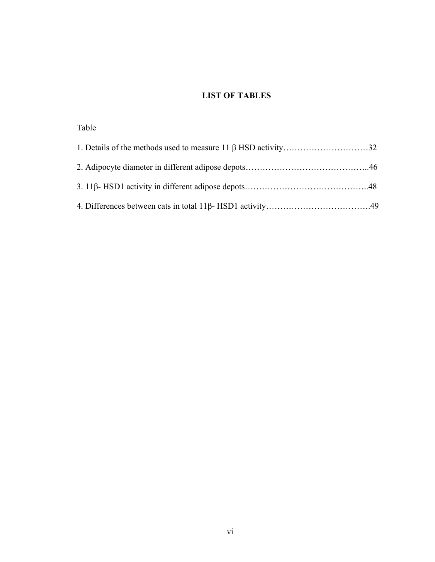## **LIST OF TABLES**

| Table |  |
|-------|--|
|       |  |
|       |  |
|       |  |
|       |  |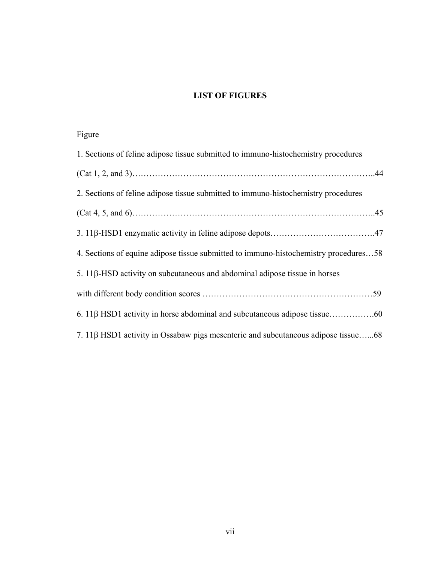## **LIST OF FIGURES**

# Figure

| 1. Sections of feline adipose tissue submitted to immuno-histochemistry procedures   |  |  |
|--------------------------------------------------------------------------------------|--|--|
|                                                                                      |  |  |
| 2. Sections of feline adipose tissue submitted to immuno-histochemistry procedures   |  |  |
|                                                                                      |  |  |
|                                                                                      |  |  |
| 4. Sections of equine adipose tissue submitted to immuno-histochemistry procedures58 |  |  |
| 5. 11β-HSD activity on subcutaneous and abdominal adipose tissue in horses           |  |  |
|                                                                                      |  |  |
|                                                                                      |  |  |
| 7. 118 HSD1 activity in Ossabaw pigs mesenteric and subcutaneous adipose tissue68    |  |  |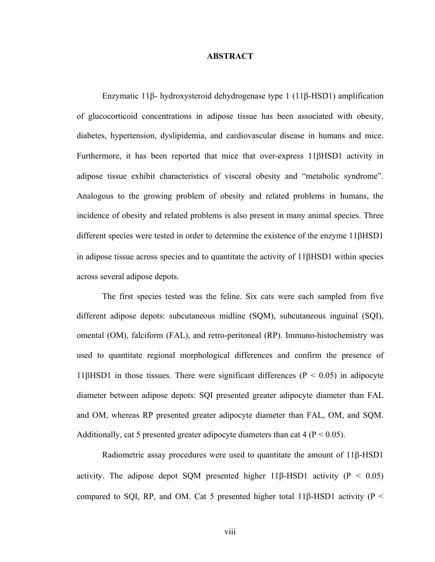#### **ABSTRACT**

Enzymatic 11β- hydroxysteroid dehydrogenase type 1 (11β-HSD1) amplification of glucocorticoid concentrations in adipose tissue has been associated with obesity, diabetes, hypertension, dyslipidemia, and cardiovascular disease in humans and mice. Furthermore, it has been reported that mice that over-express 11βHSD1 activity in adipose tissue exhibit characteristics of visceral obesity and "metabolic syndrome". Analogous to the growing problem of obesity and related problems in humans, the incidence of obesity and related problems is also present in many animal species. Three different species were tested in order to determine the existence of the enzyme 11βHSD1 in adipose tissue across species and to quantitate the activity of 11βHSD1 within species across several adipose depots.

The first species tested was the feline. Six cats were each sampled from five different adipose depots: subcutaneous midline (SQM), subcutaneous inguinal (SQI), omental (OM), falciform (FAL), and retro-peritoneal (RP). Immuno-histochemistry was used to quantitate regional morphological differences and confirm the presence of 11βHSD1 in those tissues. There were significant differences ( $P < 0.05$ ) in adipocyte diameter between adipose depots: SQI presented greater adipocyte diameter than FAL and OM, whereas RP presented greater adipocyte diameter than FAL, OM, and SQM. Additionally, cat 5 presented greater adipocyte diameters than cat 4 ( $P < 0.05$ ).

Radiometric assay procedures were used to quantitate the amount of 11β-HSD1 activity. The adipose depot SQM presented higher 11β-HSD1 activity ( $P < 0.05$ ) compared to SOI, RP, and OM. Cat 5 presented higher total 11β-HSD1 activity ( $P \le$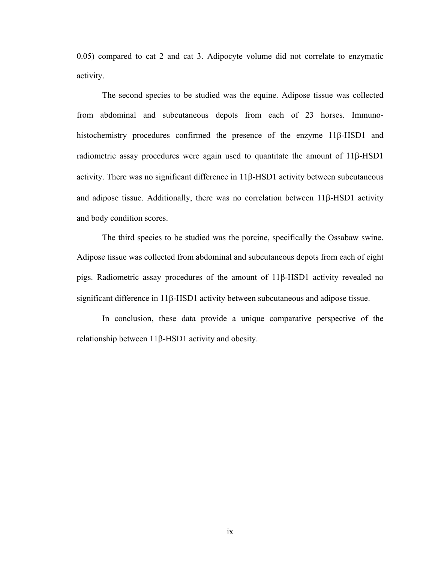0.05) compared to cat 2 and cat 3. Adipocyte volume did not correlate to enzymatic activity.

The second species to be studied was the equine. Adipose tissue was collected from abdominal and subcutaneous depots from each of 23 horses. Immunohistochemistry procedures confirmed the presence of the enzyme 11β-HSD1 and radiometric assay procedures were again used to quantitate the amount of 11β-HSD1 activity. There was no significant difference in 11β-HSD1 activity between subcutaneous and adipose tissue. Additionally, there was no correlation between 11β-HSD1 activity and body condition scores.

The third species to be studied was the porcine, specifically the Ossabaw swine. Adipose tissue was collected from abdominal and subcutaneous depots from each of eight pigs. Radiometric assay procedures of the amount of 11β-HSD1 activity revealed no significant difference in 11β-HSD1 activity between subcutaneous and adipose tissue.

In conclusion, these data provide a unique comparative perspective of the relationship between 11β-HSD1 activity and obesity.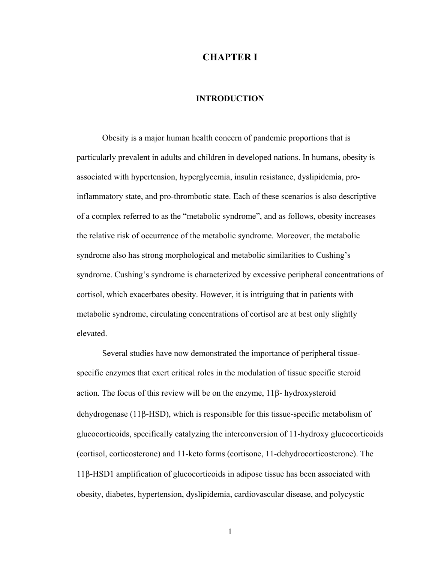## **CHAPTER I**

## **INTRODUCTION**

Obesity is a major human health concern of pandemic proportions that is particularly prevalent in adults and children in developed nations. In humans, obesity is associated with hypertension, hyperglycemia, insulin resistance, dyslipidemia, proinflammatory state, and pro-thrombotic state. Each of these scenarios is also descriptive of a complex referred to as the "metabolic syndrome", and as follows, obesity increases the relative risk of occurrence of the metabolic syndrome. Moreover, the metabolic syndrome also has strong morphological and metabolic similarities to Cushing's syndrome. Cushing's syndrome is characterized by excessive peripheral concentrations of cortisol, which exacerbates obesity. However, it is intriguing that in patients with metabolic syndrome, circulating concentrations of cortisol are at best only slightly elevated.

Several studies have now demonstrated the importance of peripheral tissuespecific enzymes that exert critical roles in the modulation of tissue specific steroid action. The focus of this review will be on the enzyme, 11β- hydroxysteroid dehydrogenase (11β-HSD), which is responsible for this tissue-specific metabolism of glucocorticoids, specifically catalyzing the interconversion of 11-hydroxy glucocorticoids (cortisol, corticosterone) and 11-keto forms (cortisone, 11-dehydrocorticosterone). The 11β-HSD1 amplification of glucocorticoids in adipose tissue has been associated with obesity, diabetes, hypertension, dyslipidemia, cardiovascular disease, and polycystic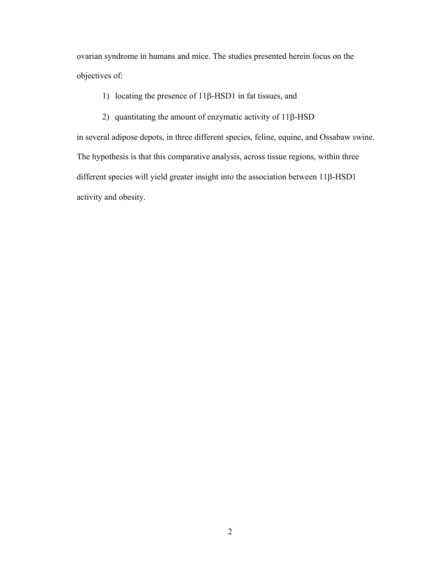ovarian syndrome in humans and mice. The studies presented herein focus on the objectives of:

1) locating the presence of 11β-HSD1 in fat tissues, and

2) quantitating the amount of enzymatic activity of 11β-HSD

in several adipose depots, in three different species, feline, equine, and Ossabaw swine. The hypothesis is that this comparative analysis, across tissue regions, within three different species will yield greater insight into the association between 11β-HSD1 activity and obesity.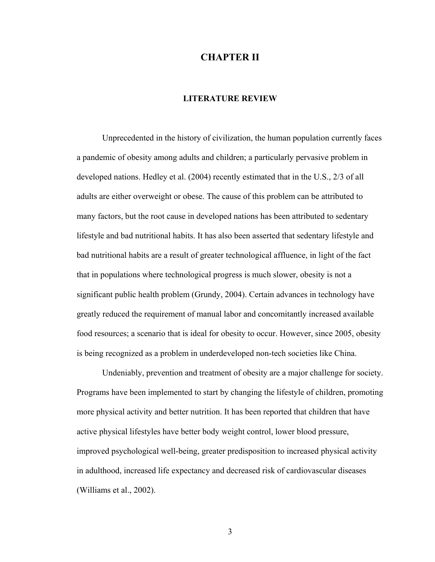## **CHAPTER II**

## **LITERATURE REVIEW**

Unprecedented in the history of civilization, the human population currently faces a pandemic of obesity among adults and children; a particularly pervasive problem in developed nations. Hedley et al. (2004) recently estimated that in the U.S., 2/3 of all adults are either overweight or obese. The cause of this problem can be attributed to many factors, but the root cause in developed nations has been attributed to sedentary lifestyle and bad nutritional habits. It has also been asserted that sedentary lifestyle and bad nutritional habits are a result of greater technological affluence, in light of the fact that in populations where technological progress is much slower, obesity is not a significant public health problem (Grundy, 2004). Certain advances in technology have greatly reduced the requirement of manual labor and concomitantly increased available food resources; a scenario that is ideal for obesity to occur. However, since 2005, obesity is being recognized as a problem in underdeveloped non-tech societies like China.

Undeniably, prevention and treatment of obesity are a major challenge for society. Programs have been implemented to start by changing the lifestyle of children, promoting more physical activity and better nutrition. It has been reported that children that have active physical lifestyles have better body weight control, lower blood pressure, improved psychological well-being, greater predisposition to increased physical activity in adulthood, increased life expectancy and decreased risk of cardiovascular diseases (Williams et al., 2002).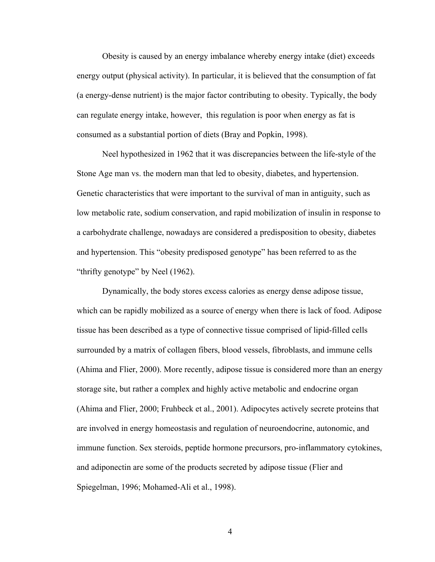Obesity is caused by an energy imbalance whereby energy intake (diet) exceeds energy output (physical activity). In particular, it is believed that the consumption of fat (a energy-dense nutrient) is the major factor contributing to obesity. Typically, the body can regulate energy intake, however, this regulation is poor when energy as fat is consumed as a substantial portion of diets (Bray and Popkin, 1998).

Neel hypothesized in 1962 that it was discrepancies between the life-style of the Stone Age man vs. the modern man that led to obesity, diabetes, and hypertension. Genetic characteristics that were important to the survival of man in antiguity, such as low metabolic rate, sodium conservation, and rapid mobilization of insulin in response to a carbohydrate challenge, nowadays are considered a predisposition to obesity, diabetes and hypertension. This "obesity predisposed genotype" has been referred to as the "thrifty genotype" by Neel (1962).

Dynamically, the body stores excess calories as energy dense adipose tissue, which can be rapidly mobilized as a source of energy when there is lack of food. Adipose tissue has been described as a type of connective tissue comprised of lipid-filled cells surrounded by a matrix of collagen fibers, blood vessels, fibroblasts, and immune cells (Ahima and Flier, 2000). More recently, adipose tissue is considered more than an energy storage site, but rather a complex and highly active metabolic and endocrine organ (Ahima and Flier, 2000; Fruhbeck et al., 2001). Adipocytes actively secrete proteins that are involved in energy homeostasis and regulation of neuroendocrine, autonomic, and immune function. Sex steroids, peptide hormone precursors, pro-inflammatory cytokines, and adiponectin are some of the products secreted by adipose tissue (Flier and Spiegelman, 1996; Mohamed-Ali et al., 1998).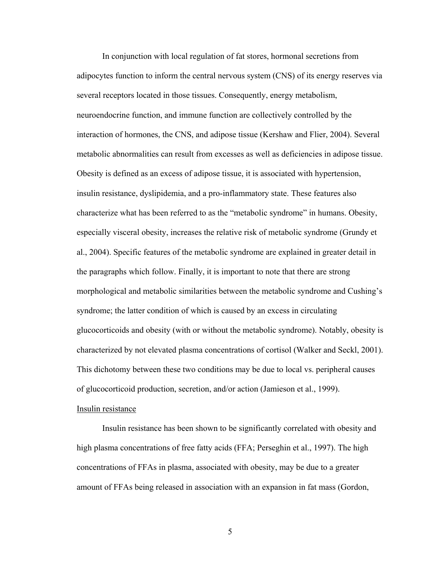In conjunction with local regulation of fat stores, hormonal secretions from adipocytes function to inform the central nervous system (CNS) of its energy reserves via several receptors located in those tissues. Consequently, energy metabolism, neuroendocrine function, and immune function are collectively controlled by the interaction of hormones, the CNS, and adipose tissue (Kershaw and Flier, 2004). Several metabolic abnormalities can result from excesses as well as deficiencies in adipose tissue. Obesity is defined as an excess of adipose tissue, it is associated with hypertension, insulin resistance, dyslipidemia, and a pro-inflammatory state. These features also characterize what has been referred to as the "metabolic syndrome" in humans. Obesity, especially visceral obesity, increases the relative risk of metabolic syndrome (Grundy et al., 2004). Specific features of the metabolic syndrome are explained in greater detail in the paragraphs which follow. Finally, it is important to note that there are strong morphological and metabolic similarities between the metabolic syndrome and Cushing's syndrome; the latter condition of which is caused by an excess in circulating glucocorticoids and obesity (with or without the metabolic syndrome). Notably, obesity is characterized by not elevated plasma concentrations of cortisol (Walker and Seckl, 2001). This dichotomy between these two conditions may be due to local vs. peripheral causes of glucocorticoid production, secretion, and/or action (Jamieson et al., 1999). Insulin resistance

Insulin resistance has been shown to be significantly correlated with obesity and high plasma concentrations of free fatty acids (FFA; Perseghin et al., 1997). The high concentrations of FFAs in plasma, associated with obesity, may be due to a greater amount of FFAs being released in association with an expansion in fat mass (Gordon,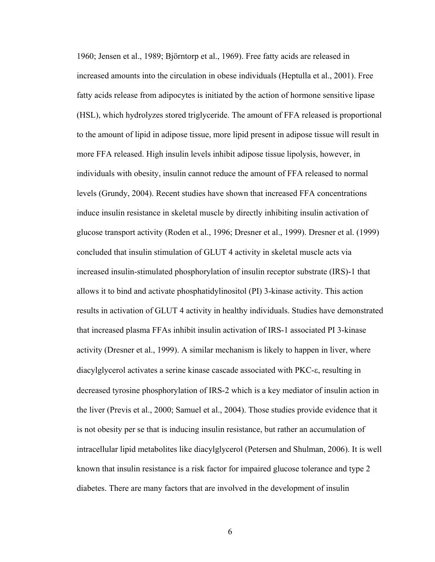1960; Jensen et al., 1989; Björntorp et al., 1969). Free fatty acids are released in increased amounts into the circulation in obese individuals (Heptulla et al., 2001). Free fatty acids release from adipocytes is initiated by the action of hormone sensitive lipase (HSL), which hydrolyzes stored triglyceride. The amount of FFA released is proportional to the amount of lipid in adipose tissue, more lipid present in adipose tissue will result in more FFA released. High insulin levels inhibit adipose tissue lipolysis, however, in individuals with obesity, insulin cannot reduce the amount of FFA released to normal levels (Grundy, 2004). Recent studies have shown that increased FFA concentrations induce insulin resistance in skeletal muscle by directly inhibiting insulin activation of glucose transport activity (Roden et al., 1996; Dresner et al., 1999). Dresner et al. (1999) concluded that insulin stimulation of GLUT 4 activity in skeletal muscle acts via increased insulin-stimulated phosphorylation of insulin receptor substrate (IRS)-1 that allows it to bind and activate phosphatidylinositol (PI) 3-kinase activity. This action results in activation of GLUT 4 activity in healthy individuals. Studies have demonstrated that increased plasma FFAs inhibit insulin activation of IRS-1 associated PI 3-kinase activity (Dresner et al., 1999). A similar mechanism is likely to happen in liver, where diacylglycerol activates a serine kinase cascade associated with PKC-ε, resulting in decreased tyrosine phosphorylation of IRS-2 which is a key mediator of insulin action in the liver (Previs et al., 2000; Samuel et al., 2004). Those studies provide evidence that it is not obesity per se that is inducing insulin resistance, but rather an accumulation of intracellular lipid metabolites like diacylglycerol (Petersen and Shulman, 2006). It is well known that insulin resistance is a risk factor for impaired glucose tolerance and type 2 diabetes. There are many factors that are involved in the development of insulin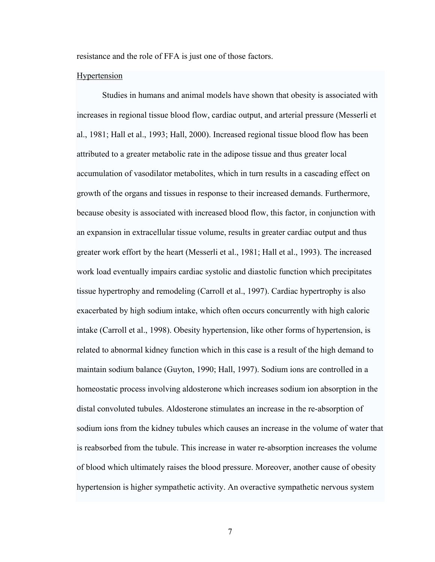resistance and the role of FFA is just one of those factors.

### Hypertension

Studies in humans and animal models have shown that obesity is associated with increases in regional tissue blood flow, cardiac output, and arterial pressure (Messerli et al., 1981; Hall et al., 1993; Hall, 2000). Increased regional tissue blood flow has been attributed to a greater metabolic rate in the adipose tissue and thus greater local accumulation of vasodilator metabolites, which in turn results in a cascading effect on growth of the organs and tissues in response to their increased demands. Furthermore, because obesity is associated with increased blood flow, this factor, in conjunction with an expansion in extracellular tissue volume, results in greater cardiac output and thus greater work effort by the heart (Messerli et al., 1981; Hall et al., 1993). The increased work load eventually impairs cardiac systolic and diastolic function which precipitates tissue hypertrophy and remodeling (Carroll et al., 1997). Cardiac hypertrophy is also exacerbated by high sodium intake, which often occurs concurrently with high caloric intake (Carroll et al., 1998). Obesity hypertension, like other forms of hypertension, is related to abnormal kidney function which in this case is a result of the high demand to maintain sodium balance (Guyton, 1990; Hall, 1997). Sodium ions are controlled in a homeostatic process involving [aldosterone](http://en.wikipedia.org/wiki/Aldosterone) which increases sodium ion absorption in the distal convoluted tubules. Aldosterone stimulates an increase in the re-absorption of sodium ions from the kidney tubules which causes an increase in the volume of water that is reabsorbed from the tubule. This increase in water re-absorption increases the volume of blood which ultimately raises the blood pressure. Moreover, another cause of obesity hypertension is higher sympathetic activity. An overactive [sympathetic nervous system](http://en.wikipedia.org/wiki/Sympathetic_nervous_system)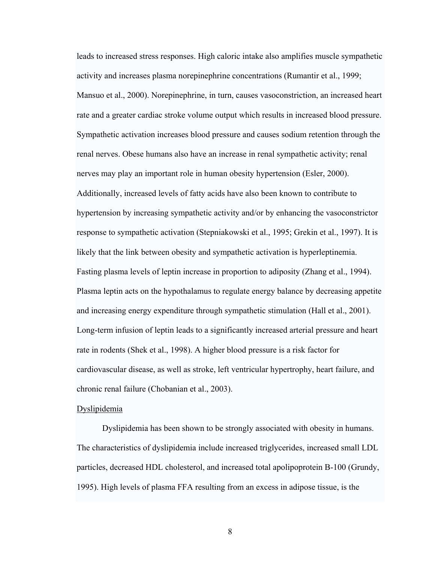leads to increased stress responses. High caloric intake also amplifies muscle sympathetic activity and increases plasma norepinephrine concentrations (Rumantir et al., 1999; Mansuo et al., 2000). Norepinephrine, in turn, causes vasoconstriction, an increased heart rate and a greater cardiac stroke volume output which results in increased blood pressure. Sympathetic activation increases blood pressure and causes sodium retention through the renal nerves. Obese humans also have an increase in renal sympathetic activity; renal nerves may play an important role in human obesity hypertension (Esler, 2000). Additionally, increased levels of fatty acids have also been known to contribute to hypertension by increasing sympathetic activity and/or by enhancing the vasoconstrictor response to sympathetic activation (Stepniakowski et al., 1995; Grekin et al., 1997). It is likely that the link between obesity and sympathetic activation is hyperleptinemia. Fasting plasma levels of leptin increase in proportion to adiposity (Zhang et al., 1994). Plasma leptin acts on the hypothalamus to regulate energy balance by decreasing appetite and increasing energy expenditure through sympathetic stimulation (Hall et al., 2001). Long-term infusion of leptin leads to a significantly increased arterial pressure and heart rate in rodents (Shek et al., 1998). A higher blood pressure is a risk factor for cardiovascular disease, as well as stroke, left ventricular hypertrophy, heart failure, and chronic renal failure (Chobanian et al., 2003).

### Dyslipidemia

Dyslipidemia has been shown to be strongly associated with obesity in humans. The characteristics of dyslipidemia include increased triglycerides, increased small LDL particles, decreased HDL cholesterol, and increased total apolipoprotein B-100 (Grundy, 1995). High levels of plasma FFA resulting from an excess in adipose tissue, is the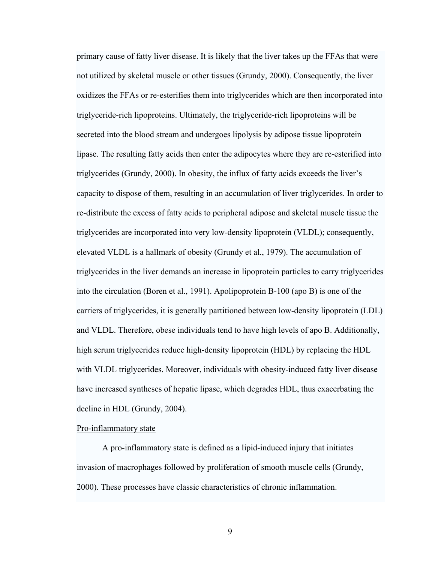primary cause of fatty liver disease. It is likely that the liver takes up the FFAs that were not utilized by skeletal muscle or other tissues (Grundy, 2000). Consequently, the liver oxidizes the FFAs or re-esterifies them into triglycerides which are then incorporated into triglyceride-rich lipoproteins. Ultimately, the triglyceride-rich lipoproteins will be secreted into the blood stream and undergoes lipolysis by adipose tissue lipoprotein lipase. The resulting fatty acids then enter the adipocytes where they are re-esterified into triglycerides (Grundy, 2000). In obesity, the influx of fatty acids exceeds the liver's capacity to dispose of them, resulting in an accumulation of liver triglycerides. In order to re-distribute the excess of fatty acids to peripheral adipose and skeletal muscle tissue the triglycerides are incorporated into very low-density lipoprotein (VLDL); consequently, elevated VLDL is a hallmark of obesity (Grundy et al., 1979). The accumulation of triglycerides in the liver demands an increase in lipoprotein particles to carry triglycerides into the circulation (Boren et al., 1991). Apolipoprotein B-100 (apo B) is one of the carriers of triglycerides, it is generally partitioned between low-density lipoprotein (LDL) and VLDL. Therefore, obese individuals tend to have high levels of apo B. Additionally, high serum triglycerides reduce high-density lipoprotein (HDL) by replacing the HDL with VLDL triglycerides. Moreover, individuals with obesity-induced fatty liver disease have increased syntheses of hepatic lipase, which degrades HDL, thus exacerbating the decline in HDL (Grundy, 2004).

### Pro-inflammatory state

A pro-inflammatory state is defined as a lipid-induced injury that initiates invasion of macrophages followed by proliferation of smooth muscle cells (Grundy, 2000). These processes have classic characteristics of chronic inflammation.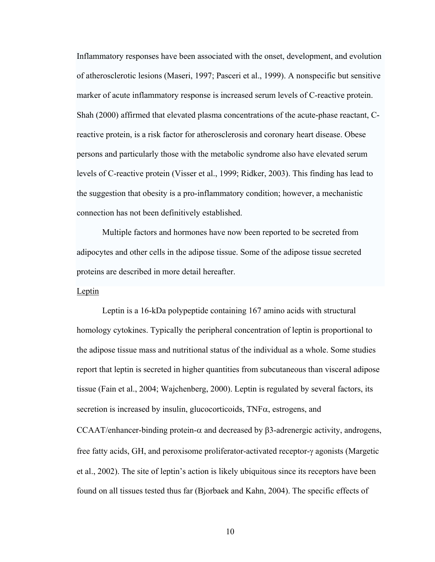Inflammatory responses have been associated with the onset, development, and evolution of atherosclerotic lesions (Maseri, 1997; Pasceri et al., 1999). A nonspecific but sensitive marker of acute inflammatory response is increased serum levels of C-reactive protein. Shah (2000) affirmed that elevated plasma concentrations of the acute-phase reactant, Creactive protein, is a risk factor for atherosclerosis and coronary heart disease. Obese persons and particularly those with the metabolic syndrome also have elevated serum levels of C-reactive protein (Visser et al., 1999; Ridker, 2003). This finding has lead to the suggestion that obesity is a pro-inflammatory condition; however, a mechanistic connection has not been definitively established.

Multiple factors and hormones have now been reported to be secreted from adipocytes and other cells in the adipose tissue. Some of the adipose tissue secreted proteins are described in more detail hereafter.

## Leptin

Leptin is a 16-kDa polypeptide containing 167 amino acids with structural homology cytokines. Typically the peripheral concentration of leptin is proportional to the adipose tissue mass and nutritional status of the individual as a whole. Some studies report that leptin is secreted in higher quantities from subcutaneous than visceral adipose tissue (Fain et al., 2004; Wajchenberg, 2000). Leptin is regulated by several factors, its secretion is increased by insulin, glucocorticoids,  $TNF\alpha$ , estrogens, and CCAAT/enhancer-binding protein-α and decreased by β3-adrenergic activity, androgens, free fatty acids, GH, and peroxisome proliferator-activated receptor-γ agonists (Margetic et al., 2002). The site of leptin's action is likely ubiquitous since its receptors have been found on all tissues tested thus far (Bjorbaek and Kahn, 2004). The specific effects of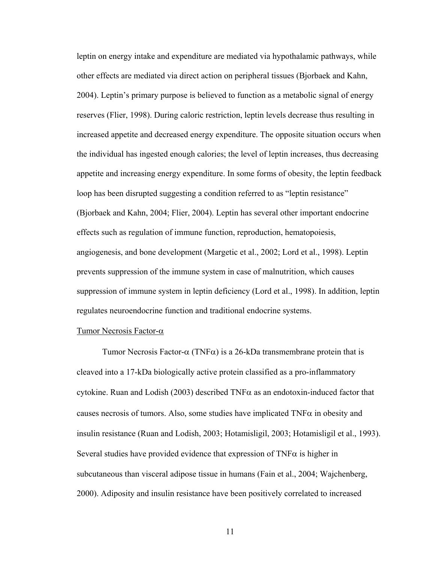leptin on energy intake and expenditure are mediated via hypothalamic pathways, while other effects are mediated via direct action on peripheral tissues (Bjorbaek and Kahn, 2004). Leptin's primary purpose is believed to function as a metabolic signal of energy reserves (Flier, 1998). During caloric restriction, leptin levels decrease thus resulting in increased appetite and decreased energy expenditure. The opposite situation occurs when the individual has ingested enough calories; the level of leptin increases, thus decreasing appetite and increasing energy expenditure. In some forms of obesity, the leptin feedback loop has been disrupted suggesting a condition referred to as "leptin resistance" (Bjorbaek and Kahn, 2004; Flier, 2004). Leptin has several other important endocrine effects such as regulation of immune function, reproduction, hematopoiesis, angiogenesis, and bone development (Margetic et al., 2002; Lord et al., 1998). Leptin prevents suppression of the immune system in case of malnutrition, which causes suppression of immune system in leptin deficiency (Lord et al., 1998). In addition, leptin regulates neuroendocrine function and traditional endocrine systems.

#### Tumor Necrosis Factor-α

Tumor Necrosis Factor- $\alpha$  (TNF $\alpha$ ) is a 26-kDa transmembrane protein that is cleaved into a 17-kDa biologically active protein classified as a pro-inflammatory cytokine. Ruan and Lodish (2003) described  $TNF\alpha$  as an endotoxin-induced factor that causes necrosis of tumors. Also, some studies have implicated  $TNF\alpha$  in obesity and insulin resistance (Ruan and Lodish, 2003; Hotamisligil, 2003; Hotamisligil et al., 1993). Several studies have provided evidence that expression of  $TNF\alpha$  is higher in subcutaneous than visceral adipose tissue in humans (Fain et al., 2004; Wajchenberg, 2000). Adiposity and insulin resistance have been positively correlated to increased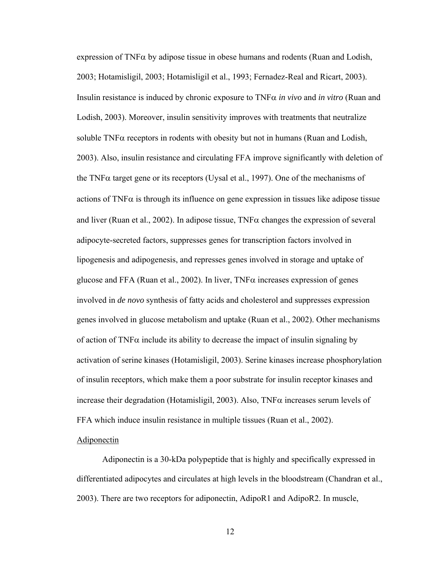expression of TNF $\alpha$  by adipose tissue in obese humans and rodents (Ruan and Lodish, 2003; Hotamisligil, 2003; Hotamisligil et al., 1993; Fernadez-Real and Ricart, 2003). Insulin resistance is induced by chronic exposure to TNFα *in vivo* and *in vitro* (Ruan and Lodish, 2003). Moreover, insulin sensitivity improves with treatments that neutralize soluble  $TNF\alpha$  receptors in rodents with obesity but not in humans (Ruan and Lodish, 2003). Also, insulin resistance and circulating FFA improve significantly with deletion of the TNFα target gene or its receptors (Uysal et al., 1997). One of the mechanisms of actions of  $TNF\alpha$  is through its influence on gene expression in tissues like adipose tissue and liver (Ruan et al., 2002). In adipose tissue,  $TNF\alpha$  changes the expression of several adipocyte-secreted factors, suppresses genes for transcription factors involved in lipogenesis and adipogenesis, and represses genes involved in storage and uptake of glucose and FFA (Ruan et al., 2002). In liver,  $TNF\alpha$  increases expression of genes involved in *de novo* synthesis of fatty acids and cholesterol and suppresses expression genes involved in glucose metabolism and uptake (Ruan et al., 2002). Other mechanisms of action of TNF $\alpha$  include its ability to decrease the impact of insulin signaling by activation of serine kinases (Hotamisligil, 2003). Serine kinases increase phosphorylation of insulin receptors, which make them a poor substrate for insulin receptor kinases and increase their degradation (Hotamisligil, 2003). Also,  $TNF\alpha$  increases serum levels of FFA which induce insulin resistance in multiple tissues (Ruan et al., 2002).

#### Adiponectin

Adiponectin is a 30-kDa polypeptide that is highly and specifically expressed in differentiated adipocytes and circulates at high levels in the bloodstream (Chandran et al., 2003). There are two receptors for adiponectin, AdipoR1 and AdipoR2. In muscle,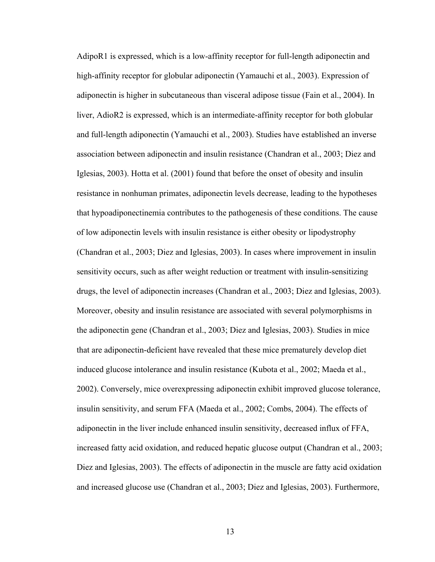AdipoR1 is expressed, which is a low-affinity receptor for full-length adiponectin and high-affinity receptor for globular adiponectin (Yamauchi et al., 2003). Expression of adiponectin is higher in subcutaneous than visceral adipose tissue (Fain et al., 2004). In liver, AdioR2 is expressed, which is an intermediate-affinity receptor for both globular and full-length adiponectin (Yamauchi et al., 2003). Studies have established an inverse association between adiponectin and insulin resistance (Chandran et al., 2003; Diez and Iglesias, 2003). Hotta et al. (2001) found that before the onset of obesity and insulin resistance in nonhuman primates, adiponectin levels decrease, leading to the hypotheses that hypoadiponectinemia contributes to the pathogenesis of these conditions. The cause of low adiponectin levels with insulin resistance is either obesity or lipodystrophy (Chandran et al., 2003; Diez and Iglesias, 2003). In cases where improvement in insulin sensitivity occurs, such as after weight reduction or treatment with insulin-sensitizing drugs, the level of adiponectin increases (Chandran et al., 2003; Diez and Iglesias, 2003). Moreover, obesity and insulin resistance are associated with several polymorphisms in the adiponectin gene (Chandran et al., 2003; Diez and Iglesias, 2003). Studies in mice that are adiponectin-deficient have revealed that these mice prematurely develop diet induced glucose intolerance and insulin resistance (Kubota et al., 2002; Maeda et al., 2002). Conversely, mice overexpressing adiponectin exhibit improved glucose tolerance, insulin sensitivity, and serum FFA (Maeda et al., 2002; Combs, 2004). The effects of adiponectin in the liver include enhanced insulin sensitivity, decreased influx of FFA, increased fatty acid oxidation, and reduced hepatic glucose output (Chandran et al., 2003; Diez and Iglesias, 2003). The effects of adiponectin in the muscle are fatty acid oxidation and increased glucose use (Chandran et al., 2003; Diez and Iglesias, 2003). Furthermore,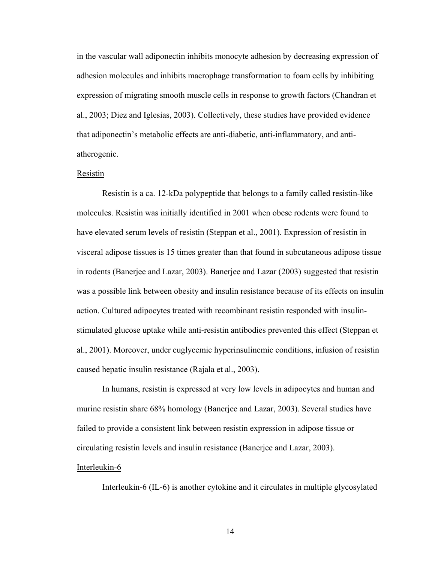in the vascular wall adiponectin inhibits monocyte adhesion by decreasing expression of adhesion molecules and inhibits macrophage transformation to foam cells by inhibiting expression of migrating smooth muscle cells in response to growth factors (Chandran et al., 2003; Diez and Iglesias, 2003). Collectively, these studies have provided evidence that adiponectin's metabolic effects are anti-diabetic, anti-inflammatory, and antiatherogenic.

#### Resistin

Resistin is a ca. 12-kDa polypeptide that belongs to a family called resistin-like molecules. Resistin was initially identified in 2001 when obese rodents were found to have elevated serum levels of resistin (Steppan et al., 2001). Expression of resistin in visceral adipose tissues is 15 times greater than that found in subcutaneous adipose tissue in rodents (Banerjee and Lazar, 2003). Banerjee and Lazar (2003) suggested that resistin was a possible link between obesity and insulin resistance because of its effects on insulin action. Cultured adipocytes treated with recombinant resistin responded with insulinstimulated glucose uptake while anti-resistin antibodies prevented this effect (Steppan et al., 2001). Moreover, under euglycemic hyperinsulinemic conditions, infusion of resistin caused hepatic insulin resistance (Rajala et al., 2003).

In humans, resistin is expressed at very low levels in adipocytes and human and murine resistin share 68% homology (Banerjee and Lazar, 2003). Several studies have failed to provide a consistent link between resistin expression in adipose tissue or circulating resistin levels and insulin resistance (Banerjee and Lazar, 2003).

#### Interleukin-6

Interleukin-6 (IL-6) is another cytokine and it circulates in multiple glycosylated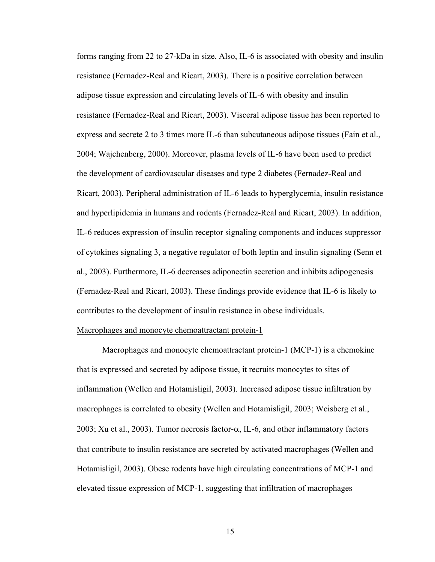forms ranging from 22 to 27-kDa in size. Also, IL-6 is associated with obesity and insulin resistance (Fernadez-Real and Ricart, 2003). There is a positive correlation between adipose tissue expression and circulating levels of IL-6 with obesity and insulin resistance (Fernadez-Real and Ricart, 2003). Visceral adipose tissue has been reported to express and secrete 2 to 3 times more IL-6 than subcutaneous adipose tissues (Fain et al., 2004; Wajchenberg, 2000). Moreover, plasma levels of IL-6 have been used to predict the development of cardiovascular diseases and type 2 diabetes (Fernadez-Real and Ricart, 2003). Peripheral administration of IL-6 leads to hyperglycemia, insulin resistance and hyperlipidemia in humans and rodents (Fernadez-Real and Ricart, 2003). In addition, IL-6 reduces expression of insulin receptor signaling components and induces suppressor of cytokines signaling 3, a negative regulator of both leptin and insulin signaling (Senn et al., 2003). Furthermore, IL-6 decreases adiponectin secretion and inhibits adipogenesis (Fernadez-Real and Ricart, 2003). These findings provide evidence that IL-6 is likely to contributes to the development of insulin resistance in obese individuals.

### Macrophages and monocyte chemoattractant protein-1

Macrophages and monocyte chemoattractant protein-1 (MCP-1) is a chemokine that is expressed and secreted by adipose tissue, it recruits monocytes to sites of inflammation (Wellen and Hotamisligil, 2003). Increased adipose tissue infiltration by macrophages is correlated to obesity (Wellen and Hotamisligil, 2003; Weisberg et al., 2003; Xu et al., 2003). Tumor necrosis factor- $\alpha$ , IL-6, and other inflammatory factors that contribute to insulin resistance are secreted by activated macrophages (Wellen and Hotamisligil, 2003). Obese rodents have high circulating concentrations of MCP-1 and elevated tissue expression of MCP-1, suggesting that infiltration of macrophages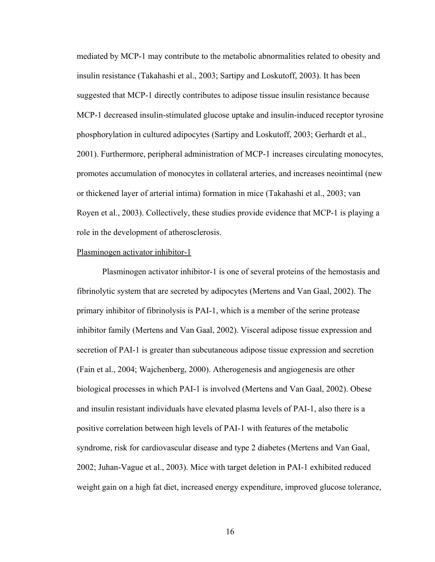mediated by MCP-1 may contribute to the metabolic abnormalities related to obesity and insulin resistance (Takahashi et al., 2003; Sartipy and Loskutoff, 2003). It has been suggested that MCP-1 directly contributes to adipose tissue insulin resistance because MCP-1 decreased insulin-stimulated glucose uptake and insulin-induced receptor tyrosine phosphorylation in cultured adipocytes (Sartipy and Loskutoff, 2003; Gerhardt et al., 2001). Furthermore, peripheral administration of MCP-1 increases circulating monocytes, promotes accumulation of monocytes in collateral arteries, and increases neointimal (new or thickened layer of arterial intima) formation in mice (Takahashi et al., 2003; van Royen et al., 2003). Collectively, these studies provide evidence that MCP-1 is playing a role in the development of atherosclerosis.

#### Plasminogen activator inhibitor-1

Plasminogen activator inhibitor-1 is one of several proteins of the hemostasis and fibrinolytic system that are secreted by adipocytes (Mertens and Van Gaal, 2002). The primary inhibitor of fibrinolysis is PAI-1, which is a member of the serine protease inhibitor family (Mertens and Van Gaal, 2002). Visceral adipose tissue expression and secretion of PAI-1 is greater than subcutaneous adipose tissue expression and secretion (Fain et al., 2004; Wajchenberg, 2000). Atherogenesis and angiogenesis are other biological processes in which PAI-1 is involved (Mertens and Van Gaal, 2002). Obese and insulin resistant individuals have elevated plasma levels of PAI-1, also there is a positive correlation between high levels of PAI-1 with features of the metabolic syndrome, risk for cardiovascular disease and type 2 diabetes (Mertens and Van Gaal, 2002; Juhan-Vague et al., 2003). Mice with target deletion in PAI-1 exhibited reduced weight gain on a high fat diet, increased energy expenditure, improved glucose tolerance,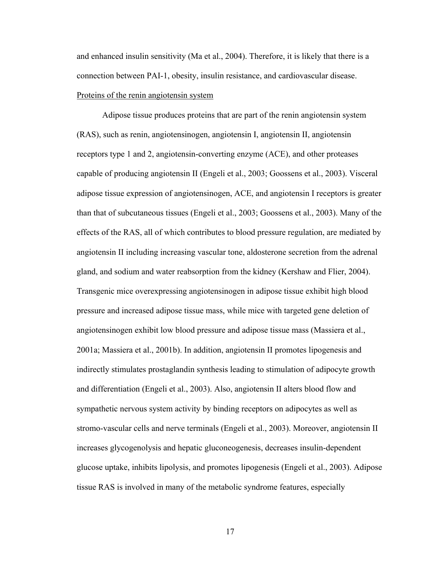and enhanced insulin sensitivity (Ma et al., 2004). Therefore, it is likely that there is a connection between PAI-1, obesity, insulin resistance, and cardiovascular disease. Proteins of the renin angiotensin system

Adipose tissue produces proteins that are part of the renin angiotensin system (RAS), such as renin, angiotensinogen, angiotensin I, angiotensin II, angiotensin receptors type 1 and 2, angiotensin-converting enzyme (ACE), and other proteases capable of producing angiotensin II (Engeli et al., 2003; Goossens et al., 2003). Visceral adipose tissue expression of angiotensinogen, ACE, and angiotensin I receptors is greater than that of subcutaneous tissues (Engeli et al., 2003; Goossens et al., 2003). Many of the effects of the RAS, all of which contributes to blood pressure regulation, are mediated by angiotensin II including increasing vascular tone, aldosterone secretion from the adrenal gland, and sodium and water reabsorption from the kidney (Kershaw and Flier, 2004). Transgenic mice overexpressing angiotensinogen in adipose tissue exhibit high blood pressure and increased adipose tissue mass, while mice with targeted gene deletion of angiotensinogen exhibit low blood pressure and adipose tissue mass (Massiera et al., 2001a; Massiera et al., 2001b). In addition, angiotensin II promotes lipogenesis and indirectly stimulates prostaglandin synthesis leading to stimulation of adipocyte growth and differentiation (Engeli et al., 2003). Also, angiotensin II alters blood flow and sympathetic nervous system activity by binding receptors on adipocytes as well as stromo-vascular cells and nerve terminals (Engeli et al., 2003). Moreover, angiotensin II increases glycogenolysis and hepatic gluconeogenesis, decreases insulin-dependent glucose uptake, inhibits lipolysis, and promotes lipogenesis (Engeli et al., 2003). Adipose tissue RAS is involved in many of the metabolic syndrome features, especially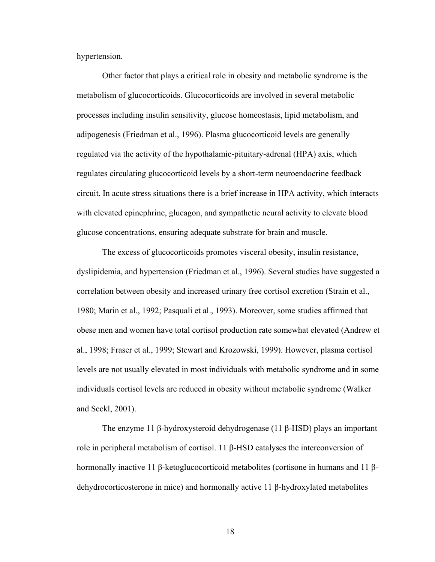hypertension.

Other factor that plays a critical role in obesity and metabolic syndrome is the metabolism of glucocorticoids. Glucocorticoids are involved in several metabolic processes including insulin sensitivity, glucose homeostasis, lipid metabolism, and adipogenesis (Friedman et al., 1996). Plasma glucocorticoid levels are generally regulated via the activity of the hypothalamic-pituitary-adrenal (HPA) axis, which regulates circulating glucocorticoid levels by a short-term neuroendocrine feedback circuit. In acute stress situations there is a brief increase in HPA activity, which interacts with elevated epinephrine, glucagon, and sympathetic neural activity to elevate blood glucose concentrations, ensuring adequate substrate for brain and muscle.

The excess of glucocorticoids promotes visceral obesity, insulin resistance, dyslipidemia, and hypertension (Friedman et al., 1996). Several studies have suggested a correlation between obesity and increased urinary free cortisol excretion (Strain et al., 1980; Marin et al., 1992; Pasquali et al., 1993). Moreover, some studies affirmed that obese men and women have total cortisol production rate somewhat elevated (Andrew et al., 1998; Fraser et al., 1999; Stewart and Krozowski, 1999). However, plasma cortisol levels are not usually elevated in most individuals with metabolic syndrome and in some individuals cortisol levels are reduced in obesity without metabolic syndrome (Walker and Seckl, 2001).

The enzyme 11 β-hydroxysteroid dehydrogenase (11 β-HSD) plays an important role in peripheral metabolism of cortisol. 11 β-HSD catalyses the interconversion of hormonally inactive 11 β-ketoglucocorticoid metabolites (cortisone in humans and 11 βdehydrocorticosterone in mice) and hormonally active 11 β-hydroxylated metabolites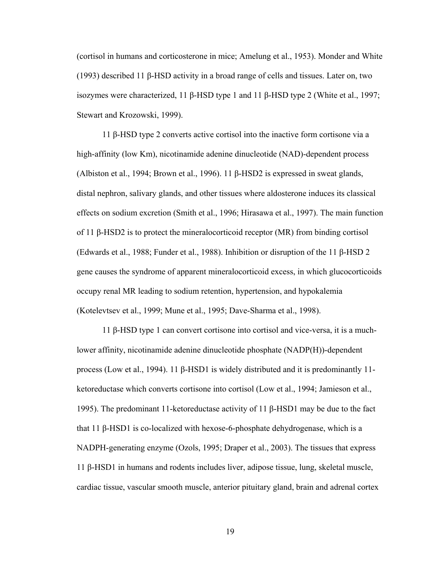(cortisol in humans and corticosterone in mice; Amelung et al., 1953). Monder and White (1993) described 11 β-HSD activity in a broad range of cells and tissues. Later on, two isozymes were characterized, 11 β-HSD type 1 and 11 β-HSD type 2 (White et al., 1997; Stewart and Krozowski, 1999).

11 β-HSD type 2 converts active cortisol into the inactive form cortisone via a high-affinity (low Km), nicotinamide adenine dinucleotide (NAD)-dependent process (Albiston et al., 1994; Brown et al., 1996). 11 β-HSD2 is expressed in sweat glands, distal nephron, salivary glands, and other tissues where aldosterone induces its classical effects on sodium excretion (Smith et al., 1996; Hirasawa et al., 1997). The main function of 11 β-HSD2 is to protect the mineralocorticoid receptor (MR) from binding cortisol (Edwards et al., 1988; Funder et al., 1988). Inhibition or disruption of the 11 β-HSD 2 gene causes the syndrome of apparent mineralocorticoid excess, in which glucocorticoids occupy renal MR leading to sodium retention, hypertension, and hypokalemia (Kotelevtsev et al., 1999; Mune et al., 1995; Dave-Sharma et al., 1998).

11 β-HSD type 1 can convert cortisone into cortisol and vice-versa, it is a muchlower affinity, nicotinamide adenine dinucleotide phosphate (NADP(H))-dependent process (Low et al., 1994). 11 β-HSD1 is widely distributed and it is predominantly 11 ketoreductase which converts cortisone into cortisol (Low et al., 1994; Jamieson et al., 1995). The predominant 11-ketoreductase activity of 11 β-HSD1 may be due to the fact that 11 β-HSD1 is co-localized with hexose-6-phosphate dehydrogenase, which is a NADPH-generating enzyme (Ozols, 1995; Draper et al., 2003). The tissues that express 11 β-HSD1 in humans and rodents includes liver, adipose tissue, lung, skeletal muscle, cardiac tissue, vascular smooth muscle, anterior pituitary gland, brain and adrenal cortex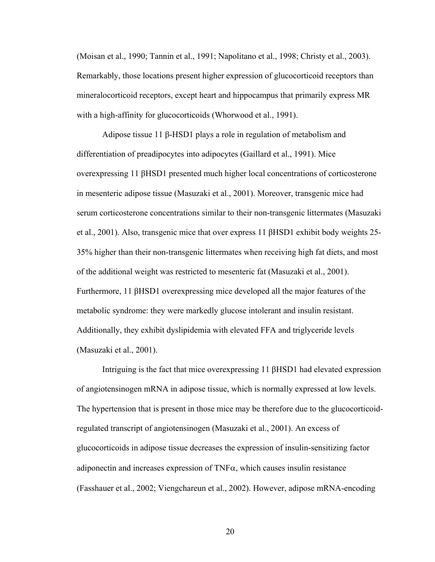(Moisan et al., 1990; Tannin et al., 1991; Napolitano et al., 1998; Christy et al., 2003). Remarkably, those locations present higher expression of glucocorticoid receptors than mineralocorticoid receptors, except heart and hippocampus that primarily express MR with a high-affinity for glucocorticoids (Whorwood et al., 1991).

Adipose tissue 11 β-HSD1 plays a role in regulation of metabolism and differentiation of preadipocytes into adipocytes (Gaillard et al., 1991). Mice overexpressing 11 βHSD1 presented much higher local concentrations of corticosterone in mesenteric adipose tissue (Masuzaki et al., 2001). Moreover, transgenic mice had serum corticosterone concentrations similar to their non-transgenic littermates (Masuzaki et al., 2001). Also, transgenic mice that over express 11 βHSD1 exhibit body weights 25- 35% higher than their non-transgenic littermates when receiving high fat diets, and most of the additional weight was restricted to mesenteric fat (Masuzaki et al., 2001). Furthermore, 11 βHSD1 overexpressing mice developed all the major features of the metabolic syndrome: they were markedly glucose intolerant and insulin resistant. Additionally, they exhibit dyslipidemia with elevated FFA and triglyceride levels (Masuzaki et al., 2001).

Intriguing is the fact that mice overexpressing 11 βHSD1 had elevated expression of angiotensinogen mRNA in adipose tissue, which is normally expressed at low levels. The hypertension that is present in those mice may be therefore due to the glucocorticoidregulated transcript of angiotensinogen (Masuzaki et al., 2001). An excess of glucocorticoids in adipose tissue decreases the expression of insulin-sensitizing factor adiponectin and increases expression of  $TNF\alpha$ , which causes insulin resistance (Fasshauer et al., 2002; Viengchareun et al., 2002). However, adipose mRNA-encoding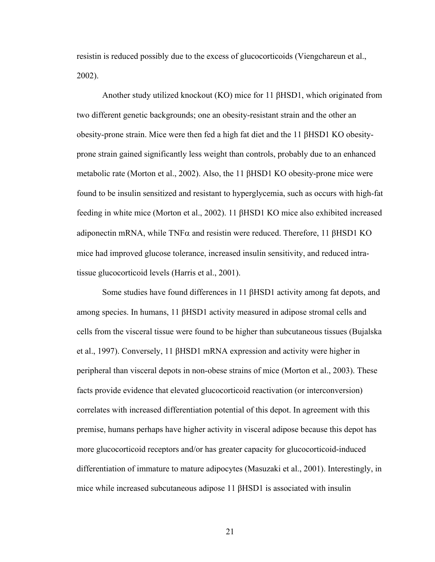resistin is reduced possibly due to the excess of glucocorticoids (Viengchareun et al., 2002).

Another study utilized knockout (KO) mice for 11 βHSD1, which originated from two different genetic backgrounds; one an obesity-resistant strain and the other an obesity-prone strain. Mice were then fed a high fat diet and the 11 βHSD1 KO obesityprone strain gained significantly less weight than controls, probably due to an enhanced metabolic rate (Morton et al., 2002). Also, the 11 βHSD1 KO obesity-prone mice were found to be insulin sensitized and resistant to hyperglycemia, such as occurs with high-fat feeding in white mice (Morton et al., 2002). 11 βHSD1 KO mice also exhibited increased adiponectin mRNA, while TNFα and resistin were reduced. Therefore, 11 βHSD1 KO mice had improved glucose tolerance, increased insulin sensitivity, and reduced intratissue glucocorticoid levels (Harris et al., 2001).

Some studies have found differences in 11 βHSD1 activity among fat depots, and among species. In humans, 11 βHSD1 activity measured in adipose stromal cells and cells from the visceral tissue were found to be higher than subcutaneous tissues (Bujalska et al., 1997). Conversely, 11 βHSD1 mRNA expression and activity were higher in peripheral than visceral depots in non-obese strains of mice (Morton et al., 2003). These facts provide evidence that elevated glucocorticoid reactivation (or interconversion) correlates with increased differentiation potential of this depot. In agreement with this premise, humans perhaps have higher activity in visceral adipose because this depot has more glucocorticoid receptors and/or has greater capacity for glucocorticoid-induced differentiation of immature to mature adipocytes (Masuzaki et al., 2001). Interestingly, in mice while increased subcutaneous adipose 11 βHSD1 is associated with insulin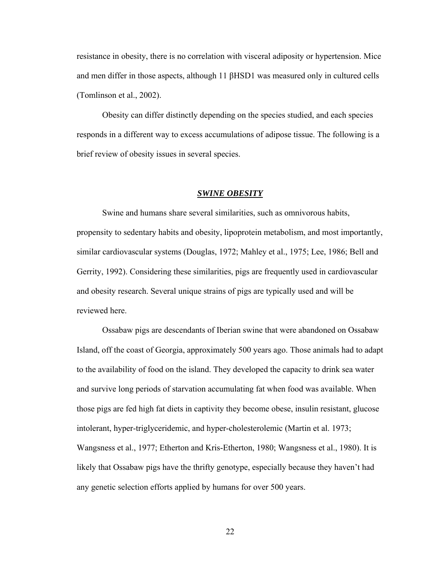resistance in obesity, there is no correlation with visceral adiposity or hypertension. Mice and men differ in those aspects, although 11 βHSD1 was measured only in cultured cells (Tomlinson et al., 2002).

Obesity can differ distinctly depending on the species studied, and each species responds in a different way to excess accumulations of adipose tissue. The following is a brief review of obesity issues in several species.

### *SWINE OBESITY*

Swine and humans share several similarities, such as omnivorous habits, propensity to sedentary habits and obesity, lipoprotein metabolism, and most importantly, similar cardiovascular systems (Douglas, 1972; Mahley et al., 1975; Lee, 1986; Bell and Gerrity, 1992). Considering these similarities, pigs are frequently used in cardiovascular and obesity research. Several unique strains of pigs are typically used and will be reviewed here.

Ossabaw pigs are descendants of Iberian swine that were abandoned on Ossabaw Island, off the coast of Georgia, approximately 500 years ago. Those animals had to adapt to the availability of food on the island. They developed the capacity to drink sea water and survive long periods of starvation accumulating fat when food was available. When those pigs are fed high fat diets in captivity they become obese, insulin resistant, glucose intolerant, hyper-triglyceridemic, and hyper-cholesterolemic (Martin et al. 1973; Wangsness et al., 1977; Etherton and Kris-Etherton, 1980; Wangsness et al., 1980). It is likely that Ossabaw pigs have the thrifty genotype, especially because they haven't had any genetic selection efforts applied by humans for over 500 years.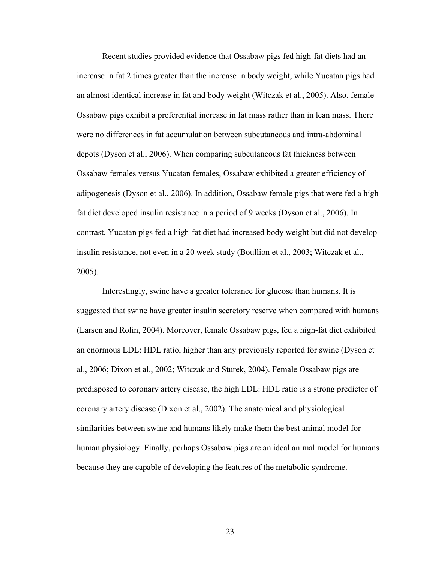Recent studies provided evidence that Ossabaw pigs fed high-fat diets had an increase in fat 2 times greater than the increase in body weight, while Yucatan pigs had an almost identical increase in fat and body weight (Witczak et al., 2005). Also, female Ossabaw pigs exhibit a preferential increase in fat mass rather than in lean mass. There were no differences in fat accumulation between subcutaneous and intra-abdominal depots (Dyson et al., 2006). When comparing subcutaneous fat thickness between Ossabaw females versus Yucatan females, Ossabaw exhibited a greater efficiency of adipogenesis (Dyson et al., 2006). In addition, Ossabaw female pigs that were fed a highfat diet developed insulin resistance in a period of 9 weeks (Dyson et al., 2006). In contrast, Yucatan pigs fed a high-fat diet had increased body weight but did not develop insulin resistance, not even in a 20 week study (Boullion et al., 2003; Witczak et al., 2005).

Interestingly, swine have a greater tolerance for glucose than humans. It is suggested that swine have greater insulin secretory reserve when compared with humans (Larsen and Rolin, 2004). Moreover, female Ossabaw pigs, fed a high-fat diet exhibited an enormous LDL: HDL ratio, higher than any previously reported for swine (Dyson et al., 2006; Dixon et al., 2002; Witczak and Sturek, 2004). Female Ossabaw pigs are predisposed to coronary artery disease, the high LDL: HDL ratio is a strong predictor of coronary artery disease (Dixon et al., 2002). The anatomical and physiological similarities between swine and humans likely make them the best animal model for human physiology. Finally, perhaps Ossabaw pigs are an ideal animal model for humans because they are capable of developing the features of the metabolic syndrome.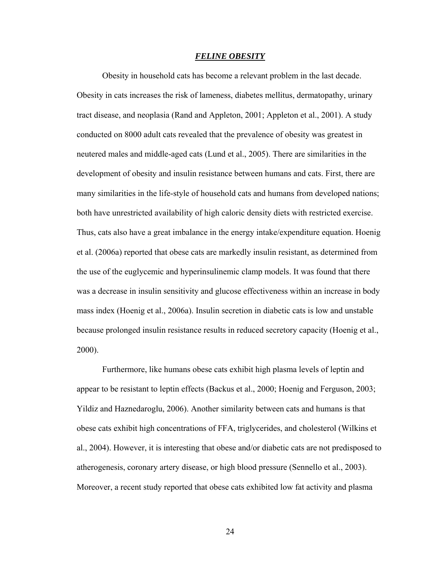#### *FELINE OBESITY*

Obesity in household cats has become a relevant problem in the last decade. Obesity in cats increases the risk of lameness, diabetes mellitus, dermatopathy, urinary tract disease, and neoplasia (Rand and Appleton, 2001; Appleton et al., 2001). A study conducted on 8000 adult cats revealed that the prevalence of obesity was greatest in neutered males and middle-aged cats (Lund et al., 2005). There are similarities in the development of obesity and insulin resistance between humans and cats. First, there are many similarities in the life-style of household cats and humans from developed nations; both have unrestricted availability of high caloric density diets with restricted exercise. Thus, cats also have a great imbalance in the energy intake/expenditure equation. Hoenig et al. (2006a) reported that obese cats are markedly insulin resistant, as determined from the use of the euglycemic and hyperinsulinemic clamp models. It was found that there was a decrease in insulin sensitivity and glucose effectiveness within an increase in body mass index (Hoenig et al., 2006a). Insulin secretion in diabetic cats is low and unstable because prolonged insulin resistance results in reduced secretory capacity (Hoenig et al., 2000).

Furthermore, like humans obese cats exhibit high plasma levels of leptin and appear to be resistant to leptin effects (Backus et al., 2000; Hoenig and Ferguson, 2003; Yildiz and Haznedaroglu, 2006). Another similarity between cats and humans is that obese cats exhibit high concentrations of FFA, triglycerides, and cholesterol (Wilkins et al., 2004). However, it is interesting that obese and/or diabetic cats are not predisposed to atherogenesis, coronary artery disease, or high blood pressure (Sennello et al., 2003). Moreover, a recent study reported that obese cats exhibited low fat activity and plasma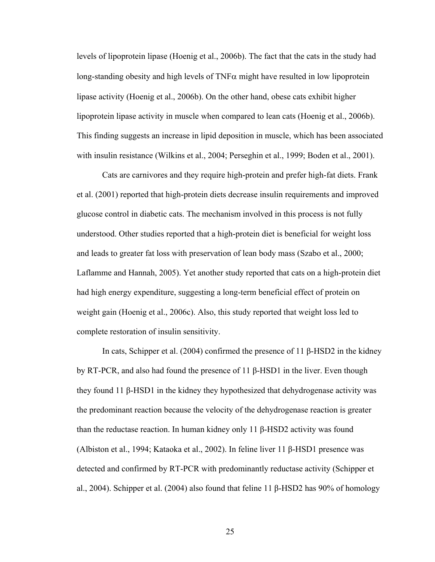levels of lipoprotein lipase (Hoenig et al., 2006b). The fact that the cats in the study had long-standing obesity and high levels of  $TNF\alpha$  might have resulted in low lipoprotein lipase activity (Hoenig et al., 2006b). On the other hand, obese cats exhibit higher lipoprotein lipase activity in muscle when compared to lean cats (Hoenig et al., 2006b). This finding suggests an increase in lipid deposition in muscle, which has been associated with insulin resistance (Wilkins et al., 2004; Perseghin et al., 1999; Boden et al., 2001).

Cats are carnivores and they require high-protein and prefer high-fat diets. Frank et al. (2001) reported that high-protein diets decrease insulin requirements and improved glucose control in diabetic cats. The mechanism involved in this process is not fully understood. Other studies reported that a high-protein diet is beneficial for weight loss and leads to greater fat loss with preservation of lean body mass (Szabo et al., 2000; Laflamme and Hannah, 2005). Yet another study reported that cats on a high-protein diet had high energy expenditure, suggesting a long-term beneficial effect of protein on weight gain (Hoenig et al., 2006c). Also, this study reported that weight loss led to complete restoration of insulin sensitivity.

In cats, Schipper et al. (2004) confirmed the presence of 11 β-HSD2 in the kidney by RT-PCR, and also had found the presence of 11 β-HSD1 in the liver. Even though they found 11 β-HSD1 in the kidney they hypothesized that dehydrogenase activity was the predominant reaction because the velocity of the dehydrogenase reaction is greater than the reductase reaction. In human kidney only 11 β-HSD2 activity was found (Albiston et al., 1994; Kataoka et al., 2002). In feline liver 11 β-HSD1 presence was detected and confirmed by RT-PCR with predominantly reductase activity (Schipper et al., 2004). Schipper et al. (2004) also found that feline 11 β-HSD2 has 90% of homology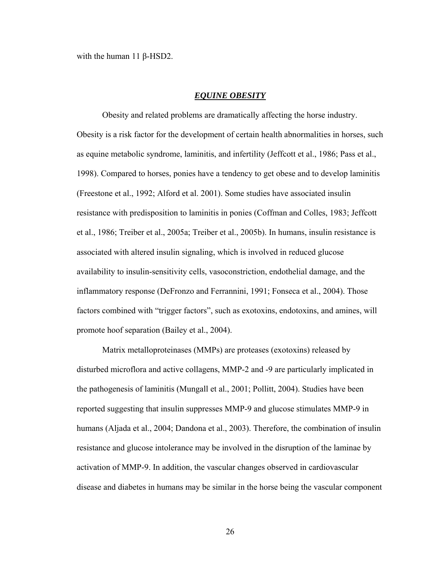with the human 11 β-HSD2.

#### *EQUINE OBESITY*

Obesity and related problems are dramatically affecting the horse industry. Obesity is a risk factor for the development of certain health abnormalities in horses, such as equine metabolic syndrome, laminitis, and infertility (Jeffcott et al., 1986; Pass et al., 1998). Compared to horses, ponies have a tendency to get obese and to develop laminitis (Freestone et al., 1992; Alford et al. 2001). Some studies have associated insulin resistance with predisposition to laminitis in ponies (Coffman and Colles, 1983; Jeffcott et al., 1986; Treiber et al., 2005a; Treiber et al., 2005b). In humans, insulin resistance is associated with altered insulin signaling, which is involved in reduced glucose availability to insulin-sensitivity cells, vasoconstriction, endothelial damage, and the inflammatory response (DeFronzo and Ferrannini, 1991; Fonseca et al., 2004). Those factors combined with "trigger factors", such as exotoxins, endotoxins, and amines, will promote hoof separation (Bailey et al., 2004).

Matrix metalloproteinases (MMPs) are proteases (exotoxins) released by disturbed microflora and active collagens, MMP-2 and -9 are particularly implicated in the pathogenesis of laminitis (Mungall et al., 2001; Pollitt, 2004). Studies have been reported suggesting that insulin suppresses MMP-9 and glucose stimulates MMP-9 in humans (Aljada et al., 2004; Dandona et al., 2003). Therefore, the combination of insulin resistance and glucose intolerance may be involved in the disruption of the laminae by activation of MMP-9. In addition, the vascular changes observed in cardiovascular disease and diabetes in humans may be similar in the horse being the vascular component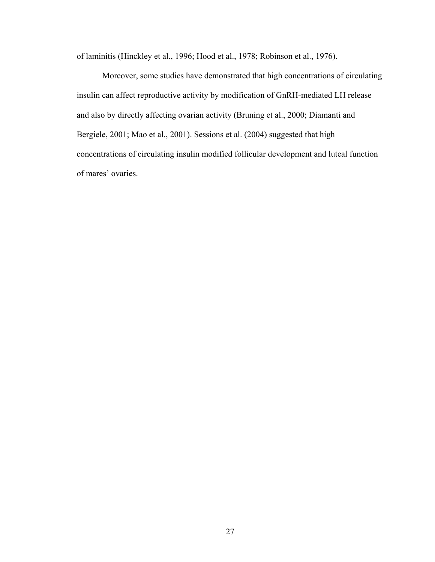of laminitis (Hinckley et al., 1996; Hood et al., 1978; Robinson et al., 1976).

Moreover, some studies have demonstrated that high concentrations of circulating insulin can affect reproductive activity by modification of GnRH-mediated LH release and also by directly affecting ovarian activity (Bruning et al., 2000; Diamanti and Bergiele, 2001; Mao et al., 2001). Sessions et al. (2004) suggested that high concentrations of circulating insulin modified follicular development and luteal function of mares' ovaries.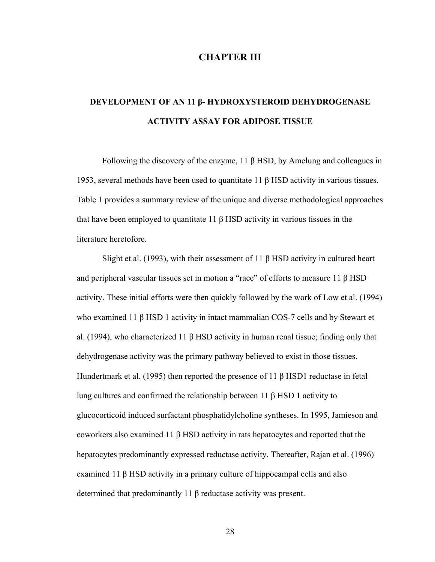# **CHAPTER III**

# **DEVELOPMENT OF AN 11 β- HYDROXYSTEROID DEHYDROGENASE ACTIVITY ASSAY FOR ADIPOSE TISSUE**

Following the discovery of the enzyme, 11 β HSD, by Amelung and colleagues in 1953, several methods have been used to quantitate 11 β HSD activity in various tissues. Table 1 provides a summary review of the unique and diverse methodological approaches that have been employed to quantitate 11 β HSD activity in various tissues in the literature heretofore.

Slight et al. (1993), with their assessment of 11  $\beta$  HSD activity in cultured heart and peripheral vascular tissues set in motion a "race" of efforts to measure 11 β HSD activity. These initial efforts were then quickly followed by the work of Low et al. (1994) who examined 11 β HSD 1 activity in intact mammalian COS-7 cells and by Stewart et al. (1994), who characterized 11 β HSD activity in human renal tissue; finding only that dehydrogenase activity was the primary pathway believed to exist in those tissues. Hundertmark et al. (1995) then reported the presence of 11 β HSD1 reductase in fetal lung cultures and confirmed the relationship between 11 β HSD 1 activity to glucocorticoid induced surfactant phosphatidylcholine syntheses. In 1995, Jamieson and coworkers also examined 11 β HSD activity in rats hepatocytes and reported that the hepatocytes predominantly expressed reductase activity. Thereafter, Rajan et al. (1996) examined 11 β HSD activity in a primary culture of hippocampal cells and also determined that predominantly 11 β reductase activity was present.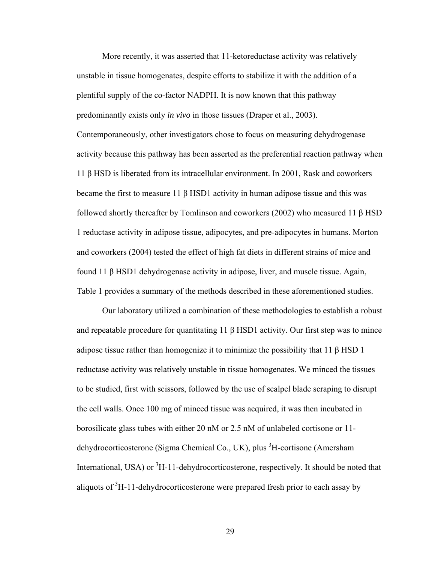More recently, it was asserted that 11-ketoreductase activity was relatively unstable in tissue homogenates, despite efforts to stabilize it with the addition of a plentiful supply of the co-factor NADPH. It is now known that this pathway predominantly exists only *in vivo* in those tissues (Draper et al., 2003). Contemporaneously, other investigators chose to focus on measuring dehydrogenase activity because this pathway has been asserted as the preferential reaction pathway when 11 β HSD is liberated from its intracellular environment. In 2001, Rask and coworkers became the first to measure 11 β HSD1 activity in human adipose tissue and this was followed shortly thereafter by Tomlinson and coworkers (2002) who measured 11 β HSD 1 reductase activity in adipose tissue, adipocytes, and pre-adipocytes in humans. Morton and coworkers (2004) tested the effect of high fat diets in different strains of mice and found 11 β HSD1 dehydrogenase activity in adipose, liver, and muscle tissue. Again, Table 1 provides a summary of the methods described in these aforementioned studies.

Our laboratory utilized a combination of these methodologies to establish a robust and repeatable procedure for quantitating 11  $\beta$  HSD1 activity. Our first step was to mince adipose tissue rather than homogenize it to minimize the possibility that 11  $\beta$  HSD 1 reductase activity was relatively unstable in tissue homogenates. We minced the tissues to be studied, first with scissors, followed by the use of scalpel blade scraping to disrupt the cell walls. Once 100 mg of minced tissue was acquired, it was then incubated in borosilicate glass tubes with either 20 nM or 2.5 nM of unlabeled cortisone or 11 dehydrocorticosterone (Sigma Chemical Co., UK), plus <sup>3</sup>H-cortisone (Amersham International, USA) or <sup>3</sup>H-11-dehydrocorticosterone, respectively. It should be noted that aliquots of  ${}^{3}$ H-11-dehydrocorticosterone were prepared fresh prior to each assay by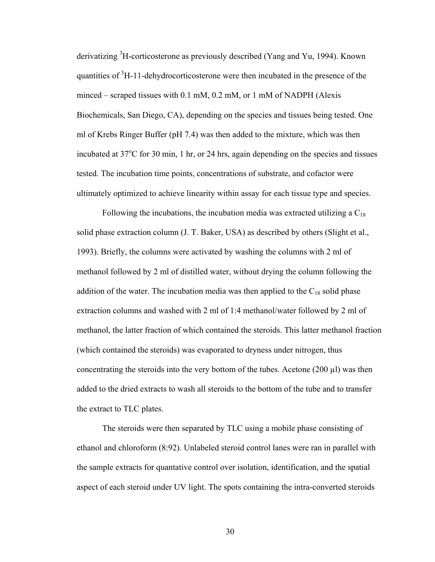derivatizing <sup>3</sup>H-corticosterone as previously described (Yang and Yu, 1994). Known quantities of  ${}^{3}$ H-11-dehydrocorticosterone were then incubated in the presence of the minced – scraped tissues with 0.1 mM, 0.2 mM, or 1 mM of NADPH (Alexis Biochemicals, San Diego, CA), depending on the species and tissues being tested. One ml of Krebs Ringer Buffer (pH 7.4) was then added to the mixture, which was then incubated at 37°C for 30 min, 1 hr, or 24 hrs, again depending on the species and tissues tested. The incubation time points, concentrations of substrate, and cofactor were ultimately optimized to achieve linearity within assay for each tissue type and species.

Following the incubations, the incubation media was extracted utilizing a  $C_{18}$ solid phase extraction column (J. T. Baker, USA) as described by others (Slight et al., 1993). Briefly, the columns were activated by washing the columns with 2 ml of methanol followed by 2 ml of distilled water, without drying the column following the addition of the water. The incubation media was then applied to the  $C_{18}$  solid phase extraction columns and washed with 2 ml of 1:4 methanol/water followed by 2 ml of methanol, the latter fraction of which contained the steroids. This latter methanol fraction (which contained the steroids) was evaporated to dryness under nitrogen, thus concentrating the steroids into the very bottom of the tubes. Acetone (200  $\mu$ l) was then added to the dried extracts to wash all steroids to the bottom of the tube and to transfer the extract to TLC plates.

The steroids were then separated by TLC using a mobile phase consisting of ethanol and chloroform (8:92). Unlabeled steroid control lanes were ran in parallel with the sample extracts for quantative control over isolation, identification, and the spatial aspect of each steroid under UV light. The spots containing the intra-converted steroids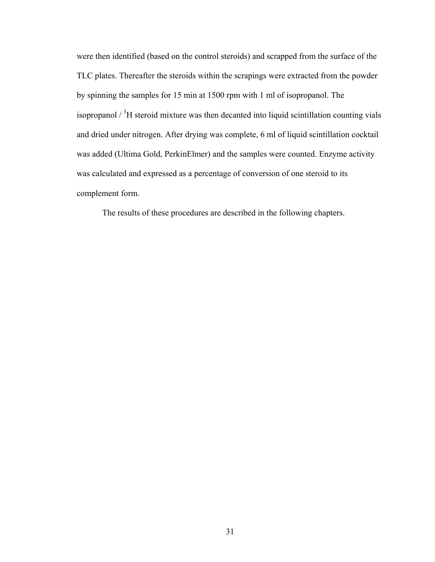were then identified (based on the control steroids) and scrapped from the surface of the TLC plates. Thereafter the steroids within the scrapings were extracted from the powder by spinning the samples for 15 min at 1500 rpm with 1 ml of isopropanol. The isopropanol  $\frac{3}{1}$  steroid mixture was then decanted into liquid scintillation counting vials and dried under nitrogen. After drying was complete, 6 ml of liquid scintillation cocktail was added (Ultima Gold, PerkinElmer) and the samples were counted. Enzyme activity was calculated and expressed as a percentage of conversion of one steroid to its complement form.

The results of these procedures are described in the following chapters.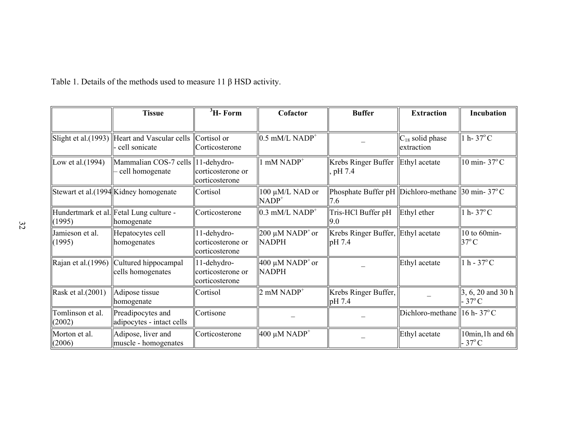|                            | <b>Tissue</b>                                                    | ${}^{3}$ H- Form                                   | Cofactor                                      | <b>Buffer</b>                                                      | <b>Extraction</b>                        | Incubation                             |
|----------------------------|------------------------------------------------------------------|----------------------------------------------------|-----------------------------------------------|--------------------------------------------------------------------|------------------------------------------|----------------------------------------|
|                            | Slight et al. $(1993)$ Heart and Vascular cells<br>cell sonicate | Cortisol or<br>Corticosterone                      | $0.5$ mM/L NADP <sup>+</sup>                  |                                                                    | $C_{18}$ solid phase<br>extraction       | 1 h - $37^{\circ}$ C                   |
| Low et al. $(1994)$        | Mammalian COS-7 cells   11-dehydro-<br>cell homogenate           | corticosterone or<br>corticosterone                | $\mathsf{I}$ mM NADP <sup>+</sup>             | Krebs Ringer Buffer<br>pH 7.4                                      | Ethyl acetate                            | 10 min-37°C                            |
|                            | Stewart et al.(1994 Kidney homogenate                            | Cortisol                                           | 100 μM/L NAD or<br>$NADP+$                    | Phosphate Buffer pH Dichloro-methane 30 min- $37^{\circ}$ C<br>7.6 |                                          |                                        |
| (1995)                     | Hundertmark et al. Fetal Lung culture -<br>homogenate            | Corticosterone                                     | $0.3$ mM/L NADP <sup>+</sup>                  | Tris-HCl Buffer pH<br>9.0                                          | Ethyl ether                              | 1 h - $37^{\circ}$ C                   |
| Jamieson et al.<br>(1995)  | Hepatocytes cell<br>homogenates                                  | 11-dehydro-<br>corticosterone or<br>corticosterone | $200 \mu M NADP^+$ or<br><b>NADPH</b>         | Krebs Ringer Buffer, Ethyl acetate<br>pH 7.4                       |                                          | 10 to 60min-<br>$37^{\circ}$ C         |
| Rajan et al.(1996)         | Cultured hippocampal<br>cells homogenates                        | 11-dehydro-<br>corticosterone or<br>corticosterone | $400 \mu M NADP^{\dagger}$ or<br><b>NADPH</b> |                                                                    | Ethyl acetate                            | $1 h - 37$ °C                          |
| Rask et al.(2001)          | Adipose tissue<br>homogenate                                     | Cortisol                                           | $2$ mM NADP <sup>+</sup>                      | Krebs Ringer Buffer,<br>pH 7.4                                     |                                          | 3, 6, 20 and 30 h<br>$37^{\circ}$ C    |
| Tomlinson et al.<br>(2002) | Preadipocytes and<br>adipocytes - intact cells                   | Cortisone                                          |                                               |                                                                    | Dichloro-methane   16 h - $37^{\circ}$ C |                                        |
| Morton et al.<br>(2006)    | Adipose, liver and<br>muscle - homogenates                       | Corticosterone                                     | $400 \mu M NADP+$                             |                                                                    | Ethyl acetate                            | 10 $min$ , 1h and 6h<br>$37^{\circ}$ C |

Table 1. Details of the methods used to measure 11  $\beta$  HSD activity.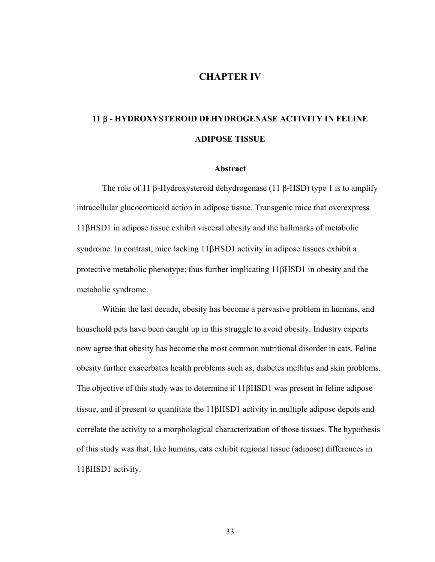# **CHAPTER IV**

# **11** β **- HYDROXYSTEROID DEHYDROGENASE ACTIVITY IN FELINE ADIPOSE TISSUE**

#### **Abstract**

The role of 11 β-Hydroxysteroid dehydrogenase (11 β-HSD) type 1 is to amplify intracellular glucocorticoid action in adipose tissue. Transgenic mice that overexpress 11βHSD1 in adipose tissue exhibit visceral obesity and the hallmarks of metabolic syndrome. In contrast, mice lacking 11βHSD1 activity in adipose tissues exhibit a protective metabolic phenotype; thus further implicating 11βHSD1 in obesity and the metabolic syndrome.

Within the last decade, obesity has become a pervasive problem in humans, and household pets have been caught up in this struggle to avoid obesity. Industry experts now agree that obesity has become the most common nutritional disorder in cats. Feline obesity further exacerbates health problems such as, diabetes mellitus and skin problems. The objective of this study was to determine if 11βHSD1 was present in feline adipose tissue, and if present to quantitate the 11βHSD1 activity in multiple adipose depots and correlate the activity to a morphological characterization of those tissues. The hypothesis of this study was that, like humans, cats exhibit regional tissue (adipose) differences in 11βHSD1 activity.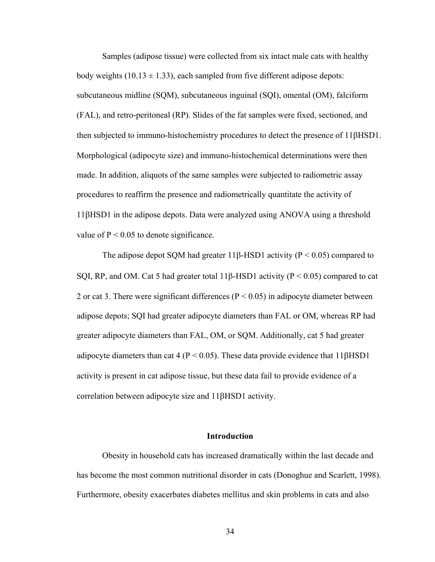Samples (adipose tissue) were collected from six intact male cats with healthy body weights (10.13  $\pm$  1.33), each sampled from five different adipose depots: subcutaneous midline (SQM), subcutaneous inguinal (SQI), omental (OM), falciform (FAL), and retro-peritoneal (RP). Slides of the fat samples were fixed, sectioned, and then subjected to immuno-histochemistry procedures to detect the presence of 11βHSD1. Morphological (adipocyte size) and immuno-histochemical determinations were then made. In addition, aliquots of the same samples were subjected to radiometric assay procedures to reaffirm the presence and radiometrically quantitate the activity of 11βHSD1 in the adipose depots. Data were analyzed using ANOVA using a threshold value of  $P < 0.05$  to denote significance.

The adipose depot SQM had greater 11β-HSD1 activity ( $P \le 0.05$ ) compared to SQI, RP, and OM. Cat 5 had greater total 11 $\beta$ -HSD1 activity (P < 0.05) compared to cat 2 or cat 3. There were significant differences ( $P < 0.05$ ) in adipocyte diameter between adipose depots; SQI had greater adipocyte diameters than FAL or OM, whereas RP had greater adipocyte diameters than FAL, OM, or SQM. Additionally, cat 5 had greater adipocyte diameters than cat 4 ( $P < 0.05$ ). These data provide evidence that 11 $\beta$ HSD1 activity is present in cat adipose tissue, but these data fail to provide evidence of a correlation between adipocyte size and 11βHSD1 activity.

## **Introduction**

Obesity in household cats has increased dramatically within the last decade and has become the most common nutritional disorder in cats (Donoghue and Scarlett, 1998). Furthermore, obesity exacerbates diabetes mellitus and skin problems in cats and also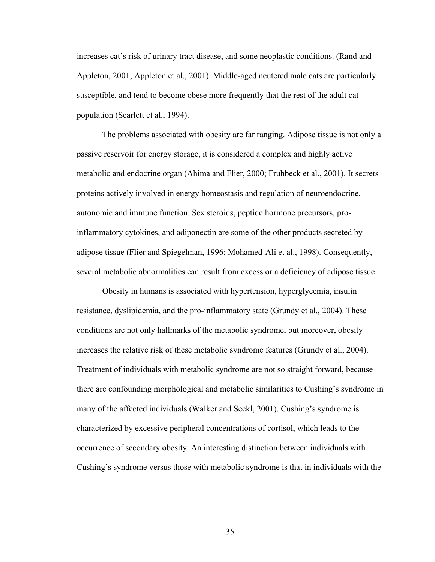increases cat's risk of urinary tract disease, and some neoplastic conditions. (Rand and Appleton, 2001; Appleton et al., 2001). Middle-aged neutered male cats are particularly susceptible, and tend to become obese more frequently that the rest of the adult cat population (Scarlett et al., 1994).

The problems associated with obesity are far ranging. Adipose tissue is not only a passive reservoir for energy storage, it is considered a complex and highly active metabolic and endocrine organ (Ahima and Flier, 2000; Fruhbeck et al., 2001). It secrets proteins actively involved in energy homeostasis and regulation of neuroendocrine, autonomic and immune function. Sex steroids, peptide hormone precursors, proinflammatory cytokines, and adiponectin are some of the other products secreted by adipose tissue (Flier and Spiegelman, 1996; Mohamed-Ali et al., 1998). Consequently, several metabolic abnormalities can result from excess or a deficiency of adipose tissue.

Obesity in humans is associated with hypertension, hyperglycemia, insulin resistance, dyslipidemia, and the pro-inflammatory state (Grundy et al., 2004). These conditions are not only hallmarks of the metabolic syndrome, but moreover, obesity increases the relative risk of these metabolic syndrome features (Grundy et al., 2004). Treatment of individuals with metabolic syndrome are not so straight forward, because there are confounding morphological and metabolic similarities to Cushing's syndrome in many of the affected individuals (Walker and Seckl, 2001). Cushing's syndrome is characterized by excessive peripheral concentrations of cortisol, which leads to the occurrence of secondary obesity. An interesting distinction between individuals with Cushing's syndrome versus those with metabolic syndrome is that in individuals with the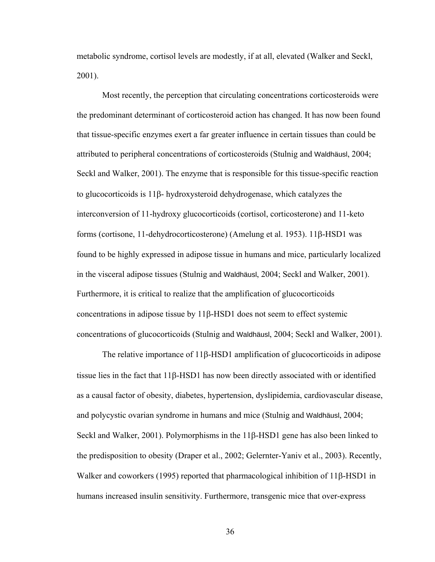metabolic syndrome, cortisol levels are modestly, if at all, elevated (Walker and Seckl, 2001).

Most recently, the perception that circulating concentrations corticosteroids were the predominant determinant of corticosteroid action has changed. It has now been found that tissue-specific enzymes exert a far greater influence in certain tissues than could be attributed to peripheral concentrations of corticosteroids (Stulnig and Waldhäusl, 2004; Seckl and Walker, 2001). The enzyme that is responsible for this tissue-specific reaction to glucocorticoids is 11β- hydroxysteroid dehydrogenase, which catalyzes the interconversion of 11-hydroxy glucocorticoids (cortisol, corticosterone) and 11-keto forms (cortisone, 11-dehydrocorticosterone) (Amelung et al. 1953). 11β-HSD1 was found to be highly expressed in adipose tissue in humans and mice, particularly localized in the visceral adipose tissues (Stulnig and Waldhäusl, 2004; Seckl and Walker, 2001). Furthermore, it is critical to realize that the amplification of glucocorticoids concentrations in adipose tissue by 11β-HSD1 does not seem to effect systemic concentrations of glucocorticoids (Stulnig and Waldhäusl, 2004; Seckl and Walker, 2001).

The relative importance of 11β-HSD1 amplification of glucocorticoids in adipose tissue lies in the fact that 11β-HSD1 has now been directly associated with or identified as a causal factor of obesity, diabetes, hypertension, dyslipidemia, cardiovascular disease, and polycystic ovarian syndrome in humans and mice (Stulnig and Waldhäusl, 2004; Seckl and Walker, 2001). Polymorphisms in the 11β-HSD1 gene has also been linked to the predisposition to obesity (Draper et al., 2002; Gelernter-Yaniv et al., 2003). Recently, Walker and coworkers (1995) reported that pharmacological inhibition of 11β-HSD1 in humans increased insulin sensitivity. Furthermore, transgenic mice that over-express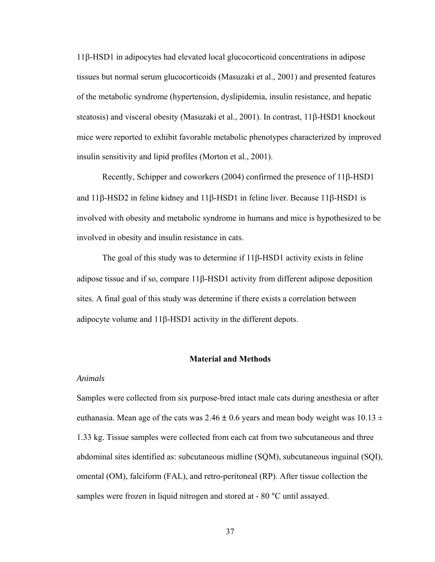11β-HSD1 in adipocytes had elevated local glucocorticoid concentrations in adipose tissues but normal serum glucocorticoids (Masuzaki et al., 2001) and presented features of the metabolic syndrome (hypertension, dyslipidemia, insulin resistance, and hepatic steatosis) and visceral obesity (Masuzaki et al., 2001). In contrast, 11β-HSD1 knockout mice were reported to exhibit favorable metabolic phenotypes characterized by improved insulin sensitivity and lipid profiles (Morton et al., 2001).

Recently, Schipper and coworkers (2004) confirmed the presence of 11β-HSD1 and 11β-HSD2 in feline kidney and 11β-HSD1 in feline liver. Because 11β-HSD1 is involved with obesity and metabolic syndrome in humans and mice is hypothesized to be involved in obesity and insulin resistance in cats.

The goal of this study was to determine if 11β-HSD1 activity exists in feline adipose tissue and if so, compare 11β-HSD1 activity from different adipose deposition sites. A final goal of this study was determine if there exists a correlation between adipocyte volume and 11β-HSD1 activity in the different depots.

## **Material and Methods**

### *Animals*

Samples were collected from six purpose-bred intact male cats during anesthesia or after euthanasia. Mean age of the cats was 2.46  $\pm$  0.6 years and mean body weight was 10.13  $\pm$ 1.33 kg. Tissue samples were collected from each cat from two subcutaneous and three abdominal sites identified as: subcutaneous midline (SQM), subcutaneous inguinal (SQI), omental (OM), falciform (FAL), and retro-peritoneal (RP). After tissue collection the samples were frozen in liquid nitrogen and stored at - 80 °C until assayed.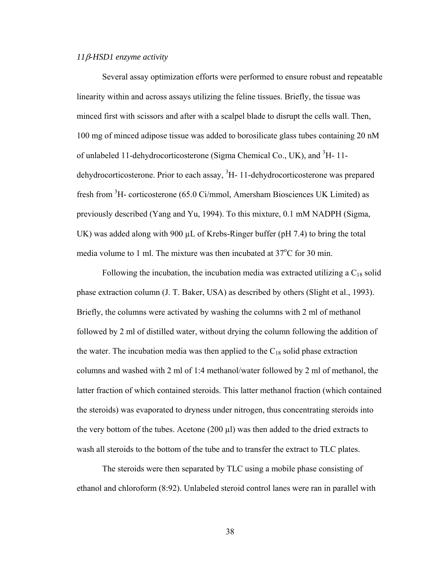## *11*β*-HSD1 enzyme activity*

Several assay optimization efforts were performed to ensure robust and repeatable linearity within and across assays utilizing the feline tissues. Briefly, the tissue was minced first with scissors and after with a scalpel blade to disrupt the cells wall. Then, 100 mg of minced adipose tissue was added to borosilicate glass tubes containing 20 nM of unlabeled 11-dehydrocorticosterone (Sigma Chemical Co., UK), and <sup>3</sup>H-11dehydrocorticosterone. Prior to each assay,  ${}^{3}$ H- 11-dehydrocorticosterone was prepared fresh from <sup>3</sup>H- corticosterone (65.0 Ci/mmol, Amersham Biosciences UK Limited) as previously described (Yang and Yu, 1994). To this mixture, 0.1 mM NADPH (Sigma, UK) was added along with 900  $\mu$ L of Krebs-Ringer buffer (pH 7.4) to bring the total media volume to 1 ml. The mixture was then incubated at 37°C for 30 min.

Following the incubation, the incubation media was extracted utilizing a  $C_{18}$  solid phase extraction column (J. T. Baker, USA) as described by others (Slight et al., 1993). Briefly, the columns were activated by washing the columns with 2 ml of methanol followed by 2 ml of distilled water, without drying the column following the addition of the water. The incubation media was then applied to the  $C_{18}$  solid phase extraction columns and washed with 2 ml of 1:4 methanol/water followed by 2 ml of methanol, the latter fraction of which contained steroids. This latter methanol fraction (which contained the steroids) was evaporated to dryness under nitrogen, thus concentrating steroids into the very bottom of the tubes. Acetone (200 µl) was then added to the dried extracts to wash all steroids to the bottom of the tube and to transfer the extract to TLC plates.

The steroids were then separated by TLC using a mobile phase consisting of ethanol and chloroform (8:92). Unlabeled steroid control lanes were ran in parallel with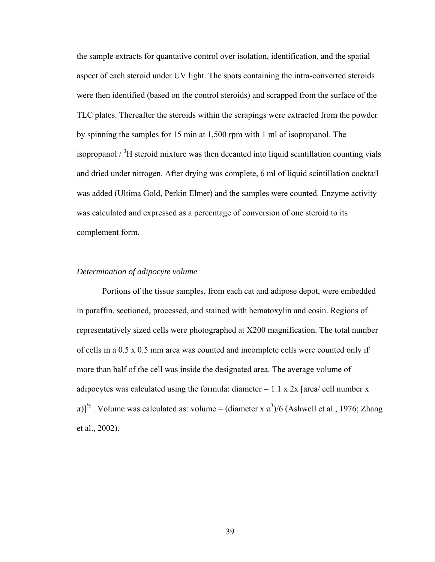the sample extracts for quantative control over isolation, identification, and the spatial aspect of each steroid under UV light. The spots containing the intra-converted steroids were then identified (based on the control steroids) and scrapped from the surface of the TLC plates. Thereafter the steroids within the scrapings were extracted from the powder by spinning the samples for 15 min at 1,500 rpm with 1 ml of isopropanol. The isopropanol  $\frac{3}{1}$  steroid mixture was then decanted into liquid scintillation counting vials and dried under nitrogen. After drying was complete, 6 ml of liquid scintillation cocktail was added (Ultima Gold, Perkin Elmer) and the samples were counted. Enzyme activity was calculated and expressed as a percentage of conversion of one steroid to its complement form.

## *Determination of adipocyte volume*

Portions of the tissue samples, from each cat and adipose depot, were embedded in paraffin, sectioned, processed, and stained with hematoxylin and eosin. Regions of representatively sized cells were photographed at X200 magnification. The total number of cells in a 0.5 x 0.5 mm area was counted and incomplete cells were counted only if more than half of the cell was inside the designated area. The average volume of adipocytes was calculated using the formula: diameter  $= 1.1$  x 2x [area/ cell number x  $(\pi)]^{\frac{1}{2}}$ . Volume was calculated as: volume = (diameter x  $\pi^3/6$  (Ashwell et al., 1976; Zhang et al., 2002).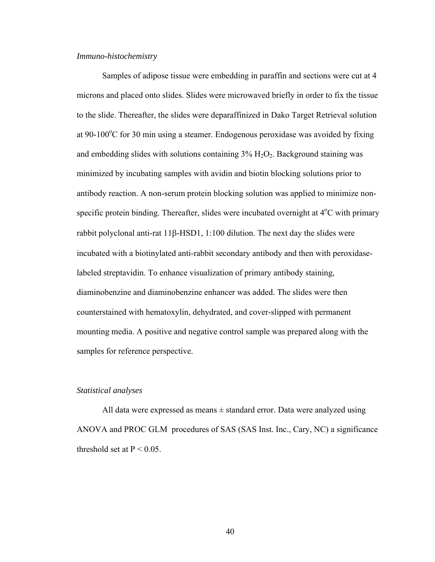### *Immuno-histochemistry*

Samples of adipose tissue were embedding in paraffin and sections were cut at 4 microns and placed onto slides. Slides were microwaved briefly in order to fix the tissue to the slide. Thereafter, the slides were deparaffinized in Dako Target Retrieval solution at 90-100 $^{\circ}$ C for 30 min using a steamer. Endogenous peroxidase was avoided by fixing and embedding slides with solutions containing  $3\%$  H<sub>2</sub>O<sub>2</sub>. Background staining was minimized by incubating samples with avidin and biotin blocking solutions prior to antibody reaction. A non-serum protein blocking solution was applied to minimize nonspecific protein binding. Thereafter, slides were incubated overnight at 4°C with primary rabbit polyclonal anti-rat 11β-HSD1, 1:100 dilution. The next day the slides were incubated with a biotinylated anti-rabbit secondary antibody and then with peroxidaselabeled streptavidin. To enhance visualization of primary antibody staining, diaminobenzine and diaminobenzine enhancer was added. The slides were then counterstained with hematoxylin, dehydrated, and cover-slipped with permanent mounting media. A positive and negative control sample was prepared along with the samples for reference perspective.

## *Statistical analyses*

All data were expressed as means  $\pm$  standard error. Data were analyzed using ANOVA and PROC GLM procedures of SAS (SAS Inst. Inc., Cary, NC) a significance threshold set at  $P < 0.05$ .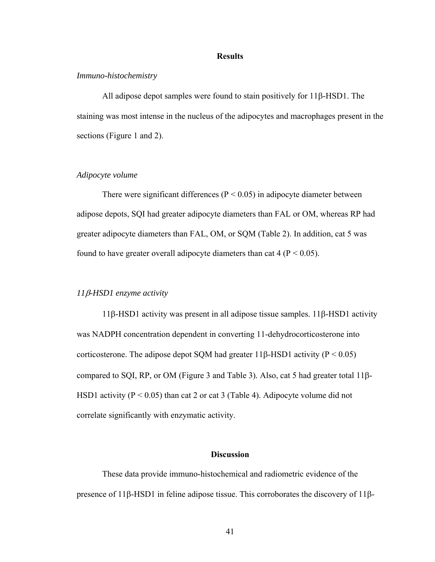### **Results**

### *Immuno-histochemistry*

All adipose depot samples were found to stain positively for 11β-HSD1. The staining was most intense in the nucleus of the adipocytes and macrophages present in the sections (Figure 1 and 2).

## *Adipocyte volume*

There were significant differences ( $P < 0.05$ ) in adipocyte diameter between adipose depots, SQI had greater adipocyte diameters than FAL or OM, whereas RP had greater adipocyte diameters than FAL, OM, or SQM (Table 2). In addition, cat 5 was found to have greater overall adipocyte diameters than cat  $4 (P < 0.05)$ .

### *11*β*-HSD1 enzyme activity*

11β-HSD1 activity was present in all adipose tissue samples. 11β-HSD1 activity was NADPH concentration dependent in converting 11-dehydrocorticosterone into corticosterone. The adipose depot SQM had greater 11β-HSD1 activity ( $P < 0.05$ ) compared to SQI, RP, or OM (Figure 3 and Table 3). Also, cat 5 had greater total 11β-HSD1 activity ( $P < 0.05$ ) than cat 2 or cat 3 (Table 4). Adipocyte volume did not correlate significantly with enzymatic activity.

## **Discussion**

These data provide immuno-histochemical and radiometric evidence of the presence of 11β-HSD1 in feline adipose tissue. This corroborates the discovery of 11β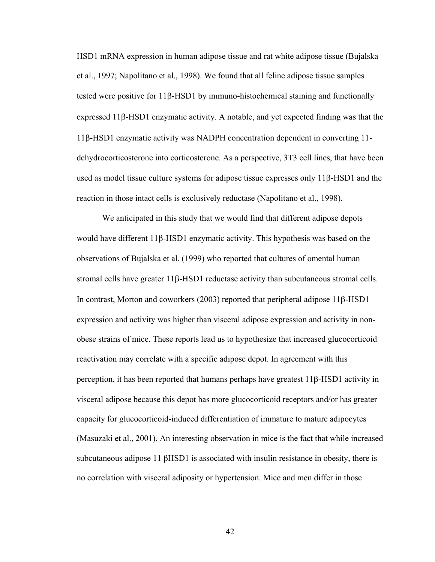HSD1 mRNA expression in human adipose tissue and rat white adipose tissue (Bujalska et al., 1997; Napolitano et al., 1998). We found that all feline adipose tissue samples tested were positive for 11β-HSD1 by immuno-histochemical staining and functionally expressed 11β-HSD1 enzymatic activity. A notable, and yet expected finding was that the 11β-HSD1 enzymatic activity was NADPH concentration dependent in converting 11 dehydrocorticosterone into corticosterone. As a perspective, 3T3 cell lines, that have been used as model tissue culture systems for adipose tissue expresses only 11β-HSD1 and the reaction in those intact cells is exclusively reductase (Napolitano et al., 1998).

We anticipated in this study that we would find that different adipose depots would have different 11β-HSD1 enzymatic activity. This hypothesis was based on the observations of Bujalska et al. (1999) who reported that cultures of omental human stromal cells have greater 11β-HSD1 reductase activity than subcutaneous stromal cells. In contrast, Morton and coworkers (2003) reported that peripheral adipose 11β-HSD1 expression and activity was higher than visceral adipose expression and activity in nonobese strains of mice. These reports lead us to hypothesize that increased glucocorticoid reactivation may correlate with a specific adipose depot. In agreement with this perception, it has been reported that humans perhaps have greatest 11β-HSD1 activity in visceral adipose because this depot has more glucocorticoid receptors and/or has greater capacity for glucocorticoid-induced differentiation of immature to mature adipocytes (Masuzaki et al., 2001). An interesting observation in mice is the fact that while increased subcutaneous adipose 11 βHSD1 is associated with insulin resistance in obesity, there is no correlation with visceral adiposity or hypertension. Mice and men differ in those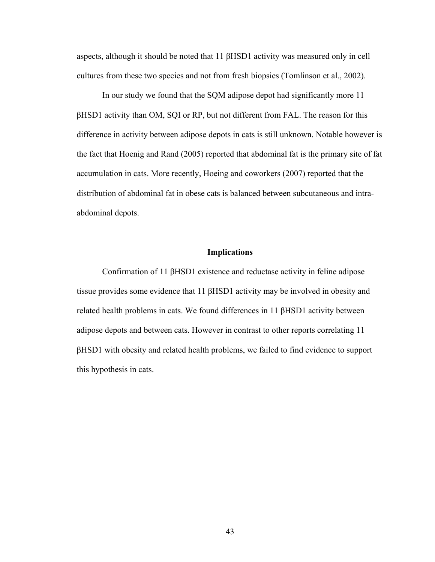aspects, although it should be noted that 11 βHSD1 activity was measured only in cell cultures from these two species and not from fresh biopsies (Tomlinson et al., 2002).

In our study we found that the SQM adipose depot had significantly more 11 βHSD1 activity than OM, SQI or RP, but not different from FAL. The reason for this difference in activity between adipose depots in cats is still unknown. Notable however is the fact that Hoenig and Rand (2005) reported that abdominal fat is the primary site of fat accumulation in cats. More recently, Hoeing and coworkers (2007) reported that the distribution of abdominal fat in obese cats is balanced between subcutaneous and intraabdominal depots.

### **Implications**

Confirmation of 11 βHSD1 existence and reductase activity in feline adipose tissue provides some evidence that 11 βHSD1 activity may be involved in obesity and related health problems in cats. We found differences in 11 βHSD1 activity between adipose depots and between cats. However in contrast to other reports correlating 11 βHSD1 with obesity and related health problems, we failed to find evidence to support this hypothesis in cats.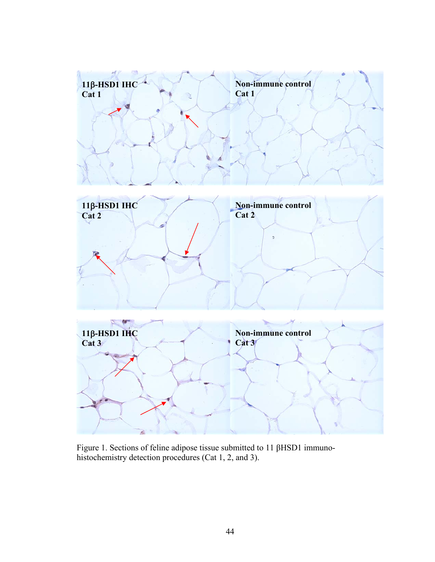

Figure 1. Sections of feline adipose tissue submitted to 11 βHSD1 immunohistochemistry detection procedures (Cat 1, 2, and 3).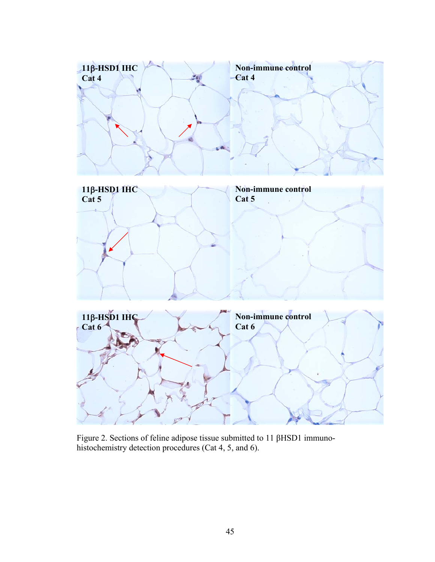

Figure 2. Sections of feline adipose tissue submitted to 11 βHSD1 immunohistochemistry detection procedures (Cat 4, 5, and 6).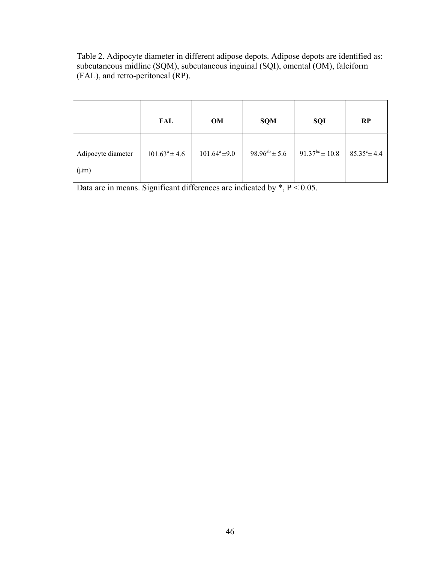Table 2. Adipocyte diameter in different adipose depots. Adipose depots are identified as: subcutaneous midline (SQM), subcutaneous inguinal (SQI), omental (OM), falciform (FAL), and retro-peritoneal (RP).

|                                 | FAL                | OM                 | <b>SQM</b>           | <b>SQI</b>                 | <b>RP</b>               |
|---------------------------------|--------------------|--------------------|----------------------|----------------------------|-------------------------|
| Adipocyte diameter<br>$(\mu m)$ | $101.63^a \pm 4.6$ | $101.64^a \pm 9.0$ | $98.96^{ab} \pm 5.6$ | 91.37 <sup>bc</sup> ± 10.8 | $85.35^{\circ} \pm 4.4$ |

Data are in means. Significant differences are indicated by \*, P < 0.05.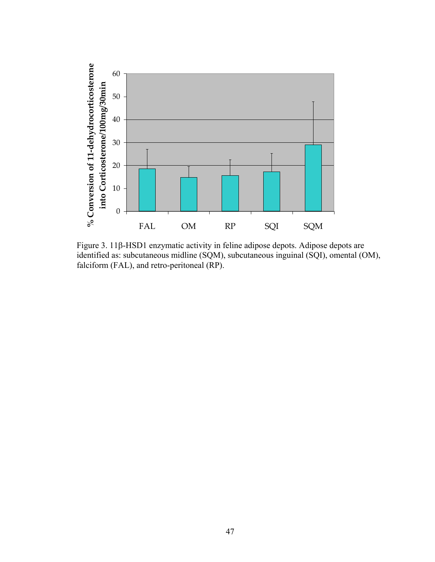

Figure 3. 11β-HSD1 enzymatic activity in feline adipose depots. Adipose depots are identified as: subcutaneous midline (SQM), subcutaneous inguinal (SQI), omental (OM), falciform (FAL), and retro-peritoneal (RP).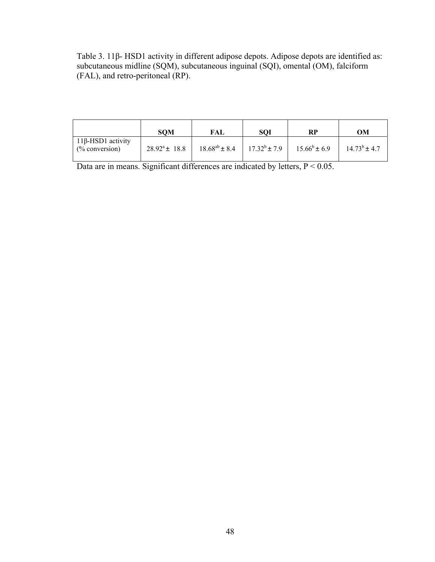Table 3. 11β- HSD1 activity in different adipose depots. Adipose depots are identified as: subcutaneous midline (SQM), subcutaneous inguinal (SQI), omental (OM), falciform (FAL), and retro-peritoneal (RP).

|                                                | <b>SOM</b>         | FAL                  | <b>SQI</b>        | RP                | OМ                |
|------------------------------------------------|--------------------|----------------------|-------------------|-------------------|-------------------|
| 11β-HSD1 activity<br>$\frac{6}{6}$ conversion) | $28.92^a \pm 18.8$ | $18.68^{ab} \pm 8.4$ | $17.32^b \pm 7.9$ | $15.66^b \pm 6.9$ | $14.73^b \pm 4.7$ |

Data are in means. Significant differences are indicated by letters,  $P < 0.05$ .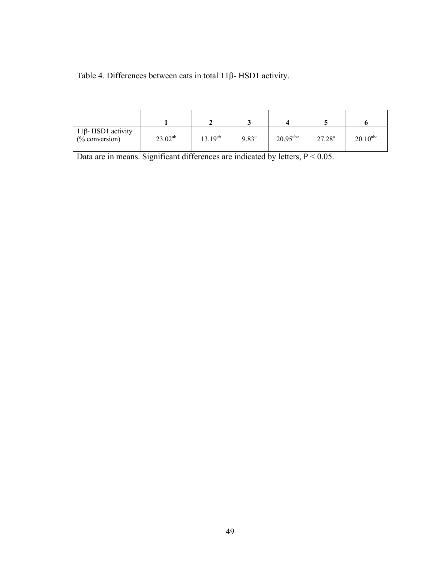Table 4. Differences between cats in total 11β- HSD1 activity.

| $11β$ -HSD1 activity<br>$%$ conversion) | $23.02^{ab}$ | $13.19^{cb}$ | $9.83^{\circ}$ | $20.95$ <sup>abc</sup> | $27.28^{a}$ | $20.10$ <sup>abc</sup> |
|-----------------------------------------|--------------|--------------|----------------|------------------------|-------------|------------------------|

Data are in means. Significant differences are indicated by letters,  $P < 0.05$ .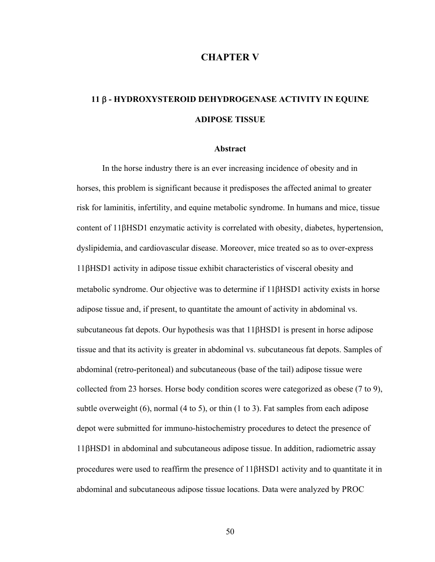## **CHAPTER V**

# **11** β **- HYDROXYSTEROID DEHYDROGENASE ACTIVITY IN EQUINE ADIPOSE TISSUE**

#### **Abstract**

 In the horse industry there is an ever increasing incidence of obesity and in horses, this problem is significant because it predisposes the affected animal to greater risk for laminitis, infertility, and equine metabolic syndrome. In humans and mice, tissue content of 11βHSD1 enzymatic activity is correlated with obesity, diabetes, hypertension, dyslipidemia, and cardiovascular disease. Moreover, mice treated so as to over-express 11βHSD1 activity in adipose tissue exhibit characteristics of visceral obesity and metabolic syndrome. Our objective was to determine if 11βHSD1 activity exists in horse adipose tissue and, if present, to quantitate the amount of activity in abdominal vs. subcutaneous fat depots. Our hypothesis was that 11βHSD1 is present in horse adipose tissue and that its activity is greater in abdominal vs. subcutaneous fat depots. Samples of abdominal (retro-peritoneal) and subcutaneous (base of the tail) adipose tissue were collected from 23 horses. Horse body condition scores were categorized as obese (7 to 9), subtle overweight (6), normal (4 to 5), or thin (1 to 3). Fat samples from each adipose depot were submitted for immuno-histochemistry procedures to detect the presence of 11βHSD1 in abdominal and subcutaneous adipose tissue. In addition, radiometric assay procedures were used to reaffirm the presence of 11βHSD1 activity and to quantitate it in abdominal and subcutaneous adipose tissue locations. Data were analyzed by PROC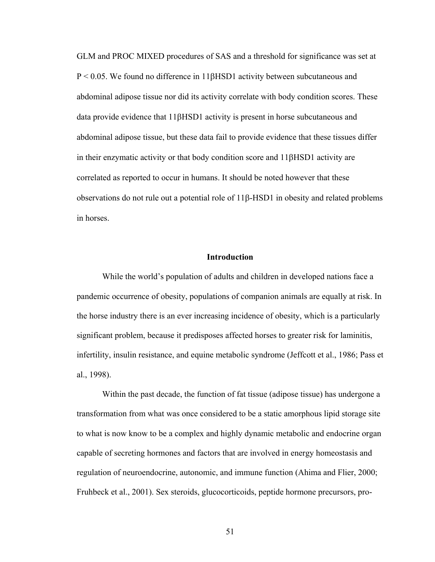GLM and PROC MIXED procedures of SAS and a threshold for significance was set at P < 0.05. We found no difference in 11βHSD1 activity between subcutaneous and abdominal adipose tissue nor did its activity correlate with body condition scores. These data provide evidence that 11βHSD1 activity is present in horse subcutaneous and abdominal adipose tissue, but these data fail to provide evidence that these tissues differ in their enzymatic activity or that body condition score and 11βHSD1 activity are correlated as reported to occur in humans. It should be noted however that these observations do not rule out a potential role of 11β-HSD1 in obesity and related problems in horses.

### **Introduction**

While the world's population of adults and children in developed nations face a pandemic occurrence of obesity, populations of companion animals are equally at risk. In the horse industry there is an ever increasing incidence of obesity, which is a particularly significant problem, because it predisposes affected horses to greater risk for laminitis, infertility, insulin resistance, and equine metabolic syndrome (Jeffcott et al., 1986; Pass et al., 1998).

 Within the past decade, the function of fat tissue (adipose tissue) has undergone a transformation from what was once considered to be a static amorphous lipid storage site to what is now know to be a complex and highly dynamic metabolic and endocrine organ capable of secreting hormones and factors that are involved in energy homeostasis and regulation of neuroendocrine, autonomic, and immune function (Ahima and Flier, 2000; Fruhbeck et al., 2001). Sex steroids, glucocorticoids, peptide hormone precursors, pro-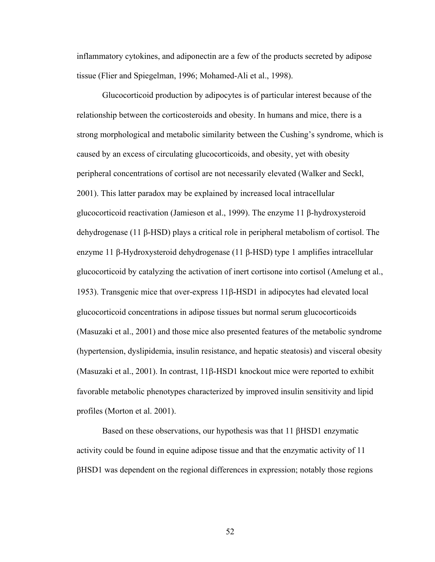inflammatory cytokines, and adiponectin are a few of the products secreted by adipose tissue (Flier and Spiegelman, 1996; Mohamed-Ali et al., 1998).

Glucocorticoid production by adipocytes is of particular interest because of the relationship between the corticosteroids and obesity. In humans and mice, there is a strong morphological and metabolic similarity between the Cushing's syndrome, which is caused by an excess of circulating glucocorticoids, and obesity, yet with obesity peripheral concentrations of cortisol are not necessarily elevated (Walker and Seckl, 2001). This latter paradox may be explained by increased local intracellular glucocorticoid reactivation (Jamieson et al., 1999). The enzyme 11 β-hydroxysteroid dehydrogenase (11 β-HSD) plays a critical role in peripheral metabolism of cortisol. The enzyme 11 β-Hydroxysteroid dehydrogenase (11 β-HSD) type 1 amplifies intracellular glucocorticoid by catalyzing the activation of inert cortisone into cortisol (Amelung et al., 1953). Transgenic mice that over-express 11β-HSD1 in adipocytes had elevated local glucocorticoid concentrations in adipose tissues but normal serum glucocorticoids (Masuzaki et al., 2001) and those mice also presented features of the metabolic syndrome (hypertension, dyslipidemia, insulin resistance, and hepatic steatosis) and visceral obesity (Masuzaki et al., 2001). In contrast, 11β-HSD1 knockout mice were reported to exhibit favorable metabolic phenotypes characterized by improved insulin sensitivity and lipid profiles (Morton et al. 2001).

Based on these observations, our hypothesis was that 11 βHSD1 enzymatic activity could be found in equine adipose tissue and that the enzymatic activity of 11 βHSD1 was dependent on the regional differences in expression; notably those regions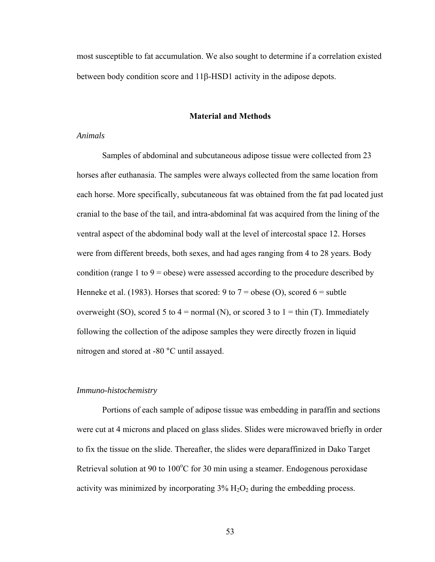most susceptible to fat accumulation. We also sought to determine if a correlation existed between body condition score and 11β-HSD1 activity in the adipose depots.

### **Material and Methods**

### *Animals*

Samples of abdominal and subcutaneous adipose tissue were collected from 23 horses after euthanasia. The samples were always collected from the same location from each horse. More specifically, subcutaneous fat was obtained from the fat pad located just cranial to the base of the tail, and intra-abdominal fat was acquired from the lining of the ventral aspect of the abdominal body wall at the level of intercostal space 12. Horses were from different breeds, both sexes, and had ages ranging from 4 to 28 years. Body condition (range 1 to 9 = obese) were assessed according to the procedure described by Henneke et al. (1983). Horses that scored: 9 to  $7 =$  obese (O), scored  $6 =$  subtle overweight (SO), scored 5 to 4 = normal (N), or scored 3 to 1 = thin (T). Immediately following the collection of the adipose samples they were directly frozen in liquid nitrogen and stored at -80 °C until assayed.

## *Immuno-histochemistry*

Portions of each sample of adipose tissue was embedding in paraffin and sections were cut at 4 microns and placed on glass slides. Slides were microwaved briefly in order to fix the tissue on the slide. Thereafter, the slides were deparaffinized in Dako Target Retrieval solution at 90 to  $100^{\circ}$ C for 30 min using a steamer. Endogenous peroxidase activity was minimized by incorporating  $3\%$  H<sub>2</sub>O<sub>2</sub> during the embedding process.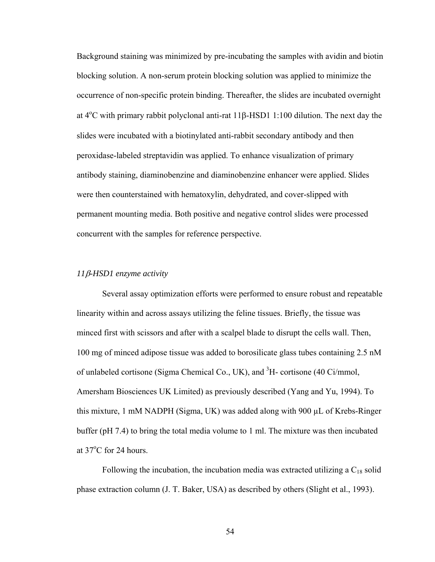Background staining was minimized by pre-incubating the samples with avidin and biotin blocking solution. A non-serum protein blocking solution was applied to minimize the occurrence of non-specific protein binding. Thereafter, the slides are incubated overnight at  $4^{\circ}$ C with primary rabbit polyclonal anti-rat  $11\beta$ -HSD1 1:100 dilution. The next day the slides were incubated with a biotinylated anti-rabbit secondary antibody and then peroxidase-labeled streptavidin was applied. To enhance visualization of primary antibody staining, diaminobenzine and diaminobenzine enhancer were applied. Slides were then counterstained with hematoxylin, dehydrated, and cover-slipped with permanent mounting media. Both positive and negative control slides were processed concurrent with the samples for reference perspective.

## *11*β*-HSD1 enzyme activity*

Several assay optimization efforts were performed to ensure robust and repeatable linearity within and across assays utilizing the feline tissues. Briefly, the tissue was minced first with scissors and after with a scalpel blade to disrupt the cells wall. Then, 100 mg of minced adipose tissue was added to borosilicate glass tubes containing 2.5 nM of unlabeled cortisone (Sigma Chemical Co., UK), and  ${}^{3}$ H- cortisone (40 Ci/mmol, Amersham Biosciences UK Limited) as previously described (Yang and Yu, 1994). To this mixture, 1 mM NADPH (Sigma, UK) was added along with 900 µL of Krebs-Ringer buffer (pH 7.4) to bring the total media volume to 1 ml. The mixture was then incubated at  $37^{\circ}$ C for 24 hours.

Following the incubation, the incubation media was extracted utilizing a  $C_{18}$  solid phase extraction column (J. T. Baker, USA) as described by others (Slight et al., 1993).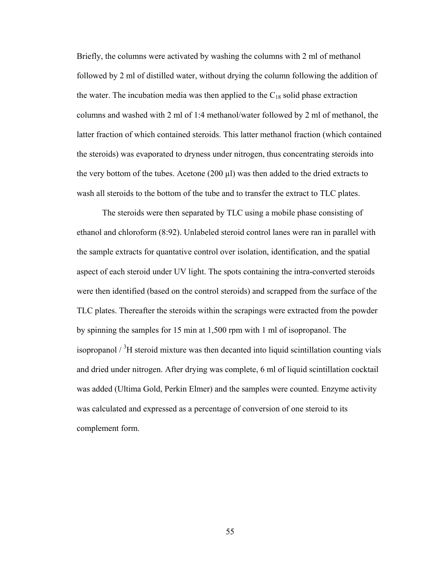Briefly, the columns were activated by washing the columns with 2 ml of methanol followed by 2 ml of distilled water, without drying the column following the addition of the water. The incubation media was then applied to the  $C_{18}$  solid phase extraction columns and washed with 2 ml of 1:4 methanol/water followed by 2 ml of methanol, the latter fraction of which contained steroids. This latter methanol fraction (which contained the steroids) was evaporated to dryness under nitrogen, thus concentrating steroids into the very bottom of the tubes. Acetone  $(200 \mu l)$  was then added to the dried extracts to wash all steroids to the bottom of the tube and to transfer the extract to TLC plates.

The steroids were then separated by TLC using a mobile phase consisting of ethanol and chloroform (8:92). Unlabeled steroid control lanes were ran in parallel with the sample extracts for quantative control over isolation, identification, and the spatial aspect of each steroid under UV light. The spots containing the intra-converted steroids were then identified (based on the control steroids) and scrapped from the surface of the TLC plates. Thereafter the steroids within the scrapings were extracted from the powder by spinning the samples for 15 min at 1,500 rpm with 1 ml of isopropanol. The isopropanol  $\frac{3}{1}$  steroid mixture was then decanted into liquid scintillation counting vials and dried under nitrogen. After drying was complete, 6 ml of liquid scintillation cocktail was added (Ultima Gold, Perkin Elmer) and the samples were counted. Enzyme activity was calculated and expressed as a percentage of conversion of one steroid to its complement form.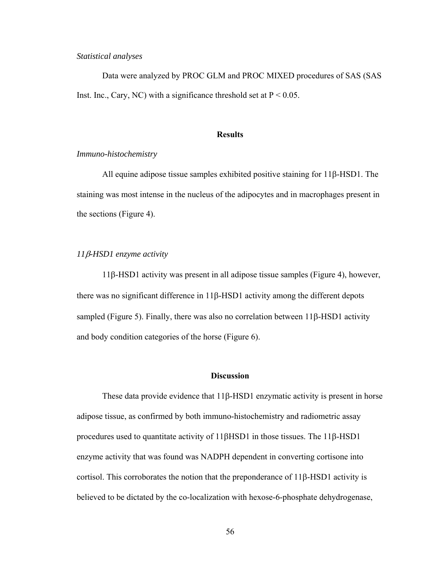## *Statistical analyses*

Data were analyzed by PROC GLM and PROC MIXED procedures of SAS (SAS Inst. Inc., Cary, NC) with a significance threshold set at  $P < 0.05$ .

#### **Results**

### *Immuno-histochemistry*

All equine adipose tissue samples exhibited positive staining for 11β-HSD1. The staining was most intense in the nucleus of the adipocytes and in macrophages present in the sections (Figure 4).

## *11*β*-HSD1 enzyme activity*

11β-HSD1 activity was present in all adipose tissue samples (Figure 4), however, there was no significant difference in 11β-HSD1 activity among the different depots sampled (Figure 5). Finally, there was also no correlation between 11β-HSD1 activity and body condition categories of the horse (Figure 6).

## **Discussion**

These data provide evidence that  $11\beta$ -HSD1 enzymatic activity is present in horse adipose tissue, as confirmed by both immuno-histochemistry and radiometric assay procedures used to quantitate activity of 11βHSD1 in those tissues. The 11β-HSD1 enzyme activity that was found was NADPH dependent in converting cortisone into cortisol. This corroborates the notion that the preponderance of 11β-HSD1 activity is believed to be dictated by the co-localization with hexose-6-phosphate dehydrogenase,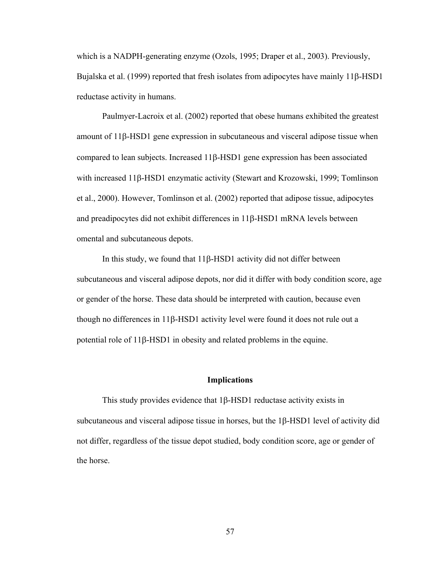which is a NADPH-generating enzyme (Ozols, 1995; Draper et al., 2003). Previously, Bujalska et al. (1999) reported that fresh isolates from adipocytes have mainly 11β-HSD1 reductase activity in humans.

Paulmyer-Lacroix et al. (2002) reported that obese humans exhibited the greatest amount of 11β-HSD1 gene expression in subcutaneous and visceral adipose tissue when compared to lean subjects. Increased 11β-HSD1 gene expression has been associated with increased 11β-HSD1 enzymatic activity (Stewart and Krozowski, 1999; Tomlinson et al., 2000). However, Tomlinson et al. (2002) reported that adipose tissue, adipocytes and preadipocytes did not exhibit differences in 11β-HSD1 mRNA levels between omental and subcutaneous depots.

In this study, we found that 11β-HSD1 activity did not differ between subcutaneous and visceral adipose depots, nor did it differ with body condition score, age or gender of the horse. These data should be interpreted with caution, because even though no differences in 11β-HSD1 activity level were found it does not rule out a potential role of 11β-HSD1 in obesity and related problems in the equine.

### **Implications**

This study provides evidence that 1β-HSD1 reductase activity exists in subcutaneous and visceral adipose tissue in horses, but the 1β-HSD1 level of activity did not differ, regardless of the tissue depot studied, body condition score, age or gender of the horse.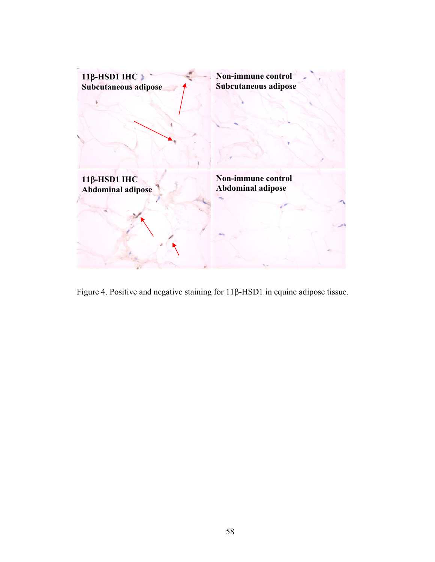

Figure 4. Positive and negative staining for 11β-HSD1 in equine adipose tissue.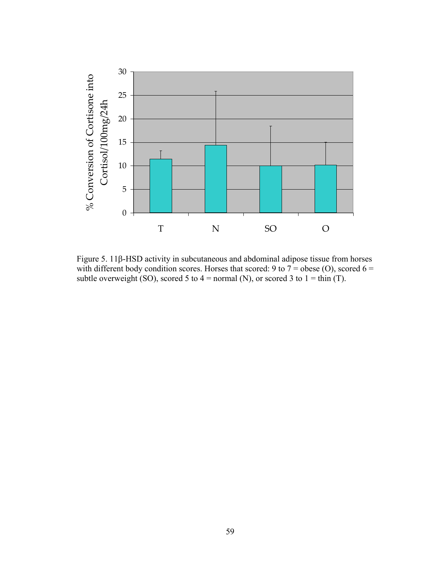

Figure 5. 11β-HSD activity in subcutaneous and abdominal adipose tissue from horses with different body condition scores. Horses that scored: 9 to  $7 =$  obese (O), scored 6 = subtle overweight (SO), scored 5 to 4 = normal (N), or scored 3 to 1 = thin (T).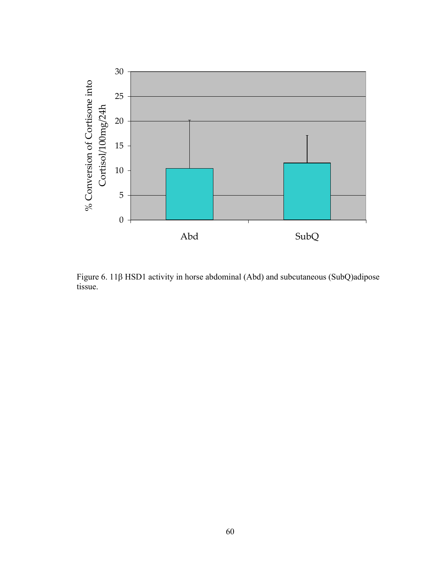

Figure 6. 11β HSD1 activity in horse abdominal (Abd) and subcutaneous (SubQ)adipose tissue.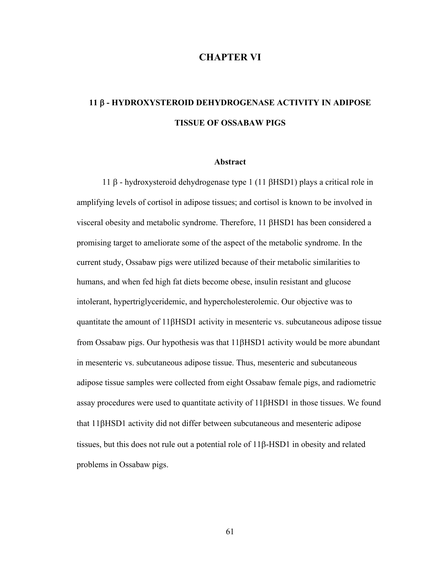# **CHAPTER VI**

# **11** β **- HYDROXYSTEROID DEHYDROGENASE ACTIVITY IN ADIPOSE TISSUE OF OSSABAW PIGS**

### **Abstract**

 11 β - hydroxysteroid dehydrogenase type 1 (11 βHSD1) plays a critical role in amplifying levels of cortisol in adipose tissues; and cortisol is known to be involved in visceral obesity and metabolic syndrome. Therefore, 11 βHSD1 has been considered a promising target to ameliorate some of the aspect of the metabolic syndrome. In the current study, Ossabaw pigs were utilized because of their metabolic similarities to humans, and when fed high fat diets become obese, insulin resistant and glucose intolerant, hypertriglyceridemic, and hypercholesterolemic. Our objective was to quantitate the amount of 11βHSD1 activity in mesenteric vs. subcutaneous adipose tissue from Ossabaw pigs. Our hypothesis was that 11βHSD1 activity would be more abundant in mesenteric vs. subcutaneous adipose tissue. Thus, mesenteric and subcutaneous adipose tissue samples were collected from eight Ossabaw female pigs, and radiometric assay procedures were used to quantitate activity of 11βHSD1 in those tissues. We found that 11βHSD1 activity did not differ between subcutaneous and mesenteric adipose tissues, but this does not rule out a potential role of 11β-HSD1 in obesity and related problems in Ossabaw pigs.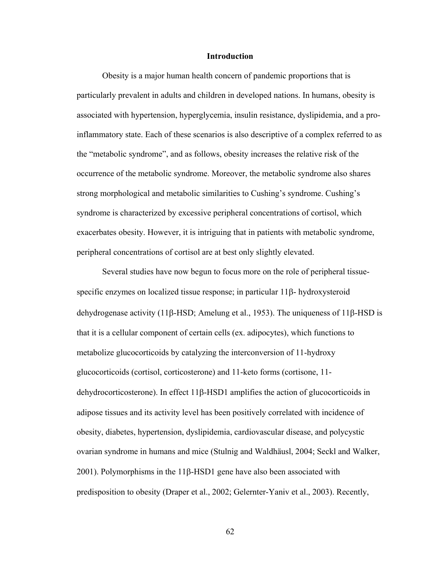### **Introduction**

Obesity is a major human health concern of pandemic proportions that is particularly prevalent in adults and children in developed nations. In humans, obesity is associated with hypertension, hyperglycemia, insulin resistance, dyslipidemia, and a proinflammatory state. Each of these scenarios is also descriptive of a complex referred to as the "metabolic syndrome", and as follows, obesity increases the relative risk of the occurrence of the metabolic syndrome. Moreover, the metabolic syndrome also shares strong morphological and metabolic similarities to Cushing's syndrome. Cushing's syndrome is characterized by excessive peripheral concentrations of cortisol, which exacerbates obesity. However, it is intriguing that in patients with metabolic syndrome, peripheral concentrations of cortisol are at best only slightly elevated.

Several studies have now begun to focus more on the role of peripheral tissuespecific enzymes on localized tissue response; in particular 11β- hydroxysteroid dehydrogenase activity (11β-HSD; Amelung et al., 1953). The uniqueness of 11β-HSD is that it is a cellular component of certain cells (ex. adipocytes), which functions to metabolize glucocorticoids by catalyzing the interconversion of 11-hydroxy glucocorticoids (cortisol, corticosterone) and 11-keto forms (cortisone, 11 dehydrocorticosterone). In effect 11β-HSD1 amplifies the action of glucocorticoids in adipose tissues and its activity level has been positively correlated with incidence of obesity, diabetes, hypertension, dyslipidemia, cardiovascular disease, and polycystic ovarian syndrome in humans and mice (Stulnig and Waldhäusl, 2004; Seckl and Walker, 2001). Polymorphisms in the 11β-HSD1 gene have also been associated with predisposition to obesity (Draper et al., 2002; Gelernter-Yaniv et al., 2003). Recently,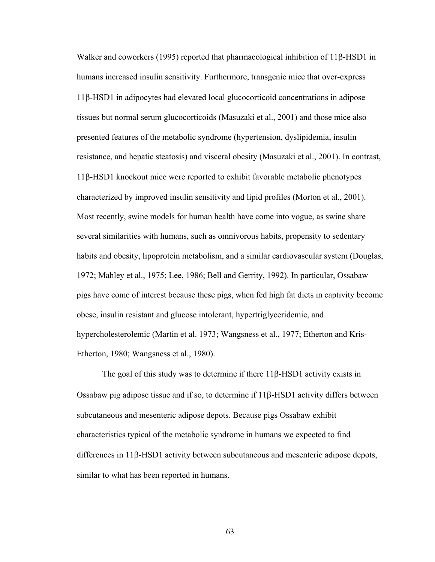Walker and coworkers (1995) reported that pharmacological inhibition of 11β-HSD1 in humans increased insulin sensitivity. Furthermore, transgenic mice that over-express 11β-HSD1 in adipocytes had elevated local glucocorticoid concentrations in adipose tissues but normal serum glucocorticoids (Masuzaki et al., 2001) and those mice also presented features of the metabolic syndrome (hypertension, dyslipidemia, insulin resistance, and hepatic steatosis) and visceral obesity (Masuzaki et al., 2001). In contrast, 11β-HSD1 knockout mice were reported to exhibit favorable metabolic phenotypes characterized by improved insulin sensitivity and lipid profiles (Morton et al., 2001). Most recently, swine models for human health have come into vogue, as swine share several similarities with humans, such as omnivorous habits, propensity to sedentary habits and obesity, lipoprotein metabolism, and a similar cardiovascular system (Douglas, 1972; Mahley et al., 1975; Lee, 1986; Bell and Gerrity, 1992). In particular, Ossabaw pigs have come of interest because these pigs, when fed high fat diets in captivity become obese, insulin resistant and glucose intolerant, hypertriglyceridemic, and hypercholesterolemic (Martin et al. 1973; Wangsness et al., 1977; Etherton and Kris-Etherton, 1980; Wangsness et al., 1980).

 The goal of this study was to determine if there 11β-HSD1 activity exists in Ossabaw pig adipose tissue and if so, to determine if 11β-HSD1 activity differs between subcutaneous and mesenteric adipose depots. Because pigs Ossabaw exhibit characteristics typical of the metabolic syndrome in humans we expected to find differences in 11β-HSD1 activity between subcutaneous and mesenteric adipose depots, similar to what has been reported in humans.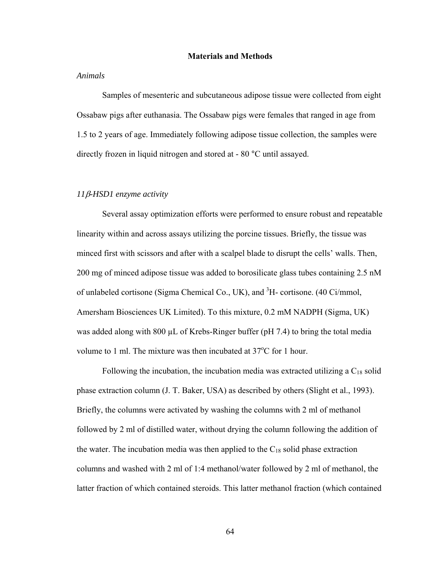### **Materials and Methods**

## *Animals*

Samples of mesenteric and subcutaneous adipose tissue were collected from eight Ossabaw pigs after euthanasia. The Ossabaw pigs were females that ranged in age from 1.5 to 2 years of age. Immediately following adipose tissue collection, the samples were directly frozen in liquid nitrogen and stored at - 80 °C until assayed.

## *11*β*-HSD1 enzyme activity*

Several assay optimization efforts were performed to ensure robust and repeatable linearity within and across assays utilizing the porcine tissues. Briefly, the tissue was minced first with scissors and after with a scalpel blade to disrupt the cells' walls. Then, 200 mg of minced adipose tissue was added to borosilicate glass tubes containing 2.5 nM of unlabeled cortisone (Sigma Chemical Co., UK), and <sup>3</sup>H- cortisone. (40 Ci/mmol, Amersham Biosciences UK Limited). To this mixture, 0.2 mM NADPH (Sigma, UK) was added along with 800 µL of Krebs-Ringer buffer (pH 7.4) to bring the total media volume to 1 ml. The mixture was then incubated at  $37^{\circ}$ C for 1 hour.

Following the incubation, the incubation media was extracted utilizing a  $C_{18}$  solid phase extraction column (J. T. Baker, USA) as described by others (Slight et al., 1993). Briefly, the columns were activated by washing the columns with 2 ml of methanol followed by 2 ml of distilled water, without drying the column following the addition of the water. The incubation media was then applied to the  $C_{18}$  solid phase extraction columns and washed with 2 ml of 1:4 methanol/water followed by 2 ml of methanol, the latter fraction of which contained steroids. This latter methanol fraction (which contained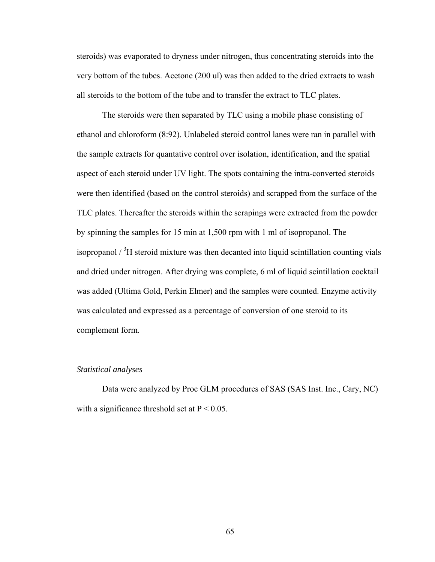steroids) was evaporated to dryness under nitrogen, thus concentrating steroids into the very bottom of the tubes. Acetone (200 ul) was then added to the dried extracts to wash all steroids to the bottom of the tube and to transfer the extract to TLC plates.

The steroids were then separated by TLC using a mobile phase consisting of ethanol and chloroform (8:92). Unlabeled steroid control lanes were ran in parallel with the sample extracts for quantative control over isolation, identification, and the spatial aspect of each steroid under UV light. The spots containing the intra-converted steroids were then identified (based on the control steroids) and scrapped from the surface of the TLC plates. Thereafter the steroids within the scrapings were extracted from the powder by spinning the samples for 15 min at 1,500 rpm with 1 ml of isopropanol. The isopropanol  $\frac{3}{1}$  steroid mixture was then decanted into liquid scintillation counting vials and dried under nitrogen. After drying was complete, 6 ml of liquid scintillation cocktail was added (Ultima Gold, Perkin Elmer) and the samples were counted. Enzyme activity was calculated and expressed as a percentage of conversion of one steroid to its complement form.

# *Statistical analyses*

Data were analyzed by Proc GLM procedures of SAS (SAS Inst. Inc., Cary, NC) with a significance threshold set at  $P < 0.05$ .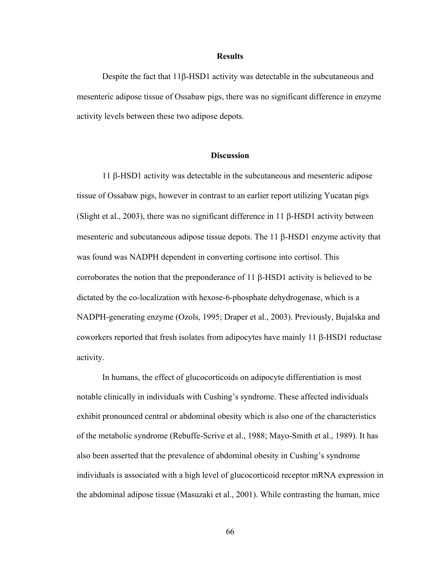#### **Results**

Despite the fact that 11β-HSD1 activity was detectable in the subcutaneous and mesenteric adipose tissue of Ossabaw pigs, there was no significant difference in enzyme activity levels between these two adipose depots.

## **Discussion**

11 β-HSD1 activity was detectable in the subcutaneous and mesenteric adipose tissue of Ossabaw pigs, however in contrast to an earlier report utilizing Yucatan pigs (Slight et al., 2003), there was no significant difference in 11 β-HSD1 activity between mesenteric and subcutaneous adipose tissue depots. The 11 β-HSD1 enzyme activity that was found was NADPH dependent in converting cortisone into cortisol. This corroborates the notion that the preponderance of 11 β-HSD1 activity is believed to be dictated by the co-localization with hexose-6-phosphate dehydrogenase, which is a NADPH-generating enzyme (Ozols, 1995; Draper et al., 2003). Previously, Bujalska and coworkers reported that fresh isolates from adipocytes have mainly 11 β-HSD1 reductase activity.

 In humans, the effect of glucocorticoids on adipocyte differentiation is most notable clinically in individuals with Cushing's syndrome. These affected individuals exhibit pronounced central or abdominal obesity which is also one of the characteristics of the metabolic syndrome (Rebuffe-Scrive et al., 1988; Mayo-Smith et al., 1989). It has also been asserted that the prevalence of abdominal obesity in Cushing's syndrome individuals is associated with a high level of glucocorticoid receptor mRNA expression in the abdominal adipose tissue (Masuzaki et al., 2001). While contrasting the human, mice

66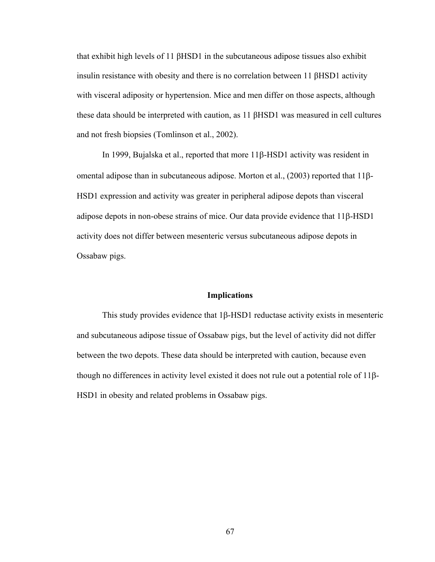that exhibit high levels of 11 βHSD1 in the subcutaneous adipose tissues also exhibit insulin resistance with obesity and there is no correlation between 11 βHSD1 activity with visceral adiposity or hypertension. Mice and men differ on those aspects, although these data should be interpreted with caution, as 11 βHSD1 was measured in cell cultures and not fresh biopsies (Tomlinson et al., 2002).

 In 1999, Bujalska et al., reported that more 11β-HSD1 activity was resident in omental adipose than in subcutaneous adipose. Morton et al., (2003) reported that 11β-HSD1 expression and activity was greater in peripheral adipose depots than visceral adipose depots in non-obese strains of mice. Our data provide evidence that 11β-HSD1 activity does not differ between mesenteric versus subcutaneous adipose depots in Ossabaw pigs.

## **Implications**

This study provides evidence that 1β-HSD1 reductase activity exists in mesenteric and subcutaneous adipose tissue of Ossabaw pigs, but the level of activity did not differ between the two depots. These data should be interpreted with caution, because even though no differences in activity level existed it does not rule out a potential role of 11β-HSD1 in obesity and related problems in Ossabaw pigs.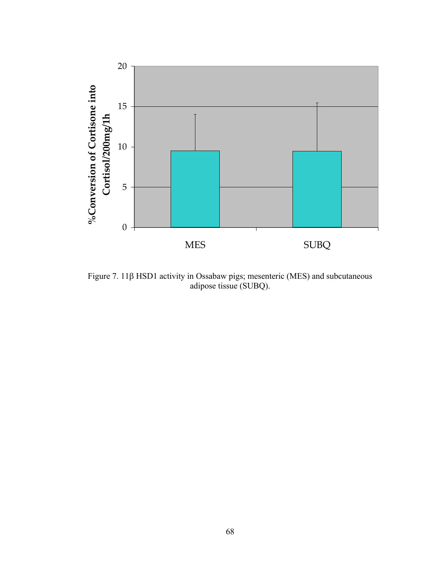

Figure 7. 11β HSD1 activity in Ossabaw pigs; mesenteric (MES) and subcutaneous adipose tissue (SUBQ).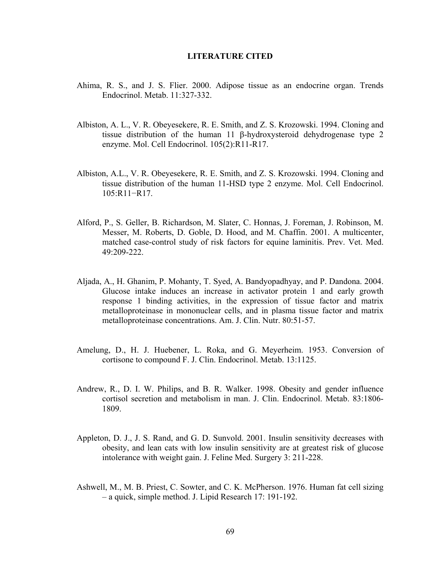## **LITERATURE CITED**

- Ahima, R. S., and J. S. Flier. 2000. Adipose tissue as an endocrine organ. Trends Endocrinol. Metab. 11:327-332.
- Albiston, A. L., V. R. Obeyesekere, R. E. Smith, and Z. S. Krozowski. 1994. Cloning and tissue distribution of the human 11 β-hydroxysteroid dehydrogenase type 2 enzyme. Mol. Cell Endocrinol. 105(2):R11-R17.
- Albiston, A.L., V. R. Obeyesekere, R. E. Smith, and Z. S. Krozowski. 1994. Cloning and tissue distribution of the human 11-HSD type 2 enzyme. Mol. Cell Endocrinol. 105:R11−R17.
- [Alford, P](http://www.ncbi.nlm.nih.gov/entrez/query.fcgi?db=pubmed&cmd=Search&itool=pubmed_AbstractPlus&term=%22Alford+P%22%5BAuthor%5D)., S. [Geller,](http://www.ncbi.nlm.nih.gov/entrez/query.fcgi?db=pubmed&cmd=Search&itool=pubmed_AbstractPlus&term=%22Geller+S%22%5BAuthor%5D) B. [Richardson](http://www.ncbi.nlm.nih.gov/entrez/query.fcgi?db=pubmed&cmd=Search&itool=pubmed_AbstractPlus&term=%22Richrdson+B%22%5BAuthor%5D), M. [Slater,](http://www.ncbi.nlm.nih.gov/entrez/query.fcgi?db=pubmed&cmd=Search&itool=pubmed_AbstractPlus&term=%22Slater+M%22%5BAuthor%5D) C. [Honnas,](http://www.ncbi.nlm.nih.gov/entrez/query.fcgi?db=pubmed&cmd=Search&itool=pubmed_AbstractPlus&term=%22Honnas+C%22%5BAuthor%5D) J. [Foreman,](http://www.ncbi.nlm.nih.gov/entrez/query.fcgi?db=pubmed&cmd=Search&itool=pubmed_AbstractPlus&term=%22Foreman+J%22%5BAuthor%5D) J. [Robinson](http://www.ncbi.nlm.nih.gov/entrez/query.fcgi?db=pubmed&cmd=Search&itool=pubmed_AbstractPlus&term=%22Robinson+J%22%5BAuthor%5D), M. [Messer,](http://www.ncbi.nlm.nih.gov/entrez/query.fcgi?db=pubmed&cmd=Search&itool=pubmed_AbstractPlus&term=%22Messer+M%22%5BAuthor%5D) M. [Roberts,](http://www.ncbi.nlm.nih.gov/entrez/query.fcgi?db=pubmed&cmd=Search&itool=pubmed_AbstractPlus&term=%22Roberts+M%22%5BAuthor%5D) D. [Goble,](http://www.ncbi.nlm.nih.gov/entrez/query.fcgi?db=pubmed&cmd=Search&itool=pubmed_AbstractPlus&term=%22Goble+D%22%5BAuthor%5D) D. [Hood](http://www.ncbi.nlm.nih.gov/entrez/query.fcgi?db=pubmed&cmd=Search&itool=pubmed_AbstractPlus&term=%22Hood+D%22%5BAuthor%5D), and M. [Chaffin.](http://www.ncbi.nlm.nih.gov/entrez/query.fcgi?db=pubmed&cmd=Search&itool=pubmed_AbstractPlus&term=%22Chaffin+M%22%5BAuthor%5D) 2001. A multicenter, matched case-control study of risk factors for equine laminitis. Prev. Vet. Med. 49:209-222.
- Aljada, A., H. Ghanim, P. Mohanty, T. Syed, A. Bandyopadhyay, and P. Dandona. 2004. Glucose intake induces an increase in activator protein 1 and early growth response 1 binding activities, in the expression of tissue factor and matrix metalloproteinase in mononuclear cells, and in plasma tissue factor and matrix metalloproteinase concentrations. Am. J. Clin. Nutr. 80:51-57.
- Amelung, D., H. J. Huebener, L. Roka, and G. Meyerheim. 1953. Conversion of cortisone to compound F. J. Clin. Endocrinol. Metab. 13:1125.
- Andrew, R., D. I. W. Philips, and B. R. Walker. 1998. Obesity and gender influence cortisol secretion and metabolism in man. J. Clin. Endocrinol. Metab. 83:1806- 1809.
- Appleton, D. J., J. S. Rand, and G. D. Sunvold. 2001. Insulin sensitivity decreases with obesity, and lean cats with low insulin sensitivity are at greatest risk of glucose intolerance with weight gain. J. Feline Med. Surgery 3: 211-228.
- Ashwell, M., M. B. Priest, C. Sowter, and C. K. McPherson. 1976. Human fat cell sizing – a quick, simple method. J. Lipid Research 17: 191-192.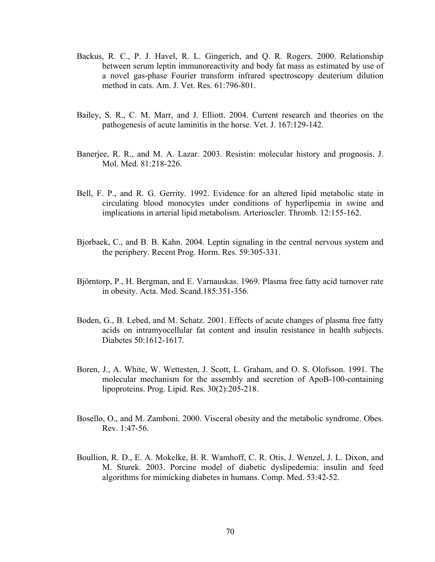- Backus, R. C., P. J. Havel, R. L. Gingerich, and Q. R. Rogers. 2000. Relationship between serum leptin immunoreactivity and body fat mass as estimated by use of a novel gas-phase Fourier transform infrared spectroscopy deuterium dilution method in cats. Am. J. Vet. Res. 61:796-801.
- Bailey, S. R., C. M. Marr, and J. Elliott. 2004. Current research and theories on the pathogenesis of acute laminitis in the horse. Vet. J. 167:129-142.
- Banerjee, R. R., and M. A. Lazar. 2003. Resistin: molecular history and prognosis. J. Mol. Med. 81:218-226.
- Bell, F. P., and R. G. Gerrity. 1992. Evidence for an altered lipid metabolic state in circulating blood monocytes under conditions of hyperlipemia in swine and implications in arterial lipid metabolism. Arterioscler. Thromb. 12:155-162.
- Bjorbaek, C., and B. B. Kahn. 2004. Leptin signaling in the central nervous system and the periphery. Recent Prog. Horm. Res. 59:305-331.
- Björntorp, P., H. Bergman, and E. Varnauskas. 1969. Plasma free fatty acid turnover rate in obesity. Acta. Med. Scand.185:351-356.
- Boden, G., B. Lebed, and M. Schatz. 2001. Effects of acute changes of plasma free fatty acids on intramyocellular fat content and insulin resistance in health subjects. Diabetes 50:1612-1617.
- [Boren, J](http://www.ncbi.nlm.nih.gov/entrez/query.fcgi?db=pubmed&cmd=Search&itool=pubmed_AbstractPlus&term=%22Boren+J%22%5BAuthor%5D)., A. [White](http://www.ncbi.nlm.nih.gov/entrez/query.fcgi?db=pubmed&cmd=Search&itool=pubmed_AbstractPlus&term=%22White+A%22%5BAuthor%5D), W. [Wettesten,](http://www.ncbi.nlm.nih.gov/entrez/query.fcgi?db=pubmed&cmd=Search&itool=pubmed_AbstractPlus&term=%22Wettesten+M%22%5BAuthor%5D) J. [Scott](http://www.ncbi.nlm.nih.gov/entrez/query.fcgi?db=pubmed&cmd=Search&itool=pubmed_AbstractPlus&term=%22Scott+J%22%5BAuthor%5D), L. [Graham,](http://www.ncbi.nlm.nih.gov/entrez/query.fcgi?db=pubmed&cmd=Search&itool=pubmed_AbstractPlus&term=%22Graham+L%22%5BAuthor%5D) and O. S. [Olofsson](http://www.ncbi.nlm.nih.gov/entrez/query.fcgi?db=pubmed&cmd=Search&itool=pubmed_AbstractPlus&term=%22Olofsson+SO%22%5BAuthor%5D). 1991. The molecular mechanism for the assembly and secretion of ApoB-100-containing lipoproteins. Prog. Lipid. Res. 30(2):205-218.
- Bosello, O., and M. Zamboni. 2000. Visceral obesity and the metabolic syndrome. Obes. Rev. 1:47-56.
- Boullion, R. D., E. A. Mokelke, B. R. Wamhoff, C. R. Otis, J. Wenzel, J. L. Dixon, and M. Sturek. 2003. Porcine model of diabetic dyslipedemia: insulin and feed algorithms for mimicking diabetes in humans. Comp. Med. 53:42-52.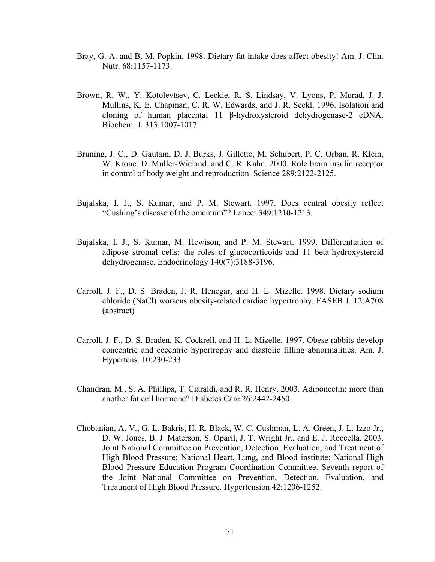- Bray, G. A. and B. M. Popkin. 1998. Dietary fat intake does affect obesity! Am. J. Clin. Nutr. 68:1157-1173.
- Brown, R. W., Y. Kotolevtsev, C. Leckie, R. S. Lindsay, V. Lyons, P. Murad, J. J. Mullins, K. E. Chapman, C. R. W. Edwards, and J. R. Seckl. 1996. Isolation and cloning of human placental 11 β-hydroxysteroid dehydrogenase-2 cDNA. Biochem. J. 313:1007-1017.
- Bruning, J. C., D. Gautam, D. J. Burks, J. Gillette, M. Schubert, P. C. Orban, R. Klein, W. Krone, D. Muller-Wieland, and C. R. Kahn. 2000. Role brain insulin receptor in control of body weight and reproduction. Science 289:2122-2125.
- Bujalska, I. J., S. Kumar, and P. M. Stewart. 1997. Does central obesity reflect "Cushing's disease of the omentum"? Lancet 349:1210-1213.
- Bujalska, I. J., S. Kumar, M. Hewison, and P. M. Stewart. 1999. Differentiation of adipose stromal cells: the roles of glucocorticoids and 11 beta-hydroxysteroid dehydrogenase. Endocrinology 140(7):3188-3196.
- Carroll, J. F., D. S. Braden, J. R. Henegar, and H. L. Mizelle. 1998. Dietary sodium chloride (NaCl) worsens obesity-related cardiac hypertrophy. FASEB J. 12:A708 (abstract)
- Carroll, J. F., D. S. Braden, K. Cockrell, and H. L. Mizelle. 1997. Obese rabbits develop concentric and eccentric hypertrophy and diastolic filling abnormalities. Am. J. Hypertens. 10:230-233.
- Chandran, M., S. A. Phillips, T. Ciaraldi, and R. R. Henry. 2003. Adiponectin: more than another fat cell hormone? Diabetes Care 26:2442-2450.
- Chobanian, A. V., G. L. Bakris, H. R. Black, W. C. Cushman, L. A. Green, J. L. Izzo Jr., D. W. Jones, B. J. Materson, S. Oparil, J. T. Wright Jr., and E. J. Roccella. 2003. Joint National Committee on Prevention, Detection, Evaluation, and Treatment of High Blood Pressure; National Heart, Lung, and Blood institute; National High Blood Pressure Education Program Coordination Committee. Seventh report of the Joint National Committee on Prevention, Detection, Evaluation, and Treatment of High Blood Pressure. Hypertension 42:1206-1252.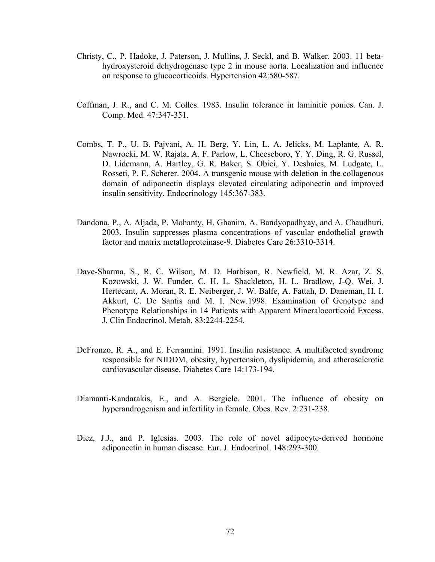- Christy, C., P. Hadoke, J. Paterson, J. Mullins, J. Seckl, and B. Walker. 2003. 11 betahydroxysteroid dehydrogenase type 2 in mouse aorta. Localization and influence on response to glucocorticoids. Hypertension 42:580-587.
- Coffman, J. R., and C. M. Colles. 1983. Insulin tolerance in laminitic ponies. Can. J. Comp. Med. 47:347-351.
- Combs, T. P., U. B. Pajvani, A. H. Berg, Y. Lin, L. A. Jelicks, M. Laplante, A. R. Nawrocki, M. W. Rajala, A. F. Parlow, L. Cheeseboro, Y. Y. Ding, R. G. Russel, D. Lidemann, A. Hartley, G. R. Baker, S. Obici, Y. Deshaies, M. Ludgate, L. Rosseti, P. E. Scherer. 2004. A transgenic mouse with deletion in the collagenous domain of adiponectin displays elevated circulating adiponectin and improved insulin sensitivity. Endocrinology 145:367-383.
- Dandona, P., A. Aljada, P. Mohanty, H. Ghanim, A. Bandyopadhyay, and A. Chaudhuri. 2003. Insulin suppresses plasma concentrations of vascular endothelial growth factor and matrix metalloproteinase-9. Diabetes Care 26:3310-3314.
- Dave-Sharma, S., R. C. Wilson, M. D. Harbison, R. Newfield, M. R. Azar, Z. S. Kozowski, J. W. Funder, C. H. L. Shackleton, H. L. Bradlow, J-Q. Wei, J. Hertecant, A. Moran, R. E. Neiberger, J. W. Balfe, A. Fattah, D. Daneman, H. I. Akkurt, C. De Santis and M. I. New.1998. Examination of Genotype and Phenotype Relationships in 14 Patients with Apparent Mineralocorticoid Excess. J. Clin Endocrinol. Metab. 83:2244-2254.
- DeFronzo, R. A., and E. Ferrannini. 1991. Insulin resistance. A multifaceted syndrome responsible for NIDDM, obesity, hypertension, dyslipidemia, and atherosclerotic cardiovascular disease. Diabetes Care 14:173-194.
- Diamanti-Kandarakis, E., and A. Bergiele. 2001. The influence of obesity on hyperandrogenism and infertility in female. Obes. Rev. 2:231-238.
- Diez, J.J., and P. Iglesias. 2003. The role of novel adipocyte-derived hormone adiponectin in human disease. Eur. J. Endocrinol. 148:293-300.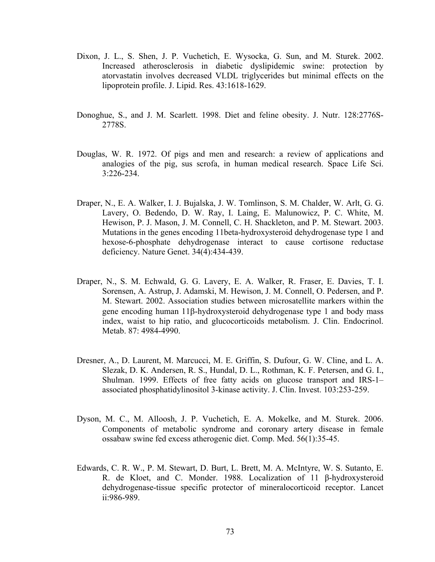- Dixon, J. L., S. Shen, J. P. Vuchetich, E. Wysocka, G. Sun, and M. Sturek. 2002. Increased atherosclerosis in diabetic dyslipidemic swine: protection by atorvastatin involves decreased VLDL triglycerides but minimal effects on the lipoprotein profile. J. Lipid. Res. 43:1618-1629.
- Donoghue, S., and J. M. Scarlett. 1998. Diet and feline obesity. J. Nutr. 128:2776S-2778S.
- Douglas, W. R. 1972. Of pigs and men and research: a review of applications and analogies of the pig, sus scrofa, in human medical research. Space Life Sci. 3:226-234.
- Draper, N., E. A. Walker, I. J. Bujalska, J. W. Tomlinson, S. M. Chalder, W. Arlt, G. G. Lavery, O. Bedendo, D. W. Ray, I. [Laing](http://www.ncbi.nlm.nih.gov/entrez/query.fcgi?db=pubmed&cmd=Search&itool=pubmed_AbstractPlus&term=%22Laing+I%22%5BAuthor%5D), E. [Malunowicz](http://www.ncbi.nlm.nih.gov/entrez/query.fcgi?db=pubmed&cmd=Search&itool=pubmed_AbstractPlus&term=%22Malunowicz+E%22%5BAuthor%5D), P. C. [White,](http://www.ncbi.nlm.nih.gov/entrez/query.fcgi?db=pubmed&cmd=Search&itool=pubmed_AbstractPlus&term=%22White+PC%22%5BAuthor%5D) M. [Hewison,](http://www.ncbi.nlm.nih.gov/entrez/query.fcgi?db=pubmed&cmd=Search&itool=pubmed_AbstractPlus&term=%22Hewison+M%22%5BAuthor%5D) P. J. [Mason](http://www.ncbi.nlm.nih.gov/entrez/query.fcgi?db=pubmed&cmd=Search&itool=pubmed_AbstractPlus&term=%22Mason+PJ%22%5BAuthor%5D), J. M. [Connell,](http://www.ncbi.nlm.nih.gov/entrez/query.fcgi?db=pubmed&cmd=Search&itool=pubmed_AbstractPlus&term=%22Connell+JM%22%5BAuthor%5D) C. H. [Shackleton](http://www.ncbi.nlm.nih.gov/entrez/query.fcgi?db=pubmed&cmd=Search&itool=pubmed_AbstractPlus&term=%22Shackleton+CH%22%5BAuthor%5D), and P. M. [Stewart. 2](http://www.ncbi.nlm.nih.gov/entrez/query.fcgi?db=pubmed&cmd=Search&itool=pubmed_AbstractPlus&term=%22Stewart+PM%22%5BAuthor%5D)003. Mutations in the genes encoding 11beta-hydroxysteroid dehydrogenase type 1 and hexose-6-phosphate dehydrogenase interact to cause cortisone reductase deficiency. Nature Genet. 34(4):434-439.
- Draper, N., S. M. Echwald, G. G. Lavery, E. A. Walker, R. Fraser, E. Davies, T. I. Sorensen, A. Astrup, J. Adamski, M. Hewison, J. M. Connell, O. Pedersen, and P. M. Stewart. 2002. Association studies between microsatellite markers within the gene encoding human 11β-hydroxysteroid dehydrogenase type 1 and body mass index, waist to hip ratio, and glucocorticoids metabolism. J. Clin. Endocrinol. Metab. 87: 4984-4990.
- Dresner, A., D. Laurent, M. Marcucci, M. E. Griffin, S. Dufour, G. W. Cline, and L. A. Slezak, D. K. Andersen, R. S., Hundal, D. L., Rothman, K. F. Petersen, and G. I., Shulman. 1999. Effects of free fatty acids on glucose transport and IRS-1– associated phosphatidylinositol 3-kinase activity. J. Clin. Invest. 103:253-259.
- Dyson, M. C., M. Alloosh, J. P. Vuchetich, E. A. Mokelke, and M. Sturek. 2006. Components of metabolic syndrome and coronary artery disease in female ossabaw swine fed excess atherogenic diet. Comp. Med. 56(1):35-45.
- Edwards, C. R. W., P. M. Stewart, D. Burt, L. Brett, M. A. McIntyre, W. S. Sutanto, E. R. de Kloet, and C. Monder. 1988. Localization of 11 β-hydroxysteroid dehydrogenase-tissue specific protector of mineralocorticoid receptor. Lancet ii:986-989.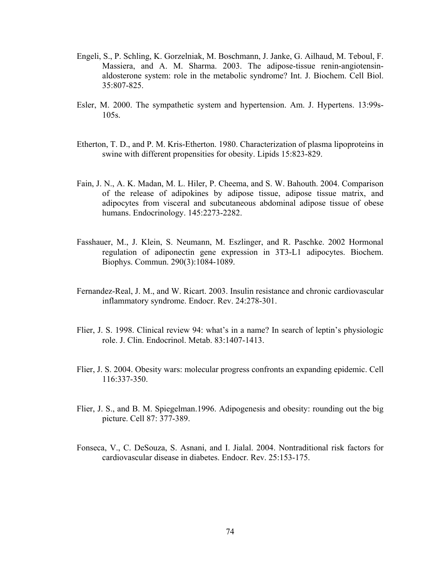- Engeli, S., P. Schling, K. Gorzelniak, M. Boschmann, J. Janke, G. Ailhaud, M. Teboul, F. Massiera, and A. M. Sharma. 2003. The adipose-tissue renin-angiotensinaldosterone system: role in the metabolic syndrome? Int. J. Biochem. Cell Biol. 35:807-825.
- Esler, M. 2000. The sympathetic system and hypertension. Am. J. Hypertens. 13:99s-105s.
- Etherton, T. D., and P. M. Kris-Etherton. 1980. Characterization of plasma lipoproteins in swine with different propensities for obesity. Lipids 15:823-829.
- Fain, J. N., A. K. Madan, M. L. Hiler, P. Cheema, and S. W. Bahouth. 2004. Comparison of the release of adipokines by adipose tissue, adipose tissue matrix, and adipocytes from visceral and subcutaneous abdominal adipose tissue of obese humans. Endocrinology. 145:2273-2282.
- Fasshauer, M., J. Klein, S. Neumann, M. Eszlinger, and R. Paschke. 2002 Hormonal regulation of adiponectin gene expression in 3T3-L1 adipocytes. Biochem. Biophys. Commun. 290(3):1084-1089.
- Fernandez-Real, J. M., and W. Ricart. 2003. Insulin resistance and chronic cardiovascular inflammatory syndrome. Endocr. Rev. 24:278-301.
- Flier, J. S. 1998. Clinical review 94: what's in a name? In search of leptin's physiologic role. J. Clin. Endocrinol. Metab. 83:1407-1413.
- Flier, J. S. 2004. Obesity wars: molecular progress confronts an expanding epidemic. Cell 116:337-350.
- Flier, J. S., and B. M. Spiegelman.1996. Adipogenesis and obesity: rounding out the big picture. Cell 87: 377-389.
- Fonseca, V., C. DeSouza, S. Asnani, and I. Jialal. 2004. Nontraditional risk factors for cardiovascular disease in diabetes. Endocr. Rev. 25:153-175.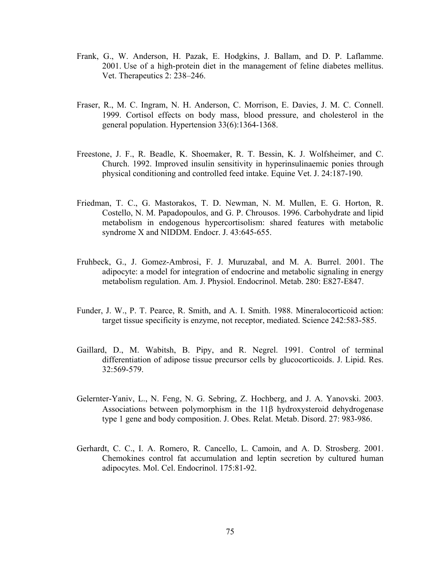- Frank, G., W. Anderson, H. Pazak, E. Hodgkins, J. Ballam, and D. P. Laflamme. 2001. Use of a high-protein diet in the management of feline diabetes mellitus. Vet. Therapeutics 2: 238–246.
- Fraser, R., M. C. Ingram, N. H. Anderson, C. Morrison, E. Davies, J. M. C. Connell. 1999. Cortisol effects on body mass, blood pressure, and cholesterol in the general population. Hypertension 33(6):1364-1368.
- [Freestone, J. F.](http://www.ncbi.nlm.nih.gov/entrez/query.fcgi?db=pubmed&cmd=Search&itool=pubmed_AbstractPlus&term=%22Freestone+JF%22%5BAuthor%5D), R. [Beadle](http://www.ncbi.nlm.nih.gov/entrez/query.fcgi?db=pubmed&cmd=Search&itool=pubmed_AbstractPlus&term=%22Beadle+R%22%5BAuthor%5D), K. [Shoemaker,](http://www.ncbi.nlm.nih.gov/entrez/query.fcgi?db=pubmed&cmd=Search&itool=pubmed_AbstractPlus&term=%22Shoemaker+K%22%5BAuthor%5D) R. T. [Bessin](http://www.ncbi.nlm.nih.gov/entrez/query.fcgi?db=pubmed&cmd=Search&itool=pubmed_AbstractPlus&term=%22Bessin+RT%22%5BAuthor%5D), K. J. [Wolfsheimer,](http://www.ncbi.nlm.nih.gov/entrez/query.fcgi?db=pubmed&cmd=Search&itool=pubmed_AbstractPlus&term=%22Wolfsheimer+KJ%22%5BAuthor%5D) and C. [Church](http://www.ncbi.nlm.nih.gov/entrez/query.fcgi?db=pubmed&cmd=Search&itool=pubmed_AbstractPlus&term=%22Church+C%22%5BAuthor%5D). 1992. Improved insulin sensitivity in hyperinsulinaemic ponies through physical conditioning and controlled feed intake. Equine Vet. J. 24:187-190.
- Friedman, T. C., G. Mastorakos, T. D. Newman, N. M. Mullen, E. G. Horton, R. Costello, N. M. Papadopoulos, and G. P. Chrousos. 1996. Carbohydrate and lipid metabolism in endogenous hypercortisolism: shared features with metabolic syndrome X and NIDDM. Endocr. J. 43:645-655.
- Fruhbeck, G., J. Gomez-Ambrosi, F. J. Muruzabal, and M. A. Burrel. 2001. The adipocyte: a model for integration of endocrine and metabolic signaling in energy metabolism regulation. Am. J. Physiol. Endocrinol. Metab. 280: E827-E847.
- Funder, J. W., P. T. Pearce, R. Smith, and A. I. Smith. 1988. Mineralocorticoid action: target tissue specificity is enzyme, not receptor, mediated. Science 242:583-585.
- Gaillard, D., M. Wabitsh, B. Pipy, and R. Negrel. 1991. Control of terminal differentiation of adipose tissue precursor cells by glucocorticoids. J. Lipid. Res. 32:569-579.
- Gelernter-Yaniv, L., N. Feng, N. G. Sebring, Z. Hochberg, and J. A. Yanovski. 2003. Associations between polymorphism in the 11β hydroxysteroid dehydrogenase type 1 gene and body composition. J. Obes. Relat. Metab. Disord. 27: 983-986.
- Gerhardt, C. C., I. A. Romero, R. Cancello, L. Camoin, and A. D. Strosberg. 2001. Chemokines control fat accumulation and leptin secretion by cultured human adipocytes. Mol. Cel. Endocrinol. 175:81-92.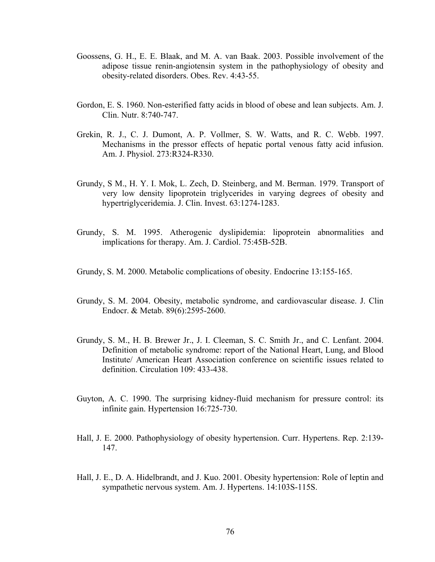- Goossens, G. H., E. E. Blaak, and M. A. van Baak. 2003. Possible involvement of the adipose tissue renin-angiotensin system in the pathophysiology of obesity and obesity-related disorders. Obes. Rev. 4:43-55.
- Gordon, E. S. 1960. Non-esterified fatty acids in blood of obese and lean subjects. Am. J. Clin. Nutr. 8:740-747.
- Grekin, R. J., C. J. Dumont, A. P. Vollmer, S. W. Watts, and R. C. Webb. 1997. Mechanisms in the pressor effects of hepatic portal venous fatty acid infusion. Am. J. Physiol. 273:R324-R330.
- Grundy, S M., H. Y. I. Mok, L. Zech, D. Steinberg, and M. Berman. 1979. Transport of very low density lipoprotein triglycerides in varying degrees of obesity and hypertriglyceridemia. J. Clin. Invest. 63:1274-1283.
- Grundy, S. M. 1995. Atherogenic dyslipidemia: lipoprotein abnormalities and implications for therapy. Am. J. Cardiol. 75:45B-52B.
- Grundy, S. M. 2000. Metabolic complications of obesity. Endocrine 13:155-165.
- Grundy, S. M. 2004. Obesity, metabolic syndrome, and cardiovascular disease. J. Clin Endocr. & Metab. 89(6):2595-2600.
- Grundy, S. M., H. B. Brewer Jr., J. I. Cleeman, S. C. Smith Jr., and C. Lenfant. 2004. Definition of metabolic syndrome: report of the National Heart, Lung, and Blood Institute/ American Heart Association conference on scientific issues related to definition. Circulation 109: 433-438.
- Guyton, A. C. 1990. The surprising kidney-fluid mechanism for pressure control: its infinite gain. Hypertension 16:725-730.
- Hall, J. E. 2000. Pathophysiology of obesity hypertension. Curr. Hypertens. Rep. 2:139- 147.
- Hall, J. E., D. A. Hidelbrandt, and J. Kuo. 2001. Obesity hypertension: Role of leptin and sympathetic nervous system. Am. J. Hypertens. 14:103S-115S.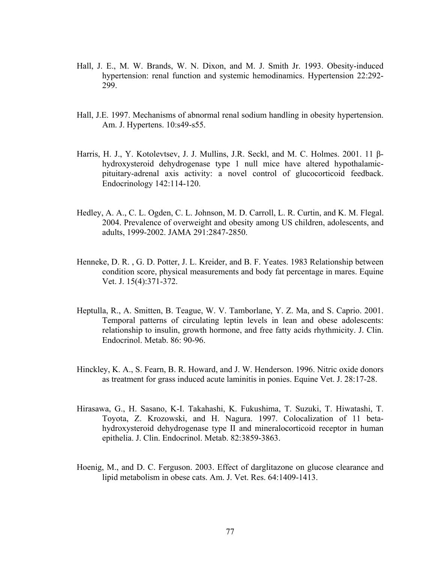- Hall, J. E., M. W. Brands, W. N. Dixon, and M. J. Smith Jr. 1993. Obesity-induced hypertension: renal function and systemic hemodinamics. Hypertension 22:292- 299.
- Hall, J.E. 1997. Mechanisms of abnormal renal sodium handling in obesity hypertension. Am. J. Hypertens. 10:s49-s55.
- Harris, H. J., Y. Kotolevtsev, J. J. Mullins, J.R. Seckl, and M. C. Holmes. 2001. 11 βhydroxysteroid dehydrogenase type 1 null mice have altered hypothalamicpituitary-adrenal axis activity: a novel control of glucocorticoid feedback. Endocrinology 142:114-120.
- Hedley, A. A., C. L. Ogden, C. L. Johnson, M. D. Carroll, L. R. Curtin, and K. M. Flegal. 2004. Prevalence of overweight and obesity among US children, adolescents, and adults, 1999-2002. JAMA 291:2847-2850.
- [Henneke, D. R.](http://www.ncbi.nlm.nih.gov/sites/entrez?Db=PubMed&Cmd=Search&Term=%22Henneke%20DR%22%5BAuthor%5D&itool=EntrezSystem2.PEntrez.Pubmed.Pubmed_ResultsPanel.Pubmed_RVCitation) , G. D. [Potter,](http://www.ncbi.nlm.nih.gov/sites/entrez?Db=PubMed&Cmd=Search&Term=%22Potter%20GD%22%5BAuthor%5D&itool=EntrezSystem2.PEntrez.Pubmed.Pubmed_ResultsPanel.Pubmed_RVCitation) J. L. [Kreider,](http://www.ncbi.nlm.nih.gov/sites/entrez?Db=PubMed&Cmd=Search&Term=%22Kreider%20JL%22%5BAuthor%5D&itool=EntrezSystem2.PEntrez.Pubmed.Pubmed_ResultsPanel.Pubmed_RVCitation) and B. F. [Yeates](http://www.ncbi.nlm.nih.gov/sites/entrez?Db=PubMed&Cmd=Search&Term=%22Yeates%20BF%22%5BAuthor%5D&itool=EntrezSystem2.PEntrez.Pubmed.Pubmed_ResultsPanel.Pubmed_RVCitation). 1983 Relationship between condition score, physical measurements and body fat percentage in mares. Equine Vet. J. 15(4):371-372.
- Heptulla, R., A. Smitten, B. Teague, W. V. Tamborlane, Y. Z. Ma, and S. Caprio. 2001. Temporal patterns of circulating leptin levels in lean and obese adolescents: relationship to insulin, growth hormone, and free fatty acids rhythmicity. J. Clin. Endocrinol. Metab. 86: 90-96.
- Hinckley, K. A., S. Fearn, B. R. Howard, and J. W. Henderson. 1996. Nitric oxide donors as treatment for grass induced acute laminitis in ponies. Equine Vet. J. 28:17-28.
- Hirasawa, G., H. Sasano, K-I. Takahashi, K. Fukushima, T. Suzuki, T. Hiwatashi, T. Toyota, Z. Krozowski, and H. Nagura. 1997. Colocalization of 11 betahydroxysteroid dehydrogenase type II and mineralocorticoid receptor in human epithelia. J. Clin. Endocrinol. Metab. 82:3859-3863.
- Hoenig, M., and D. C. Ferguson. 2003. Effect of darglitazone on glucose clearance and lipid metabolism in obese cats. Am. J. Vet. Res. 64:1409-1413.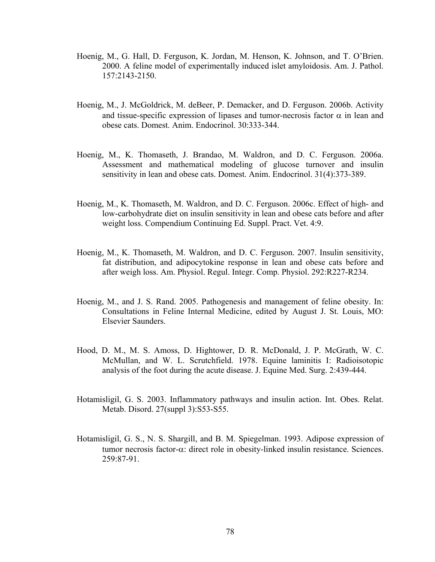- Hoenig, M., G. Hall, D. Ferguson, K. Jordan, M. Henson, K. Johnson, and T. O'Brien. 2000. A feline model of experimentally induced islet amyloidosis. Am. J. Pathol. 157:2143-2150.
- Hoenig, M., J. McGoldrick, M. deBeer, P. Demacker, and D. Ferguson. 2006b. Activity and tissue-specific expression of lipases and tumor-necrosis factor  $\alpha$  in lean and obese cats. Domest. Anim. Endocrinol. 30:333-344.
- [Hoenig, M.](http://www.ncbi.nlm.nih.gov/entrez/query.fcgi?db=pubmed&cmd=Search&itool=pubmed_AbstractPlus&term=%22Hoenig+M%22%5BAuthor%5D), K. [Thomaseth,](http://www.ncbi.nlm.nih.gov/entrez/query.fcgi?db=pubmed&cmd=Search&itool=pubmed_AbstractPlus&term=%22Thomaseth+K%22%5BAuthor%5D) J. [Brandao](http://www.ncbi.nlm.nih.gov/entrez/query.fcgi?db=pubmed&cmd=Search&itool=pubmed_AbstractPlus&term=%22Brandao+J%22%5BAuthor%5D), M. [Waldron](http://www.ncbi.nlm.nih.gov/entrez/query.fcgi?db=pubmed&cmd=Search&itool=pubmed_AbstractPlus&term=%22Waldron+M%22%5BAuthor%5D), and D. C. [Ferguson.](http://www.ncbi.nlm.nih.gov/entrez/query.fcgi?db=pubmed&cmd=Search&itool=pubmed_AbstractPlus&term=%22Ferguson+DC%22%5BAuthor%5D) 2006a. Assessment and mathematical modeling of glucose turnover and insulin sensitivity in lean and obese cats. Domest. Anim. Endocrinol. 31(4):373-389.
- Hoenig, M., K. Thomaseth, M. Waldron, and D. C. Ferguson. 2006c. Effect of high- and low-carbohydrate diet on insulin sensitivity in lean and obese cats before and after weight loss. Compendium Continuing Ed. Suppl. Pract. Vet. 4:9.
- Hoenig, M., K. Thomaseth, M. Waldron, and D. C. Ferguson. 2007. Insulin sensitivity, fat distribution, and adipocytokine response in lean and obese cats before and after weigh loss. Am. Physiol. Regul. Integr. Comp. Physiol. 292:R227-R234.
- Hoenig, M., and J. S. Rand. 2005. Pathogenesis and management of feline obesity. In: Consultations in Feline Internal Medicine, edited by August J. St. Louis, MO: Elsevier Saunders.
- Hood, D. M., M. S. Amoss, D. Hightower, D. R. McDonald, J. P. McGrath, W. C. McMullan, and W. L. Scrutchfield. 1978. Equine laminitis I: Radioisotopic analysis of the foot during the acute disease. J. Equine Med. Surg. 2:439-444.
- Hotamisligil, G. S. 2003. Inflammatory pathways and insulin action. Int. Obes. Relat. Metab. Disord. 27(suppl 3):S53-S55.
- Hotamisligil, G. S., N. S. Shargill, and B. M. Spiegelman. 1993. Adipose expression of tumor necrosis factor-α: direct role in obesity-linked insulin resistance. Sciences. 259:87-91.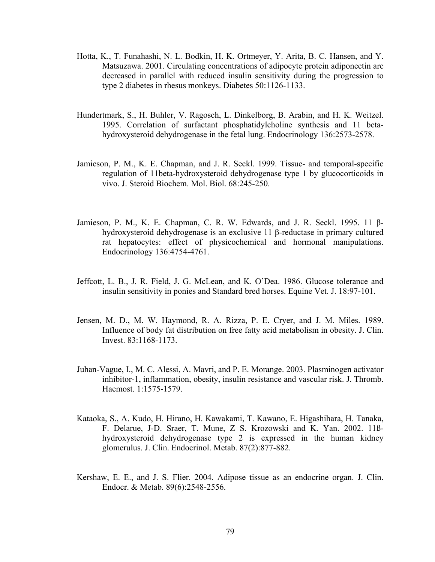- Hotta, K., T. Funahashi, N. L. Bodkin, H. K. Ortmeyer, Y. Arita, B. C. Hansen, and Y. Matsuzawa. 2001. Circulating concentrations of adipocyte protein adiponectin are decreased in parallel with reduced insulin sensitivity during the progression to type 2 diabetes in rhesus monkeys. Diabetes 50:1126-1133.
- Hundertmark, S., H. Buhler, V. Ragosch, L. Dinkelborg, B. Arabin, and H. K. Weitzel. 1995. Correlation of surfactant phosphatidylcholine synthesis and 11 betahydroxysteroid dehydrogenase in the fetal lung. Endocrinology 136:2573-2578.
- Jamieson, P. M., K. E. Chapman, and J. R. Seckl. 1999. Tissue- and temporal-specific regulation of 11beta-hydroxysteroid dehydrogenase type 1 by glucocorticoids in vivo. J. Steroid Biochem. Mol. Biol. 68:245-250.
- Jamieson, P. M., K. E. Chapman, C. R. W. Edwards, and J. R. Seckl. 1995. 11 βhydroxysteroid dehydrogenase is an exclusive 11 β-reductase in primary cultured rat hepatocytes: effect of physicochemical and hormonal manipulations. Endocrinology 136:4754-4761.
- Jeffcott, L. B., J. R. Field, J. G. McLean, and K. O'Dea. 1986. Glucose tolerance and insulin sensitivity in ponies and Standard bred horses. Equine Vet. J. 18:97-101.
- Jensen, M. D., M. W. Haymond, R. A. Rizza, P. E. Cryer, and J. M. Miles. 1989. Influence of body fat distribution on free fatty acid metabolism in obesity. J. Clin. Invest. 83:1168-1173.
- Juhan-Vague, I., M. C. Alessi, A. Mavri, and P. E. Morange. 2003. Plasminogen activator inhibitor-1, inflammation, obesity, insulin resistance and vascular risk. J. Thromb. Haemost. 1:1575-1579.
- Kataoka, S., A. Kudo, H. Hirano, H. Kawakami, T. Kawano, E. Higashihara, H. Tanaka, F. Delarue, J-D. Sraer, T. Mune, Z S. Krozowski and K. Yan. 2002. 11ßhydroxysteroid dehydrogenase type 2 is expressed in the human kidney glomerulus. J. Clin. Endocrinol. Metab. 87(2):877-882.
- Kershaw, E. E., and J. S. Flier. 2004. Adipose tissue as an endocrine organ. J. Clin. Endocr. & Metab. 89(6):2548-2556.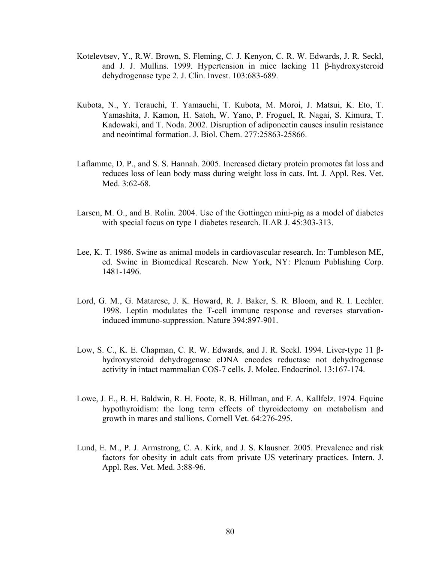- Kotelevtsev, Y., R.W. Brown, S. Fleming, C. J. Kenyon, C. R. W. Edwards, J. R. Seckl, and J. J. Mullins. 1999. Hypertension in mice lacking 11 β-hydroxysteroid dehydrogenase type 2. J. Clin. Invest. 103:683-689.
- Kubota, N., Y. Terauchi, T. Yamauchi, T. Kubota, M. Moroi, J. Matsui, K. Eto, T. Yamashita, J. Kamon, H. Satoh, W. Yano, P. Froguel, R. Nagai, S. Kimura, T. Kadowaki, and T. Noda. 2002. Disruption of adiponectin causes insulin resistance and neointimal formation. J. Biol. Chem. 277:25863-25866.
- Laflamme, D. P., and S. S. Hannah. 2005. Increased dietary protein promotes fat loss and reduces loss of lean body mass during weight loss in cats. Int. J. Appl. Res. Vet. Med. 3:62-68.
- Larsen, M. O., and B. Rolin. 2004. Use of the Gottingen mini-pig as a model of diabetes with special focus on type 1 diabetes research. ILAR J. 45:303-313.
- Lee, K. T. 1986. Swine as animal models in cardiovascular research. In: Tumbleson ME, ed. Swine in Biomedical Research. New York, NY: Plenum Publishing Corp. 1481-1496.
- Lord, G. M., G. Matarese, J. K. Howard, R. J. Baker, S. R. Bloom, and R. I. Lechler. 1998. Leptin modulates the T-cell immune response and reverses starvationinduced immuno-suppression. Nature 394:897-901.
- Low, S. C., K. E. Chapman, C. R. W. Edwards, and J. R. Seckl. 1994. Liver-type 11 βhydroxysteroid dehydrogenase cDNA encodes reductase not dehydrogenase activity in intact mammalian COS-7 cells. J. Molec. Endocrinol. 13:167-174.
- Lowe, [J. E.](http://www.ncbi.nlm.nih.gov/entrez/query.fcgi?db=pubmed&cmd=Search&itool=pubmed_AbstractPlus&term=%22Lowe+JE%22%5BAuthor%5D), B. H. [Baldwin](http://www.ncbi.nlm.nih.gov/entrez/query.fcgi?db=pubmed&cmd=Search&itool=pubmed_AbstractPlus&term=%22Baldwin+BH%22%5BAuthor%5D), R. H. [Foote,](http://www.ncbi.nlm.nih.gov/entrez/query.fcgi?db=pubmed&cmd=Search&itool=pubmed_AbstractPlus&term=%22Foote+RH%22%5BAuthor%5D) R. B. [Hillman,](http://www.ncbi.nlm.nih.gov/entrez/query.fcgi?db=pubmed&cmd=Search&itool=pubmed_AbstractPlus&term=%22Hillman+RB%22%5BAuthor%5D) and F. A. [Kallfelz](http://www.ncbi.nlm.nih.gov/entrez/query.fcgi?db=pubmed&cmd=Search&itool=pubmed_AbstractPlus&term=%22Kallfelz+FA%22%5BAuthor%5D). 1974. Equine hypothyroidism: the long term effects of thyroidectomy on metabolism and growth in mares and stallions. Cornell Vet. 64:276-295.
- Lund, E. M., P. J. Armstrong, C. A. Kirk, and J. S. Klausner. 2005. Prevalence and risk factors for obesity in adult cats from private US veterinary practices. Intern. J. Appl. Res. Vet. Med. 3:88-96.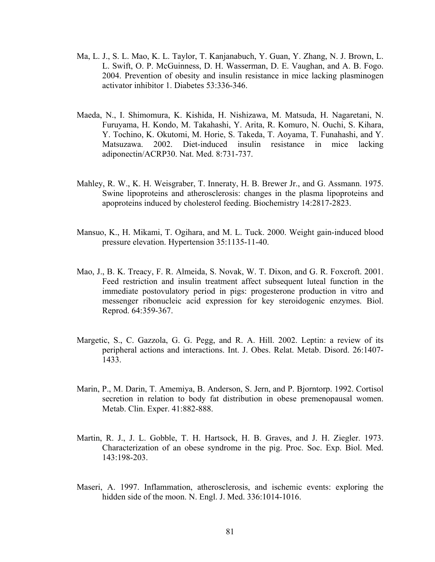- Ma, L. J., S. L. Mao, K. L. Taylor, T. Kanjanabuch, Y. Guan, Y. Zhang, N. J. Brown, L. L. Swift, O. P. McGuinness, D. H. Wasserman, D. E. Vaughan, and A. B. Fogo. 2004. Prevention of obesity and insulin resistance in mice lacking plasminogen activator inhibitor 1. Diabetes 53:336-346.
- Maeda, N., I. Shimomura, K. Kishida, H. Nishizawa, M. Matsuda, H. Nagaretani, N. Furuyama, H. Kondo, M. Takahashi, Y. Arita, R. Komuro, N. Ouchi, S. Kihara, Y. Tochino, K. Okutomi, M. Horie, S. Takeda, T. Aoyama, T. Funahashi, and Y. Matsuzawa. 2002. Diet-induced insulin resistance in mice lacking adiponectin/ACRP30. Nat. Med. 8:731-737.
- Mahley, R. W., K. H. Weisgraber, T. Inneraty, H. B. Brewer Jr., and G. Assmann. 1975. Swine lipoproteins and atherosclerosis: changes in the plasma lipoproteins and apoproteins induced by cholesterol feeding. Biochemistry 14:2817-2823.
- Mansuo, K., H. Mikami, T. Ogihara, and M. L. Tuck. 2000. Weight gain-induced blood pressure elevation. Hypertension 35:1135-11-40.
- Mao, J., B. K. Treacy, F. R. Almeida, S. Novak, W. T. Dixon, and G. R. Foxcroft. 2001. Feed restriction and insulin treatment affect subsequent luteal function in the immediate postovulatory period in pigs: progesterone production in vitro and messenger ribonucleic acid expression for key steroidogenic enzymes. Biol. Reprod. 64:359-367.
- Margetic, S., C. Gazzola, G. G. Pegg, and R. A. Hill. 2002. Leptin: a review of its peripheral actions and interactions. Int. J. Obes. Relat. Metab. Disord. 26:1407- 1433.
- Marin, P., M. Darin, T. Amemiya, B. Anderson, S. Jern, and P. Bjorntorp. 1992. Cortisol secretion in relation to body fat distribution in obese premenopausal women. Metab. Clin. Exper. 41:882-888.
- Martin, R. J., J. L. Gobble, T. H. Hartsock, H. B. Graves, and J. H. Ziegler. 1973. Characterization of an obese syndrome in the pig. Proc. Soc. Exp. Biol. Med. 143:198-203.
- Maseri, A. 1997. Inflammation, atherosclerosis, and ischemic events: exploring the hidden side of the moon. N. Engl. J. Med. 336:1014-1016.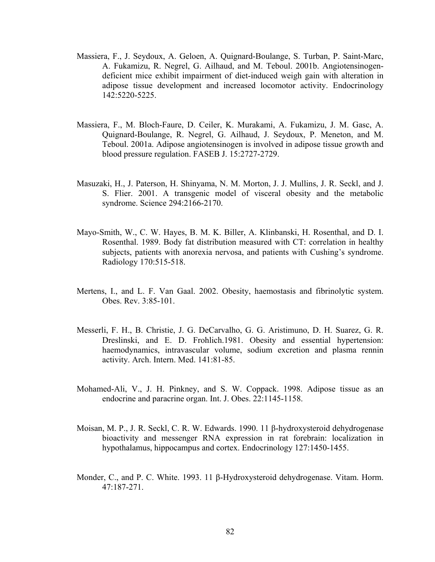- Massiera, F., J. Seydoux, A. Geloen, A. Quignard-Boulange, S. Turban, P. Saint-Marc, A. Fukamizu, R. Negrel, G. Ailhaud, and M. Teboul. 2001b. Angiotensinogendeficient mice exhibit impairment of diet-induced weigh gain with alteration in adipose tissue development and increased locomotor activity. Endocrinology 142:5220-5225.
- Massiera, F., M. Bloch-Faure, D. Ceiler, K. Murakami, A. Fukamizu, J. M. Gasc, A. Quignard-Boulange, R. Negrel, G. Ailhaud, J. Seydoux, P. Meneton, and M. Teboul. 2001a. Adipose angiotensinogen is involved in adipose tissue growth and blood pressure regulation. FASEB J. 15:2727-2729.
- Masuzaki, H., J. Paterson, H. Shinyama, N. M. Morton, J. J. Mullins, J. R. Seckl, and J. S. Flier. 2001. A transgenic model of visceral obesity and the metabolic syndrome. Science 294:2166-2170.
- Mayo-Smith, W., C. W. Hayes, B. M. K. Biller, A. Klinbanski, H. Rosenthal, and D. I. Rosenthal. 1989. Body fat distribution measured with CT: correlation in healthy subjects, patients with anorexia nervosa, and patients with Cushing's syndrome. Radiology 170:515-518.
- Mertens, I., and L. F. Van Gaal. 2002. Obesity, haemostasis and fibrinolytic system. Obes. Rev. 3:85-101.
- Messerli, F. H., B. Christie, J. G. DeCarvalho, G. G. Aristimuno, D. H. Suarez, G. R. Dreslinski, and E. D. Frohlich.1981. Obesity and essential hypertension: haemodynamics, intravascular volume, sodium excretion and plasma rennin activity. Arch. Intern. Med. 141:81-85.
- Mohamed-Ali, V., J. H. Pinkney, and S. W. Coppack. 1998. Adipose tissue as an endocrine and paracrine organ. Int. J. Obes. 22:1145-1158.
- Moisan, M. P., J. R. Seckl, C. R. W. Edwards. 1990. 11 β-hydroxysteroid dehydrogenase bioactivity and messenger RNA expression in rat forebrain: localization in hypothalamus, hippocampus and cortex. Endocrinology 127:1450-1455.
- Monder, C., and P. C. White. 1993. 11 β-Hydroxysteroid dehydrogenase. Vitam. Horm. 47:187-271.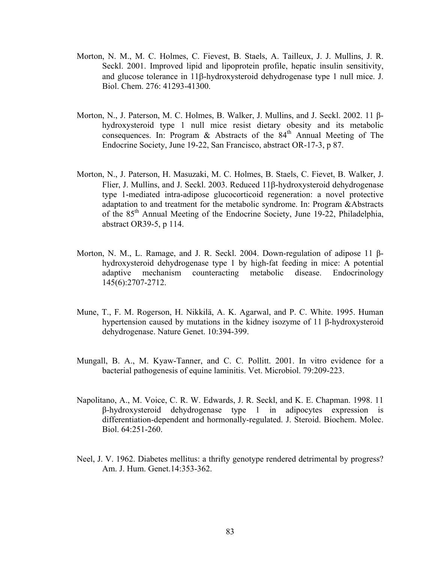- Morton, N. M., M. C. Holmes, C. Fievest, B. Staels, A. Tailleux, J. J. Mullins, J. R. Seckl. 2001. Improved lipid and lipoprotein profile, hepatic insulin sensitivity, and glucose tolerance in 11β-hydroxysteroid dehydrogenase type 1 null mice. J. Biol. Chem. 276: 41293-41300.
- Morton, N., J. Paterson, M. C. Holmes, B. Walker, J. Mullins, and J. Seckl. 2002. 11 βhydroxysteroid type 1 null mice resist dietary obesity and its metabolic consequences. In: Program & Abstracts of the  $84<sup>th</sup>$  Annual Meeting of The Endocrine Society, June 19-22, San Francisco, abstract OR-17-3, p 87.
- Morton, N., J. Paterson, H. Masuzaki, M. C. Holmes, B. Staels, C. Fievet, B. Walker, J. Flier, J. Mullins, and J. Seckl. 2003. Reduced 11β-hydroxysteroid dehydrogenase type 1-mediated intra-adipose glucocorticoid regeneration: a novel protective adaptation to and treatment for the metabolic syndrome. In: Program &Abstracts of the 85th Annual Meeting of the Endocrine Society, June 19-22, Philadelphia, abstract OR39-5, p 114.
- Morton, N. M., L. Ramage, and J. R. Seckl. 2004. Down-regulation of adipose 11 βhydroxysteroid dehydrogenase type 1 by high-fat feeding in mice: A potential adaptive mechanism counteracting metabolic disease. Endocrinology 145(6):2707-2712.
- Mune, T., F. M. Rogerson, H. Nikkilä, A. K. Agarwal, and P. C. White. 1995. Human hypertension caused by mutations in the kidney isozyme of 11 β-hydroxysteroid dehydrogenase. Nature Genet. 10:394-399.
- Mungall, B. A., M. Kyaw-Tanner, and C. C. Pollitt. 2001. In vitro evidence for a bacterial pathogenesis of equine laminitis. Vet. Microbiol. 79:209-223.
- Napolitano, A., M. Voice, C. R. W. Edwards, J. R. Seckl, and K. E. Chapman. 1998. 11 β-hydroxysteroid dehydrogenase type 1 in adipocytes expression is differentiation-dependent and hormonally-regulated. J. Steroid. Biochem. Molec. Biol. 64:251-260.
- Neel, J. V. 1962. Diabetes mellitus: a thrifty genotype rendered detrimental by progress? Am. J. Hum. Genet.14:353-362.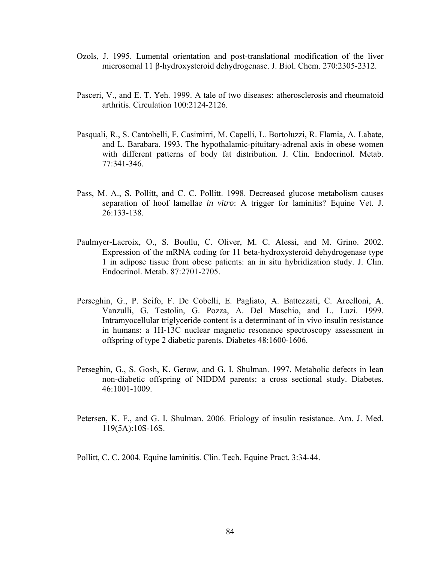- Ozols, J. 1995. Lumental orientation and post-translational modification of the liver microsomal 11 β-hydroxysteroid dehydrogenase. J. Biol. Chem. 270:2305-2312.
- Pasceri, V., and E. T. Yeh. 1999. A tale of two diseases: atherosclerosis and rheumatoid arthritis. Circulation 100:2124-2126.
- Pasquali, R., S. Cantobelli, F. Casimirri, M. Capelli, L. Bortoluzzi, R. Flamia, A. Labate, and L. Barabara. 1993. The hypothalamic-pituitary-adrenal axis in obese women with different patterns of body fat distribution. J. Clin. Endocrinol. Metab. 77:341-346.
- Pass, M. A., S. Pollitt, and C. C. Pollitt. 1998. Decreased glucose metabolism causes separation of hoof lamellae *in vitro*: A trigger for laminitis? Equine Vet. J. 26:133-138.
- Paulmyer-Lacroix, O., S. Boullu, C. Oliver, M. C. Alessi, and M. Grino. 2002. Expression of the mRNA coding for 11 beta-hydroxysteroid dehydrogenase type 1 in adipose tissue from obese patients: an in situ hybridization study. J. Clin. Endocrinol. Metab. 87:2701-2705.
- Perseghin, G., P. Scifo, F. De Cobelli, E. Pagliato, A. Battezzati, C. Arcelloni, A. Vanzulli, G. Testolin, G. Pozza, A. Del Maschio, and L. Luzi. 1999. Intramyocellular triglyceride content is a determinant of in vivo insulin resistance in humans: a 1H-13C nuclear magnetic resonance spectroscopy assessment in offspring of type 2 diabetic parents. Diabetes 48:1600-1606.
- Perseghin, G., S. Gosh, K. Gerow, and G. I. Shulman. 1997. Metabolic defects in lean non-diabetic offspring of NIDDM parents: a cross sectional study. Diabetes. 46:1001-1009.
- Petersen, K. F., and G. I. Shulman. 2006. Etiology of insulin resistance. Am. J. Med. 119(5A):10S-16S.

Pollitt, C. C. 2004. Equine laminitis. Clin. Tech. Equine Pract. 3:34-44.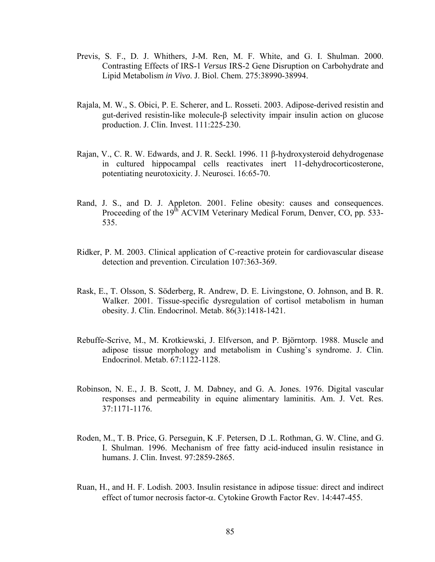- Previs, S. F., D. J. Whithers, J-M. Ren, M. F. White, and G. I. Shulman. 2000. Contrasting Effects of IRS-1 *Versus* IRS-2 Gene Disruption on Carbohydrate and Lipid Metabolism *in Vivo*. J. Biol. Chem. 275:38990-38994.
- Rajala, M. W., S. Obici, P. E. Scherer, and L. Rosseti. 2003. Adipose-derived resistin and gut-derived resistin-like molecule-β selectivity impair insulin action on glucose production. J. Clin. Invest. 111:225-230.
- Rajan, V., C. R. W. Edwards, and J. R. Seckl. 1996. 11 β-hydroxysteroid dehydrogenase in cultured hippocampal cells reactivates inert 11-dehydrocorticosterone, potentiating neurotoxicity. J. Neurosci. 16:65-70.
- Rand, J. S., and D. J. Appleton. 2001. Feline obesity: causes and consequences. Proceeding of the 19<sup>th</sup> ACVIM Veterinary Medical Forum, Denver, CO, pp. 533-535.
- Ridker, P. M. 2003. Clinical application of C-reactive protein for cardiovascular disease detection and prevention. Circulation 107:363-369.
- Rask, E., T. Olsson, S. Söderberg, R. Andrew, D. E. Livingstone, O. Johnson, and B. R. Walker. 2001. Tissue-specific dysregulation of cortisol metabolism in human obesity. J. Clin. Endocrinol. Metab. 86(3):1418-1421.
- Rebuffe-Scrive, M., M. Krotkiewski, J. Elfverson, and P. Björntorp. 1988. Muscle and adipose tissue morphology and metabolism in Cushing's syndrome. J. Clin. Endocrinol. Metab. 67:1122-1128.
- Robinson, N. E., J. B. Scott, J. M. Dabney, and G. A. Jones. 1976. Digital vascular responses and permeability in equine alimentary laminitis. Am. J. Vet. Res. 37:1171-1176.
- Roden, M., T. B. Price, G. Perseguin, K .F. Petersen, D .L. Rothman, G. W. Cline, and G. I. Shulman. 1996. Mechanism of free fatty acid-induced insulin resistance in humans. J. Clin. Invest. 97:2859-2865.
- Ruan, H., and H. F. Lodish. 2003. Insulin resistance in adipose tissue: direct and indirect effect of tumor necrosis factor-α. Cytokine Growth Factor Rev. 14:447-455.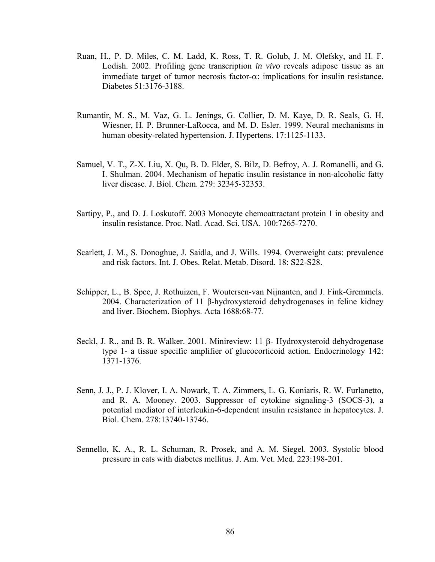- Ruan, H., P. D. Miles, C. M. Ladd, K. Ross, T. R. Golub, J. M. Olefsky, and H. F. Lodish. 2002. Profiling gene transcription *in vivo* reveals adipose tissue as an immediate target of tumor necrosis factor- $\alpha$ : implications for insulin resistance. Diabetes 51:3176-3188.
- Rumantir, M. S., M. Vaz, G. L. Jenings, G. Collier, D. M. Kaye, D. R. Seals, G. H. Wiesner, H. P. Brunner-LaRocca, and M. D. Esler. 1999. Neural mechanisms in human obesity-related hypertension. J. Hypertens. 17:1125-1133.
- Samuel, V. T., Z-X. Liu, X. Qu, B. D. Elder, S. Bilz, D. Befroy, A. J. Romanelli, and G. I. Shulman. 2004. Mechanism of hepatic insulin resistance in non-alcoholic fatty liver disease. J. Biol. Chem. 279: 32345-32353.
- Sartipy, P., and D. J. Loskutoff. 2003 Monocyte chemoattractant protein 1 in obesity and insulin resistance. Proc. Natl. Acad. Sci. USA. 100:7265-7270.
- Scarlett, J. M., S. Donoghue, J. Saidla, and J. Wills. 1994. Overweight cats: prevalence and risk factors. Int. J. Obes. Relat. Metab. Disord. 18: S22-S28.
- Schipper, L., B. Spee, J. Rothuizen, F. Woutersen-van Nijnanten, and J. Fink-Gremmels. 2004. Characterization of 11 β-hydroxysteroid dehydrogenases in feline kidney and liver. Biochem. Biophys. Acta 1688:68-77.
- Seckl, J. R., and B. R. Walker. 2001. Minireview: 11 β- Hydroxysteroid dehydrogenase type 1- a tissue specific amplifier of glucocorticoid action. Endocrinology 142: 1371-1376.
- Senn, J. J., P. J. Klover, I. A. Nowark, T. A. Zimmers, L. G. Koniaris, R. W. Furlanetto, and R. A. Mooney. 2003. Suppressor of cytokine signaling-3 (SOCS-3), a potential mediator of interleukin-6-dependent insulin resistance in hepatocytes. J. Biol. Chem. 278:13740-13746.
- Sennello, K. A., R. L. Schuman, R. Prosek, and A. M. Siegel. 2003. Systolic blood pressure in cats with diabetes mellitus. J. Am. Vet. Med. 223:198-201.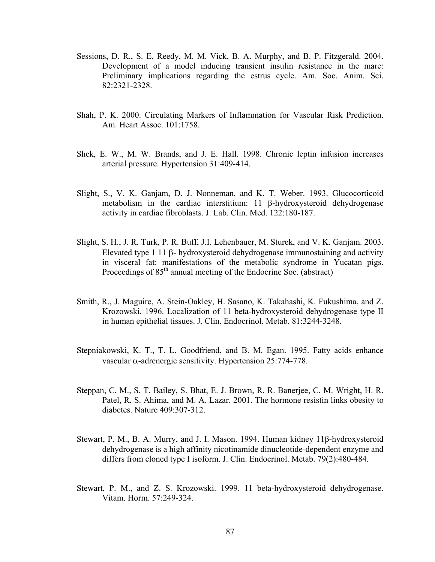- Sessions, D. R., S. E. Reedy, M. M. Vick, B. A. Murphy, and B. P. Fitzgerald. 2004. Development of a model inducing transient insulin resistance in the mare: Preliminary implications regarding the estrus cycle. Am. Soc. Anim. Sci. 82:2321-2328.
- Shah, P. K. 2000. Circulating Markers of Inflammation for Vascular Risk Prediction. Am. Heart Assoc. 101:1758.
- Shek, E. W., M. W. Brands, and J. E. Hall. 1998. Chronic leptin infusion increases arterial pressure. Hypertension 31:409-414.
- Slight, S., V. K. Ganjam, D. J. Nonneman, and K. T. Weber. 1993. Glucocorticoid metabolism in the cardiac interstitium: 11 β-hydroxysteroid dehydrogenase activity in cardiac fibroblasts. J. Lab. Clin. Med. 122:180-187.
- Slight, S. H., J. R. Turk, P. R. Buff, J.I. Lehenbauer, M. Sturek, and V. K. Ganjam. 2003. Elevated type 1 11 β- hydroxysteroid dehydrogenase immunostaining and activity in visceral fat: manifestations of the metabolic syndrome in Yucatan pigs. Proceedings of  $85<sup>th</sup>$  annual meeting of the Endocrine Soc. (abstract)
- Smith, R., J. Maguire, A. Stein-Oakley, H. Sasano, K. Takahashi, K. Fukushima, and Z. Krozowski. 1996. Localization of 11 beta-hydroxysteroid dehydrogenase type II in human epithelial tissues. J. Clin. Endocrinol. Metab. 81:3244-3248.
- Stepniakowski, K. T., T. L. Goodfriend, and B. M. Egan. 1995. Fatty acids enhance vascular α-adrenergic sensitivity. Hypertension 25:774-778.
- Steppan, C. M., S. T. Bailey, S. Bhat, E. J. Brown, R. R. Banerjee, C. M. Wright, H. R. Patel, R. S. Ahima, and M. A. Lazar. 2001. The hormone resistin links obesity to diabetes. Nature 409:307-312.
- Stewart, P. M., B. A. Murry, and J. I. Mason. 1994. Human kidney 11β-hydroxysteroid dehydrogenase is a high affinity nicotinamide dinucleotide-dependent enzyme and differs from cloned type I isoform. J. Clin. Endocrinol. Metab. 79(2):480-484.
- Stewart, P. M., and Z. S. Krozowski. 1999. 11 beta-hydroxysteroid dehydrogenase. Vitam. Horm. 57:249-324.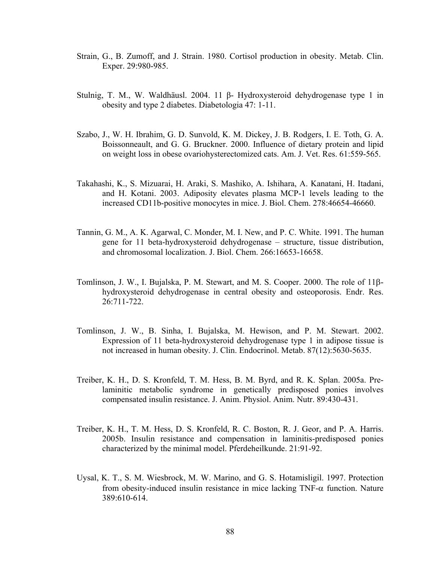- Strain, G., B. Zumoff, and J. Strain. 1980. Cortisol production in obesity. Metab. Clin. Exper. 29:980-985.
- Stulnig, T. M., W. Waldhäusl. 2004. 11 β- Hydroxysteroid dehydrogenase type 1 in obesity and type 2 diabetes. Diabetologia 47: 1-11.
- Szabo, J., W. H. Ibrahim, G. D. Sunvold, K. M. Dickey, J. B. Rodgers, I. E. Toth, G. A. Boissonneault, and G. G. Bruckner. 2000. Influence of dietary protein and lipid on weight loss in obese ovariohysterectomized cats. Am. J. Vet. Res. 61:559-565.
- Takahashi, K., S. Mizuarai, H. Araki, S. Mashiko, A. Ishihara, A. Kanatani, H. Itadani, and H. Kotani. 2003. Adiposity elevates plasma MCP-1 levels leading to the increased CD11b-positive monocytes in mice. J. Biol. Chem. 278:46654-46660.
- Tannin, G. M., A. K. Agarwal, C. Monder, M. I. New, and P. C. White. 1991. The human gene for 11 beta-hydroxysteroid dehydrogenase – structure, tissue distribution, and chromosomal localization. J. Biol. Chem. 266:16653-16658.
- Tomlinson, J. W., I. Bujalska, P. M. Stewart, and M. S. Cooper. 2000. The role of 11βhydroxysteroid dehydrogenase in central obesity and osteoporosis. Endr. Res. 26:711-722.
- Tomlinson, J. W., B. Sinha, I. Bujalska, M. Hewison, and P. M. Stewart. 2002. Expression of 11 beta-hydroxysteroid dehydrogenase type 1 in adipose tissue is not increased in human obesity. J. Clin. Endocrinol. Metab. 87(12):5630-5635.
- Treiber, K. H., D. S. Kronfeld, T. M. Hess, B. M. Byrd, and R. K. Splan. 2005a. Prelaminitic metabolic syndrome in genetically predisposed ponies involves compensated insulin resistance. J. Anim. Physiol. Anim. Nutr. 89:430-431.
- Treiber, K. H., T. M. Hess, D. S. Kronfeld, R. C. Boston, R. J. Geor, and P. A. Harris. 2005b. Insulin resistance and compensation in laminitis-predisposed ponies characterized by the minimal model. Pferdeheilkunde. 21:91-92.
- Uysal, K. T., S. M. Wiesbrock, M. W. Marino, and G. S. Hotamisligil. 1997. Protection from obesity-induced insulin resistance in mice lacking TNF- $\alpha$  function. Nature 389:610-614.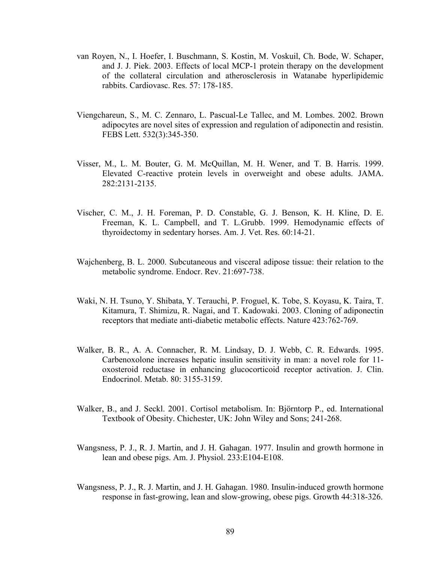- van Royen, N., I. Hoefer, I. Buschmann, S. Kostin, M. Voskuil, Ch. Bode, W. Schaper, and J. J. Piek. 2003. Effects of local MCP-1 protein therapy on the development of the collateral circulation and atherosclerosis in Watanabe hyperlipidemic rabbits. Cardiovasc. Res. 57: 178-185.
- Viengchareun, S., M. C. Zennaro, L. Pascual-Le Tallec, and M. Lombes. 2002. Brown adipocytes are novel sites of expression and regulation of adiponectin and resistin. FEBS Lett. 532(3):345-350.
- Visser, M., L. M. Bouter, G. M. McQuillan, M. H. Wener, and T. B. Harris. 1999. Elevated C-reactive protein levels in overweight and obese adults. JAMA. 282:2131-2135.
- Vischer, [C. M.](http://www.ncbi.nlm.nih.gov/entrez/query.fcgi?db=pubmed&cmd=Search&itool=pubmed_AbstractPlus&term=%22Vischer+CM%22%5BAuthor%5D), J. H. [Foreman](http://www.ncbi.nlm.nih.gov/entrez/query.fcgi?db=pubmed&cmd=Search&itool=pubmed_AbstractPlus&term=%22Foreman+JH%22%5BAuthor%5D), P. D. [Constable,](http://www.ncbi.nlm.nih.gov/entrez/query.fcgi?db=pubmed&cmd=Search&itool=pubmed_AbstractPlus&term=%22Constable+PD%22%5BAuthor%5D) G. J. [Benson,](http://www.ncbi.nlm.nih.gov/entrez/query.fcgi?db=pubmed&cmd=Search&itool=pubmed_AbstractPlus&term=%22Benson+GJ%22%5BAuthor%5D) K. H. [Kline](http://www.ncbi.nlm.nih.gov/entrez/query.fcgi?db=pubmed&cmd=Search&itool=pubmed_AbstractPlus&term=%22Kline+KH%22%5BAuthor%5D), D. E. [Freeman,](http://www.ncbi.nlm.nih.gov/entrez/query.fcgi?db=pubmed&cmd=Search&itool=pubmed_AbstractPlus&term=%22Freeman+DE%22%5BAuthor%5D) K. L. [Campbell](http://www.ncbi.nlm.nih.gov/entrez/query.fcgi?db=pubmed&cmd=Search&itool=pubmed_AbstractPlus&term=%22Campbell+KL%22%5BAuthor%5D), and T. L[.Grubb](http://www.ncbi.nlm.nih.gov/entrez/query.fcgi?db=pubmed&cmd=Search&itool=pubmed_AbstractPlus&term=%22Grubb+TL%22%5BAuthor%5D). 1999. Hemodynamic effects of thyroidectomy in sedentary horses. Am. J. Vet. Res. 60:14-21.
- Wajchenberg, B. L. 2000. Subcutaneous and visceral adipose tissue: their relation to the metabolic syndrome. Endocr. Rev. 21:697-738.
- Waki, N. H. Tsuno, Y. Shibata, Y. Terauchi, P. Froguel, K. Tobe, S. Koyasu, K. Taira, T. Kitamura, T. Shimizu, R. Nagai, and T. Kadowaki. 2003. Cloning of adiponectin receptors that mediate anti-diabetic metabolic effects. Nature 423:762-769.
- Walker, B. R., A. A. Connacher, R. M. Lindsay, D. J. Webb, C. R. Edwards. 1995. Carbenoxolone increases hepatic insulin sensitivity in man: a novel role for 11 oxosteroid reductase in enhancing glucocorticoid receptor activation. J. Clin. Endocrinol. Metab. 80: 3155-3159.
- Walker, B., and J. Seckl. 2001. Cortisol metabolism. In: Björntorp P., ed. International Textbook of Obesity. Chichester, UK: John Wiley and Sons; 241-268.
- Wangsness, P. J., R. J. Martin, and J. H. Gahagan. 1977. Insulin and growth hormone in lean and obese pigs. Am. J. Physiol. 233:E104-E108.
- Wangsness, P. J., R. J. Martin, and J. H. Gahagan. 1980. Insulin-induced growth hormone response in fast-growing, lean and slow-growing, obese pigs. Growth 44:318-326.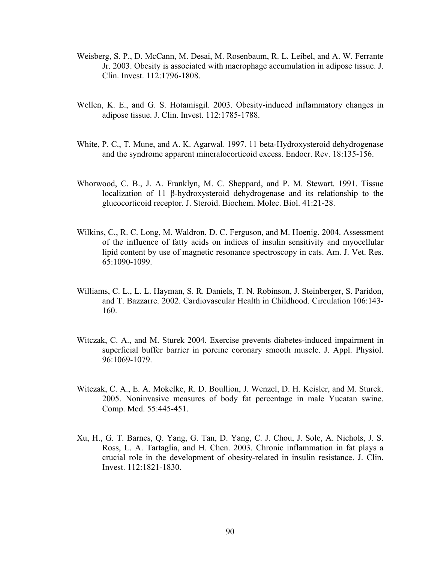- Weisberg, S. P., D. McCann, M. Desai, M. Rosenbaum, R. L. Leibel, and A. W. Ferrante Jr. 2003. Obesity is associated with macrophage accumulation in adipose tissue. J. Clin. Invest. 112:1796-1808.
- Wellen, K. E., and G. S. Hotamisgil. 2003. Obesity-induced inflammatory changes in adipose tissue. J. Clin. Invest. 112:1785-1788.
- White, P. C., T. Mune, and A. K. Agarwal. 1997. 11 beta-Hydroxysteroid dehydrogenase and the syndrome apparent mineralocorticoid excess. Endocr. Rev. 18:135-156.
- Whorwood, C. B., J. A. Franklyn, M. C. Sheppard, and P. M. Stewart. 1991. Tissue localization of 11 β-hydroxysteroid dehydrogenase and its relationship to the glucocorticoid receptor. J. Steroid. Biochem. Molec. Biol. 41:21-28.
- Wilkins, C., R. C. Long, M. Waldron, D. C. Ferguson, and M. Hoenig. 2004. Assessment of the influence of fatty acids on indices of insulin sensitivity and myocellular lipid content by use of magnetic resonance spectroscopy in cats. Am. J. Vet. Res. 65:1090-1099.
- Williams, C. L., L. L. Hayman, S. R. Daniels, T. N. Robinson, J. Steinberger, S. Paridon, and T. Bazzarre. 2002. Cardiovascular Health in Childhood. Circulation 106:143- 160.
- Witczak, C. A., and M. Sturek 2004. Exercise prevents diabetes-induced impairment in superficial buffer barrier in porcine coronary smooth muscle. J. Appl. Physiol. 96:1069-1079.
- Witczak, C. A., E. A. Mokelke, R. D. Boullion, J. Wenzel, D. H. Keisler, and M. Sturek. 2005. Noninvasive measures of body fat percentage in male Yucatan swine. Comp. Med. 55:445-451.
- Xu, H., G. T. Barnes, Q. Yang, G. Tan, D. Yang, C. J. Chou, J. Sole, A. Nichols, J. S. Ross, L. A. Tartaglia, and H. Chen. 2003. Chronic inflammation in fat plays a crucial role in the development of obesity-related in insulin resistance. J. Clin. Invest. 112:1821-1830.